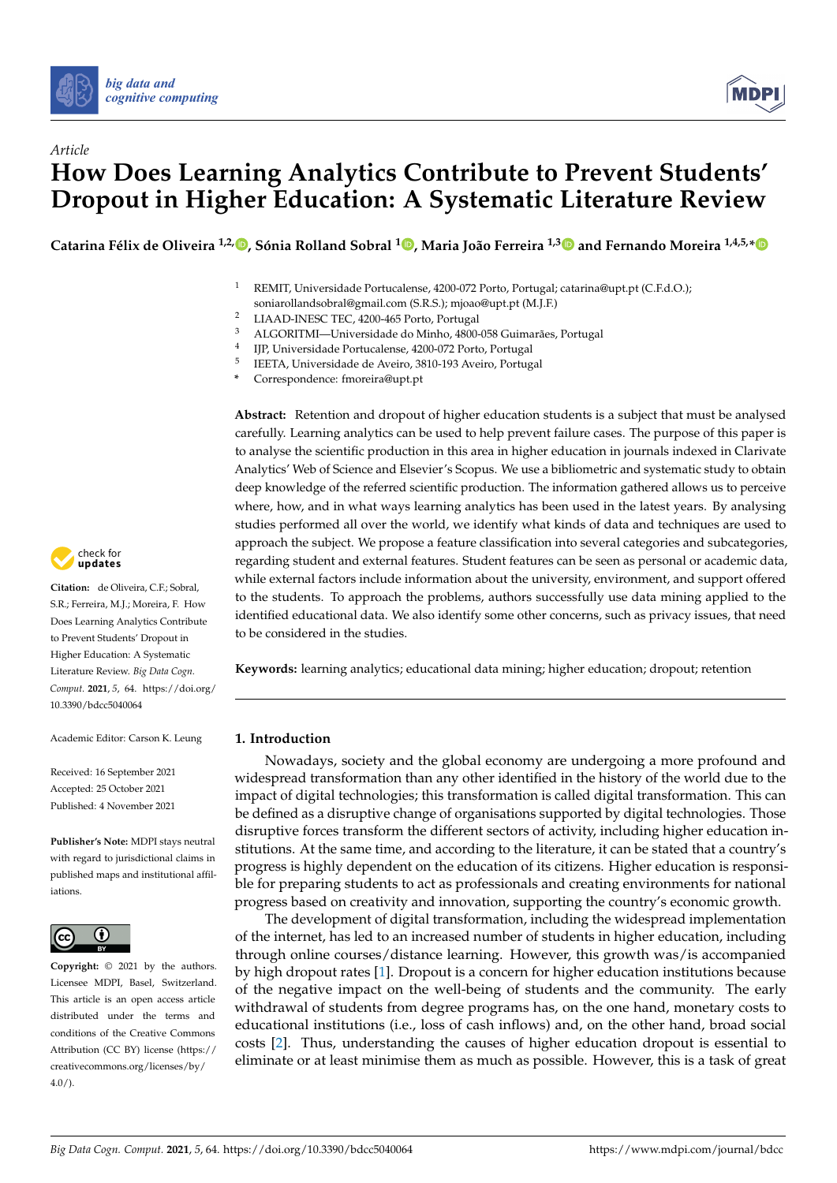



# *Article* **How Does Learning Analytics Contribute to Prevent Students' Dropout in Higher Education: A Systematic Literature Review**

**Catarina Félix de Oliveira 1,2[,](https://orcid.org/0000-0002-1480-9586) , Sónia Rolland Sobral <sup>1</sup> [,](https://orcid.org/0000-0002-5041-3597) Maria João Ferreira 1,[3](https://orcid.org/0000-0003-4274-8845) and Fernando Moreira 1,4,5,[\\*](https://orcid.org/0000-0002-0816-1445)**

<sup>1</sup> REMIT, Universidade Portucalense, 4200-072 Porto, Portugal; catarina@upt.pt (C.F.d.O.);

soniarollandsobral@gmail.com (S.R.S.); mjoao@upt.pt (M.J.F.)

- <sup>2</sup> LIAAD-INESC TEC, 4200-465 Porto, Portugal<br><sup>3</sup> ALCORITML LIniversidade de Minho 4800
- <sup>3</sup> ALGORITMI—Universidade do Minho, 4800-058 Guimarães, Portugal
- 4 IJP, Universidade Portucalense, 4200-072 Porto, Portugal
- 5 IEETA, Universidade de Aveiro, 3810-193 Aveiro, Portugal
- **\*** Correspondence: fmoreira@upt.pt

**Abstract:** Retention and dropout of higher education students is a subject that must be analysed carefully. Learning analytics can be used to help prevent failure cases. The purpose of this paper is to analyse the scientific production in this area in higher education in journals indexed in Clarivate Analytics' Web of Science and Elsevier's Scopus. We use a bibliometric and systematic study to obtain deep knowledge of the referred scientific production. The information gathered allows us to perceive where, how, and in what ways learning analytics has been used in the latest years. By analysing studies performed all over the world, we identify what kinds of data and techniques are used to approach the subject. We propose a feature classification into several categories and subcategories, regarding student and external features. Student features can be seen as personal or academic data, while external factors include information about the university, environment, and support offered to the students. To approach the problems, authors successfully use data mining applied to the identified educational data. We also identify some other concerns, such as privacy issues, that need to be considered in the studies.

**Keywords:** learning analytics; educational data mining; higher education; dropout; retention

# **1. Introduction**

Nowadays, society and the global economy are undergoing a more profound and widespread transformation than any other identified in the history of the world due to the impact of digital technologies; this transformation is called digital transformation. This can be defined as a disruptive change of organisations supported by digital technologies. Those disruptive forces transform the different sectors of activity, including higher education institutions. At the same time, and according to the literature, it can be stated that a country's progress is highly dependent on the education of its citizens. Higher education is responsible for preparing students to act as professionals and creating environments for national progress based on creativity and innovation, supporting the country's economic growth.

The development of digital transformation, including the widespread implementation of the internet, has led to an increased number of students in higher education, including through online courses/distance learning. However, this growth was/is accompanied by high dropout rates [\[1\]](#page-28-0). Dropout is a concern for higher education institutions because of the negative impact on the well-being of students and the community. The early withdrawal of students from degree programs has, on the one hand, monetary costs to educational institutions (i.e., loss of cash inflows) and, on the other hand, broad social costs [\[2\]](#page-28-1). Thus, understanding the causes of higher education dropout is essential to eliminate or at least minimise them as much as possible. However, this is a task of great



**Citation:** de Oliveira, C.F.; Sobral, S.R.; Ferreira, M.J.; Moreira, F. How Does Learning Analytics Contribute to Prevent Students' Dropout in Higher Education: A Systematic Literature Review. *Big Data Cogn. Comput.* **2021**, *5*, 64. [https://doi.org/](https://doi.org/10.3390/bdcc5040064) [10.3390/bdcc5040064](https://doi.org/10.3390/bdcc5040064)

Academic Editor: Carson K. Leung

Received: 16 September 2021 Accepted: 25 October 2021 Published: 4 November 2021

**Publisher's Note:** MDPI stays neutral with regard to jurisdictional claims in published maps and institutional affiliations.



**Copyright:** © 2021 by the authors. Licensee MDPI, Basel, Switzerland. This article is an open access article distributed under the terms and conditions of the Creative Commons Attribution (CC BY) license (https:/[/](https://creativecommons.org/licenses/by/4.0/) [creativecommons.org/licenses/by/](https://creativecommons.org/licenses/by/4.0/)  $4.0/$ ).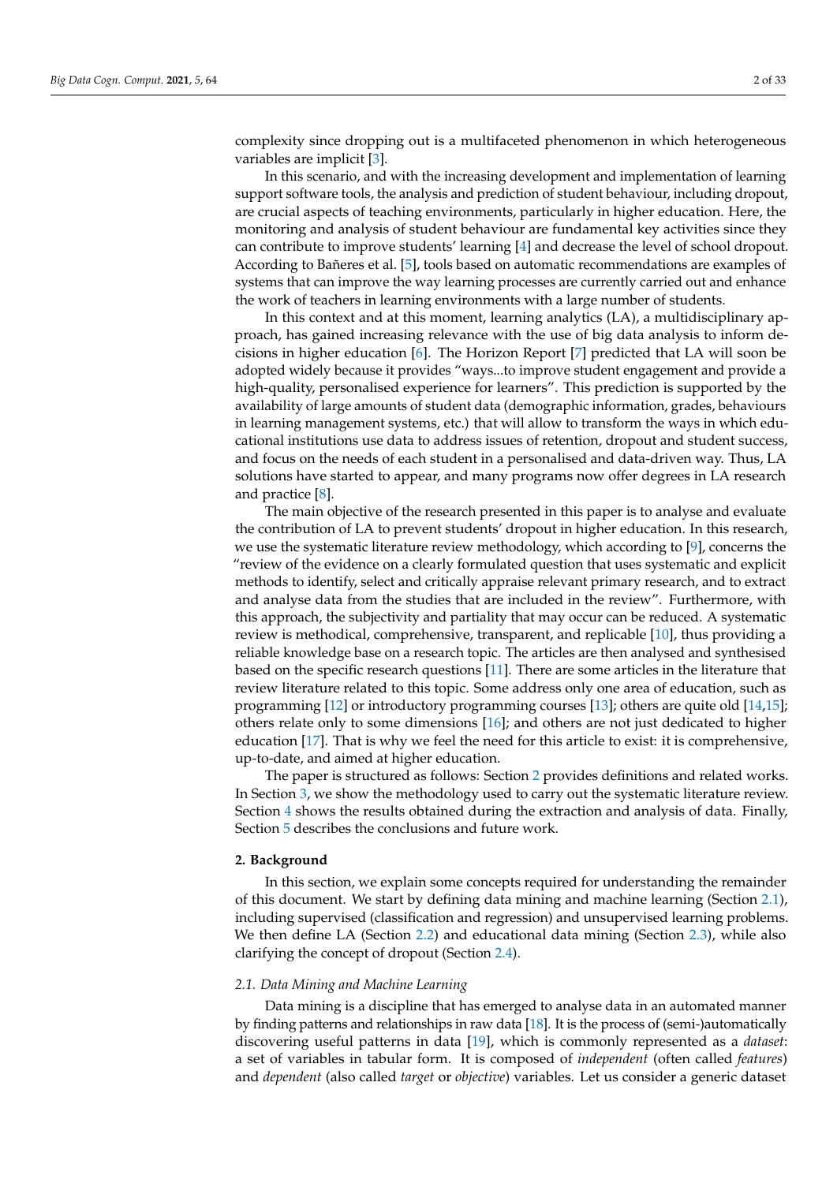complexity since dropping out is a multifaceted phenomenon in which heterogeneous variables are implicit [\[3\]](#page-28-2).

In this scenario, and with the increasing development and implementation of learning support software tools, the analysis and prediction of student behaviour, including dropout, are crucial aspects of teaching environments, particularly in higher education. Here, the monitoring and analysis of student behaviour are fundamental key activities since they can contribute to improve students' learning [\[4\]](#page-28-3) and decrease the level of school dropout. According to Bañeres et al. [\[5\]](#page-28-4), tools based on automatic recommendations are examples of systems that can improve the way learning processes are currently carried out and enhance the work of teachers in learning environments with a large number of students.

In this context and at this moment, learning analytics (LA), a multidisciplinary approach, has gained increasing relevance with the use of big data analysis to inform decisions in higher education [\[6\]](#page-28-5). The Horizon Report [\[7\]](#page-28-6) predicted that LA will soon be adopted widely because it provides "ways...to improve student engagement and provide a high-quality, personalised experience for learners". This prediction is supported by the availability of large amounts of student data (demographic information, grades, behaviours in learning management systems, etc.) that will allow to transform the ways in which educational institutions use data to address issues of retention, dropout and student success, and focus on the needs of each student in a personalised and data-driven way. Thus, LA solutions have started to appear, and many programs now offer degrees in LA research and practice [\[8\]](#page-28-7).

The main objective of the research presented in this paper is to analyse and evaluate the contribution of LA to prevent students' dropout in higher education. In this research, we use the systematic literature review methodology, which according to [\[9\]](#page-28-8), concerns the "review of the evidence on a clearly formulated question that uses systematic and explicit methods to identify, select and critically appraise relevant primary research, and to extract and analyse data from the studies that are included in the review". Furthermore, with this approach, the subjectivity and partiality that may occur can be reduced. A systematic review is methodical, comprehensive, transparent, and replicable [\[10\]](#page-28-9), thus providing a reliable knowledge base on a research topic. The articles are then analysed and synthesised based on the specific research questions [\[11\]](#page-28-10). There are some articles in the literature that review literature related to this topic. Some address only one area of education, such as programming [\[12\]](#page-28-11) or introductory programming courses [\[13\]](#page-29-0); others are quite old [\[14](#page-29-1)[,15\]](#page-29-2); others relate only to some dimensions [\[16\]](#page-29-3); and others are not just dedicated to higher education [\[17\]](#page-29-4). That is why we feel the need for this article to exist: it is comprehensive, up-to-date, and aimed at higher education.

The paper is structured as follows: Section [2](#page-1-0) provides definitions and related works. In Section [3,](#page-4-0) we show the methodology used to carry out the systematic literature review. Section [4](#page-6-0) shows the results obtained during the extraction and analysis of data. Finally, Section [5](#page-22-0) describes the conclusions and future work.

### <span id="page-1-0"></span>**2. Background**

In this section, we explain some concepts required for understanding the remainder of this document. We start by defining data mining and machine learning (Section [2.1\)](#page-1-1), including supervised (classification and regression) and unsupervised learning problems. We then define LA (Section [2.2\)](#page-3-0) and educational data mining (Section [2.3\)](#page-3-1), while also clarifying the concept of dropout (Section [2.4\)](#page-3-2).

#### <span id="page-1-1"></span>*2.1. Data Mining and Machine Learning*

Data mining is a discipline that has emerged to analyse data in an automated manner by finding patterns and relationships in raw data [\[18\]](#page-29-5). It is the process of (semi-)automatically discovering useful patterns in data [\[19\]](#page-29-6), which is commonly represented as a *dataset*: a set of variables in tabular form. It is composed of *independent* (often called *features*) and *dependent* (also called *target* or *objective*) variables. Let us consider a generic dataset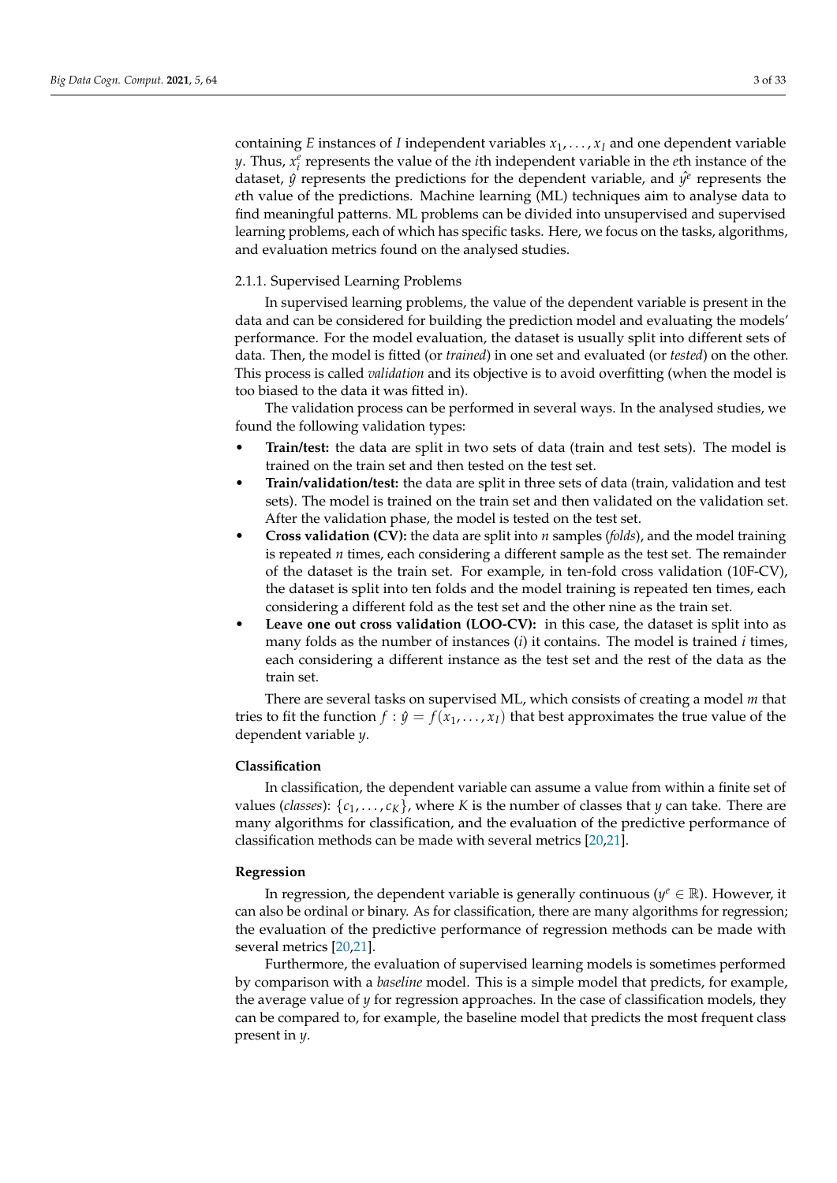containing *E* instances of *I* independent variables  $x_1, \ldots, x_I$  and one dependent variable *y*. Thus,  $x_i^e$  represents the value of the *i*th independent variable in the *e*th instance of the dataset,  $\hat{y}$  represents the predictions for the dependent variable, and  $\hat{y}^e$  represents the *e*th value of the predictions. Machine learning (ML) techniques aim to analyse data to find meaningful patterns. ML problems can be divided into unsupervised and supervised learning problems, each of which has specific tasks. Here, we focus on the tasks, algorithms, and evaluation metrics found on the analysed studies.

## 2.1.1. Supervised Learning Problems

In supervised learning problems, the value of the dependent variable is present in the data and can be considered for building the prediction model and evaluating the models' performance. For the model evaluation, the dataset is usually split into different sets of data. Then, the model is fitted (or *trained*) in one set and evaluated (or *tested*) on the other. This process is called *validation* and its objective is to avoid overfitting (when the model is too biased to the data it was fitted in).

The validation process can be performed in several ways. In the analysed studies, we found the following validation types:

- **Train/test:** the data are split in two sets of data (train and test sets). The model is trained on the train set and then tested on the test set.
- **Train/validation/test:** the data are split in three sets of data (train, validation and test sets). The model is trained on the train set and then validated on the validation set. After the validation phase, the model is tested on the test set.
- **Cross validation (CV):** the data are split into *n* samples (*folds*), and the model training is repeated *n* times, each considering a different sample as the test set. The remainder of the dataset is the train set. For example, in ten-fold cross validation (10F-CV), the dataset is split into ten folds and the model training is repeated ten times, each considering a different fold as the test set and the other nine as the train set.
- Leave one out cross validation (LOO-CV): in this case, the dataset is split into as many folds as the number of instances (*i*) it contains. The model is trained *i* times, each considering a different instance as the test set and the rest of the data as the train set.

There are several tasks on supervised ML, which consists of creating a model *m* that tries to fit the function  $f : \hat{y} = f(x_1, \ldots, x_I)$  that best approximates the true value of the dependent variable *y*.

# **Classification**

In classification, the dependent variable can assume a value from within a finite set of values (*classes*):  $\{c_1, \ldots, c_K\}$ , where *K* is the number of classes that *y* can take. There are many algorithms for classification, and the evaluation of the predictive performance of classification methods can be made with several metrics [\[20,](#page-29-7)[21\]](#page-29-8).

### **Regression**

In regression, the dependent variable is generally continuous ( $y^e \in \mathbb{R}$ ). However, it can also be ordinal or binary. As for classification, there are many algorithms for regression; the evaluation of the predictive performance of regression methods can be made with several metrics [\[20,](#page-29-7)[21\]](#page-29-8).

Furthermore, the evaluation of supervised learning models is sometimes performed by comparison with a *baseline* model. This is a simple model that predicts, for example, the average value of *y* for regression approaches. In the case of classification models, they can be compared to, for example, the baseline model that predicts the most frequent class present in *y*.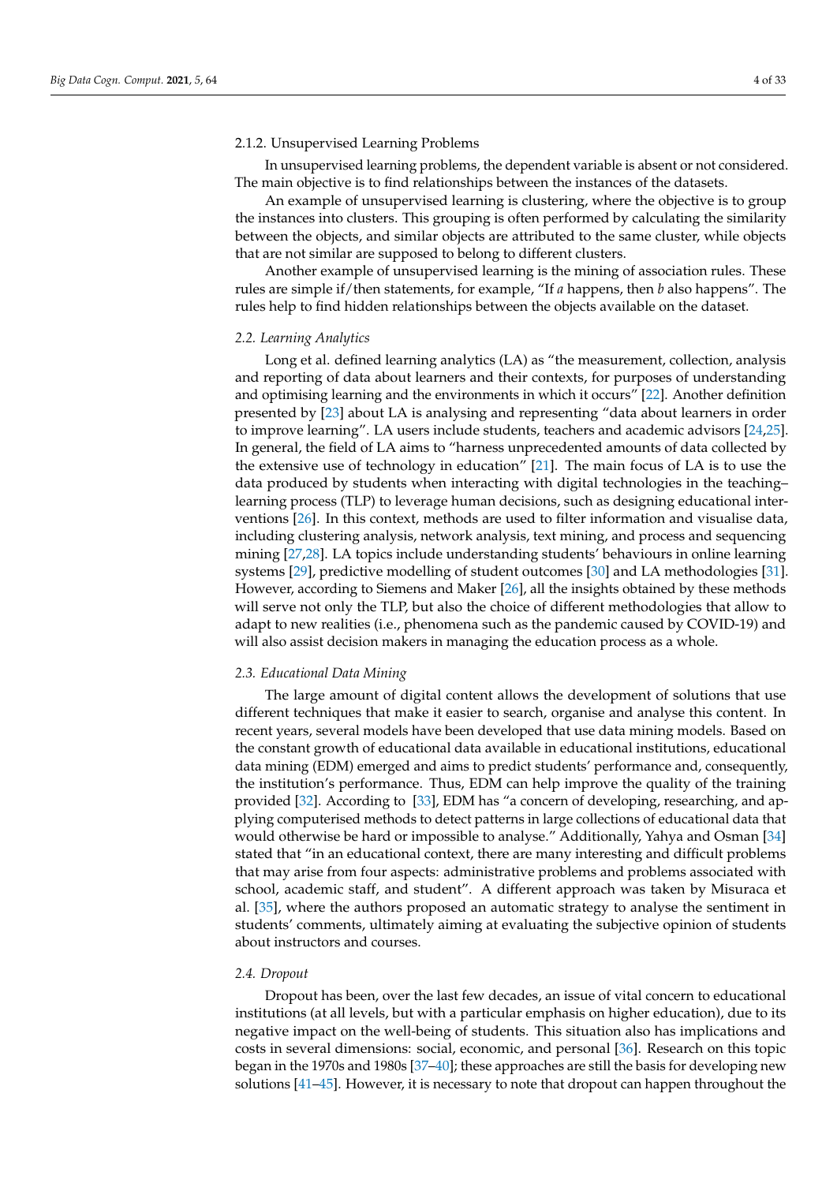## 2.1.2. Unsupervised Learning Problems

In unsupervised learning problems, the dependent variable is absent or not considered. The main objective is to find relationships between the instances of the datasets.

An example of unsupervised learning is clustering, where the objective is to group the instances into clusters. This grouping is often performed by calculating the similarity between the objects, and similar objects are attributed to the same cluster, while objects that are not similar are supposed to belong to different clusters.

Another example of unsupervised learning is the mining of association rules. These rules are simple if/then statements, for example, "If *a* happens, then *b* also happens". The rules help to find hidden relationships between the objects available on the dataset.

#### <span id="page-3-0"></span>*2.2. Learning Analytics*

Long et al. defined learning analytics (LA) as "the measurement, collection, analysis and reporting of data about learners and their contexts, for purposes of understanding and optimising learning and the environments in which it occurs" [\[22\]](#page-29-9). Another definition presented by [\[23\]](#page-29-10) about LA is analysing and representing "data about learners in order to improve learning". LA users include students, teachers and academic advisors [\[24,](#page-29-11)[25\]](#page-29-12). In general, the field of LA aims to "harness unprecedented amounts of data collected by the extensive use of technology in education" [\[21\]](#page-29-8). The main focus of LA is to use the data produced by students when interacting with digital technologies in the teaching– learning process (TLP) to leverage human decisions, such as designing educational interventions [\[26\]](#page-29-13). In this context, methods are used to filter information and visualise data, including clustering analysis, network analysis, text mining, and process and sequencing mining [\[27,](#page-29-14)[28\]](#page-29-15). LA topics include understanding students' behaviours in online learning systems [\[29\]](#page-29-16), predictive modelling of student outcomes [\[30\]](#page-29-17) and LA methodologies [\[31\]](#page-29-18). However, according to Siemens and Maker [\[26\]](#page-29-13), all the insights obtained by these methods will serve not only the TLP, but also the choice of different methodologies that allow to adapt to new realities (i.e., phenomena such as the pandemic caused by COVID-19) and will also assist decision makers in managing the education process as a whole.

### <span id="page-3-1"></span>*2.3. Educational Data Mining*

The large amount of digital content allows the development of solutions that use different techniques that make it easier to search, organise and analyse this content. In recent years, several models have been developed that use data mining models. Based on the constant growth of educational data available in educational institutions, educational data mining (EDM) emerged and aims to predict students' performance and, consequently, the institution's performance. Thus, EDM can help improve the quality of the training provided [\[32\]](#page-29-19). According to [\[33\]](#page-29-20), EDM has "a concern of developing, researching, and applying computerised methods to detect patterns in large collections of educational data that would otherwise be hard or impossible to analyse." Additionally, Yahya and Osman [\[34\]](#page-29-21) stated that "in an educational context, there are many interesting and difficult problems that may arise from four aspects: administrative problems and problems associated with school, academic staff, and student". A different approach was taken by Misuraca et al. [\[35\]](#page-29-22), where the authors proposed an automatic strategy to analyse the sentiment in students' comments, ultimately aiming at evaluating the subjective opinion of students about instructors and courses.

# <span id="page-3-2"></span>*2.4. Dropout*

Dropout has been, over the last few decades, an issue of vital concern to educational institutions (at all levels, but with a particular emphasis on higher education), due to its negative impact on the well-being of students. This situation also has implications and costs in several dimensions: social, economic, and personal [\[36\]](#page-29-23). Research on this topic began in the 1970s and 1980s [\[37–](#page-29-24)[40\]](#page-30-0); these approaches are still the basis for developing new solutions [\[41](#page-30-1)[–45\]](#page-30-2). However, it is necessary to note that dropout can happen throughout the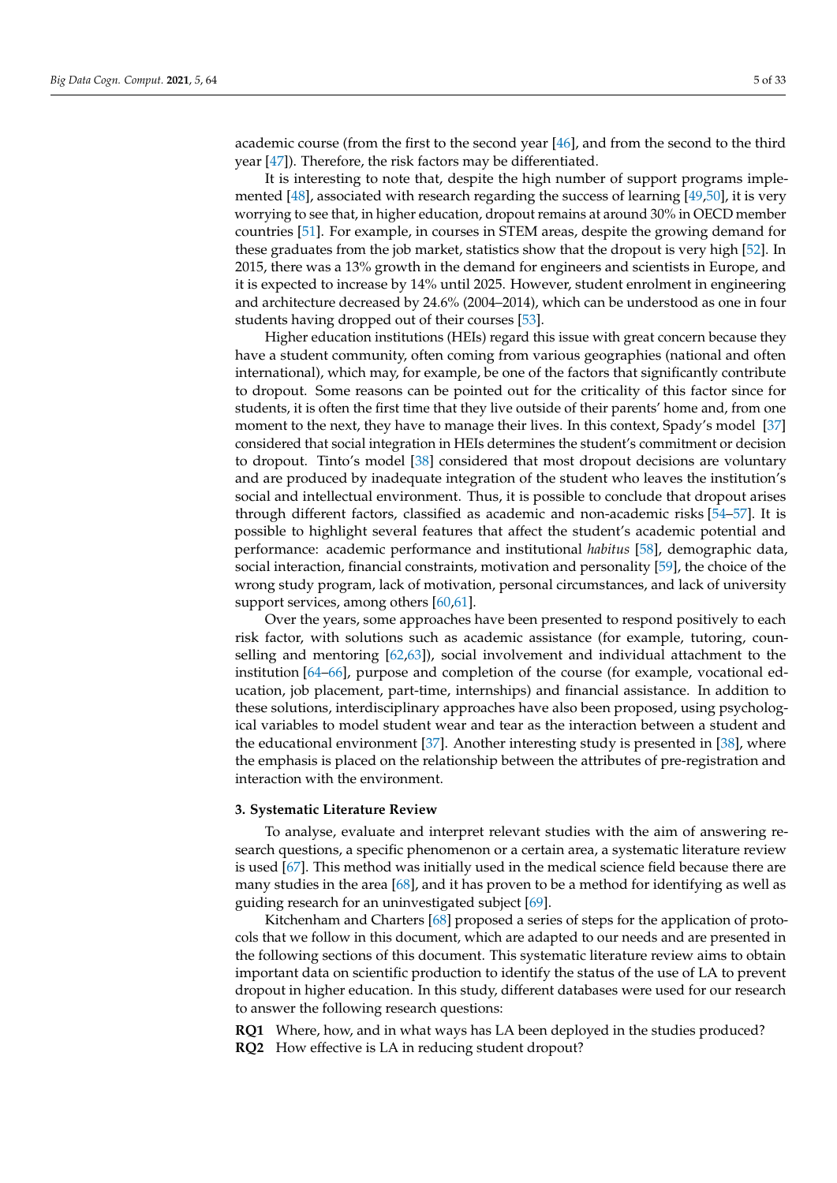academic course (from the first to the second year  $[46]$ , and from the second to the third year [\[47\]](#page-30-4)). Therefore, the risk factors may be differentiated.

It is interesting to note that, despite the high number of support programs implemented [\[48\]](#page-30-5), associated with research regarding the success of learning [\[49,](#page-30-6)[50\]](#page-30-7), it is very worrying to see that, in higher education, dropout remains at around 30% in OECD member countries [\[51\]](#page-30-8). For example, in courses in STEM areas, despite the growing demand for these graduates from the job market, statistics show that the dropout is very high [\[52\]](#page-30-9). In 2015, there was a 13% growth in the demand for engineers and scientists in Europe, and it is expected to increase by 14% until 2025. However, student enrolment in engineering and architecture decreased by 24.6% (2004–2014), which can be understood as one in four students having dropped out of their courses [\[53\]](#page-30-10).

Higher education institutions (HEIs) regard this issue with great concern because they have a student community, often coming from various geographies (national and often international), which may, for example, be one of the factors that significantly contribute to dropout. Some reasons can be pointed out for the criticality of this factor since for students, it is often the first time that they live outside of their parents' home and, from one moment to the next, they have to manage their lives. In this context, Spady's model [\[37\]](#page-29-24) considered that social integration in HEIs determines the student's commitment or decision to dropout. Tinto's model [\[38\]](#page-30-11) considered that most dropout decisions are voluntary and are produced by inadequate integration of the student who leaves the institution's social and intellectual environment. Thus, it is possible to conclude that dropout arises through different factors, classified as academic and non-academic risks [\[54–](#page-30-12)[57\]](#page-30-13). It is possible to highlight several features that affect the student's academic potential and performance: academic performance and institutional *habitus* [\[58\]](#page-30-14), demographic data, social interaction, financial constraints, motivation and personality [\[59\]](#page-30-15), the choice of the wrong study program, lack of motivation, personal circumstances, and lack of university support services, among others [\[60,](#page-30-16)[61\]](#page-30-17).

Over the years, some approaches have been presented to respond positively to each risk factor, with solutions such as academic assistance (for example, tutoring, counselling and mentoring [\[62](#page-30-18)[,63\]](#page-30-19)), social involvement and individual attachment to the institution [\[64–](#page-30-20)[66\]](#page-30-21), purpose and completion of the course (for example, vocational education, job placement, part-time, internships) and financial assistance. In addition to these solutions, interdisciplinary approaches have also been proposed, using psychological variables to model student wear and tear as the interaction between a student and the educational environment [\[37\]](#page-29-24). Another interesting study is presented in [\[38\]](#page-30-11), where the emphasis is placed on the relationship between the attributes of pre-registration and interaction with the environment.

# <span id="page-4-0"></span>**3. Systematic Literature Review**

To analyse, evaluate and interpret relevant studies with the aim of answering research questions, a specific phenomenon or a certain area, a systematic literature review is used [\[67\]](#page-30-22). This method was initially used in the medical science field because there are many studies in the area [\[68\]](#page-31-0), and it has proven to be a method for identifying as well as guiding research for an uninvestigated subject [\[69\]](#page-31-1).

Kitchenham and Charters [\[68\]](#page-31-0) proposed a series of steps for the application of protocols that we follow in this document, which are adapted to our needs and are presented in the following sections of this document. This systematic literature review aims to obtain important data on scientific production to identify the status of the use of LA to prevent dropout in higher education. In this study, different databases were used for our research to answer the following research questions:

<span id="page-4-1"></span>**RQ1** Where, how, and in what ways has LA been deployed in the studies produced?

**RQ2** How effective is LA in reducing student dropout?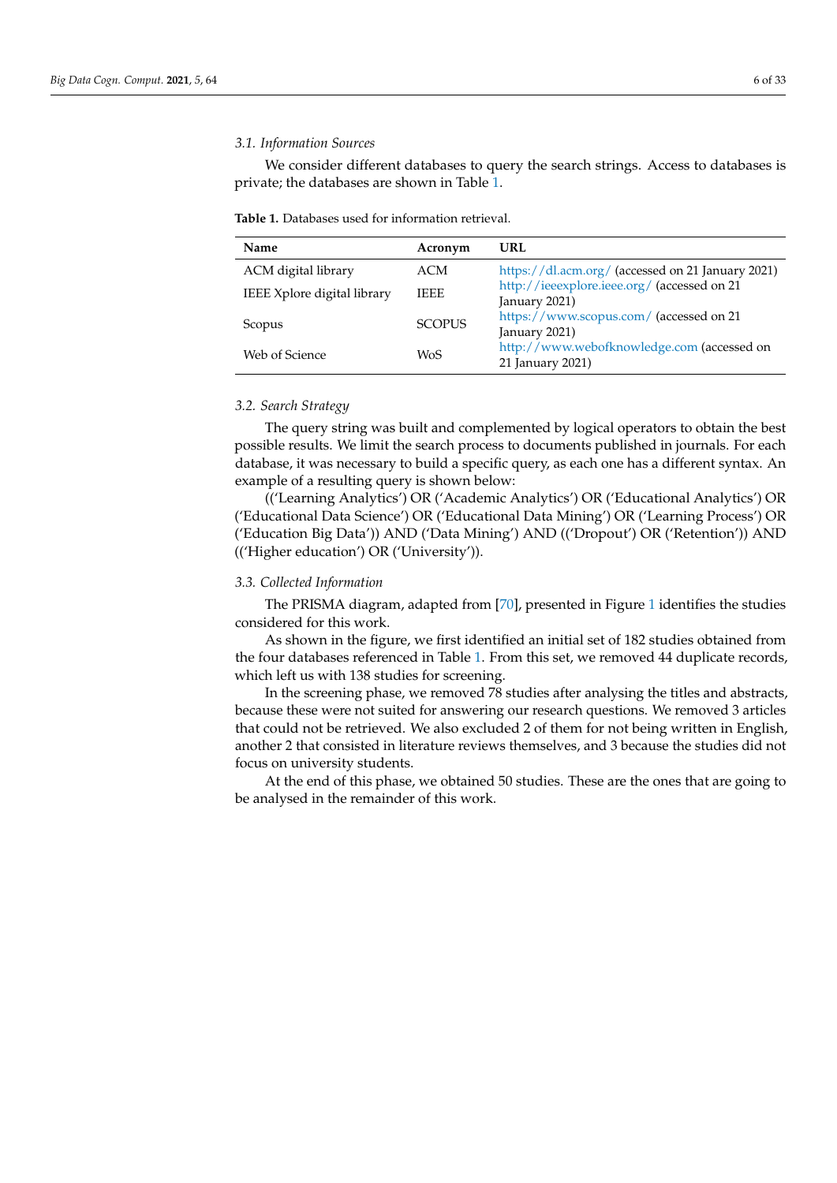# *3.1. Information Sources*

We consider different databases to query the search strings. Access to databases is private; the databases are shown in Table [1.](#page-5-0)

<span id="page-5-0"></span>**Table 1.** Databases used for information retrieval.

| <b>Name</b>                        | Acronym       | URL                                                            |
|------------------------------------|---------------|----------------------------------------------------------------|
| ACM digital library                | ACM           | https://dl.acm.org/ (accessed on 21 January 2021)              |
| <b>IEEE</b> Xplore digital library | <b>IEEE</b>   | http://ieeexplore.ieee.org/ (accessed on 21<br>January 2021)   |
| Scopus                             | <b>SCOPUS</b> | https://www.scopus.com/ (accessed on 21<br>January 2021)       |
| Web of Science                     | <b>WoS</b>    | http://www.webofknowledge.com (accessed on<br>21 January 2021) |

# *3.2. Search Strategy*

The query string was built and complemented by logical operators to obtain the best possible results. We limit the search process to documents published in journals. For each database, it was necessary to build a specific query, as each one has a different syntax. An example of a resulting query is shown below:

(('Learning Analytics') OR ('Academic Analytics') OR ('Educational Analytics') OR ('Educational Data Science') OR ('Educational Data Mining') OR ('Learning Process') OR ('Education Big Data')) AND ('Data Mining') AND (('Dropout') OR ('Retention')) AND (('Higher education') OR ('University')).

# *3.3. Collected Information*

The PRISMA diagram, adapted from [\[70\]](#page-31-2), presented in Figure [1](#page-6-1) identifies the studies considered for this work.

As shown in the figure, we first identified an initial set of 182 studies obtained from the four databases referenced in Table [1.](#page-5-0) From this set, we removed 44 duplicate records, which left us with 138 studies for screening.

In the screening phase, we removed 78 studies after analysing the titles and abstracts, because these were not suited for answering our research questions. We removed 3 articles that could not be retrieved. We also excluded 2 of them for not being written in English, another 2 that consisted in literature reviews themselves, and 3 because the studies did not focus on university students.

At the end of this phase, we obtained 50 studies. These are the ones that are going to be analysed in the remainder of this work.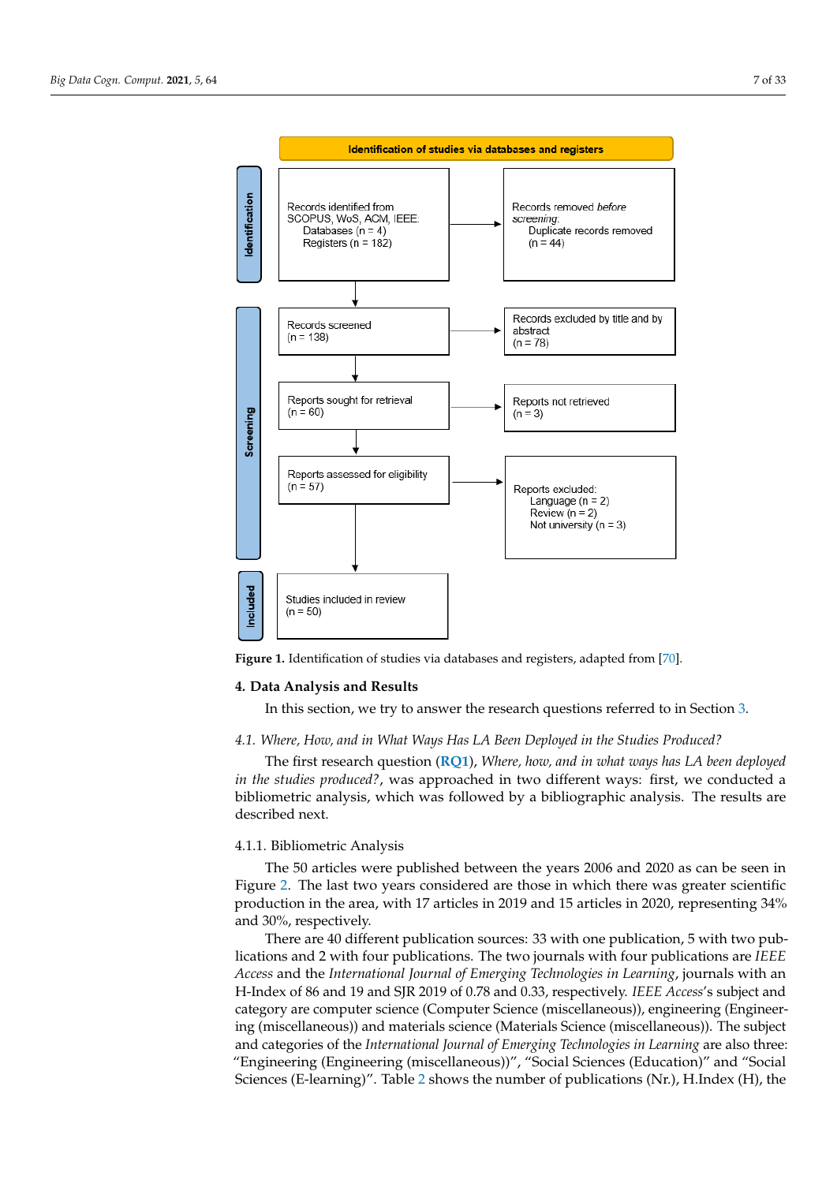<span id="page-6-1"></span>

**Figure 1.** Identification of studies via databases and registers, adapted from [\[70\]](#page-31-2).

#### <span id="page-6-0"></span>**4. Data Analysis and Results**

In this section, we try to answer the research questions referred to in Section [3.](#page-4-0)

# *4.1. Where, How, and in What Ways Has LA Been Deployed in the Studies Produced?*

The first research question (**[RQ1](#page-4-1)**), *Where, how, and in what ways has LA been deployed in the studies produced?*, was approached in two different ways: first, we conducted a bibliometric analysis, which was followed by a bibliographic analysis. The results are described next.

### 4.1.1. Bibliometric Analysis

The 50 articles were published between the years 2006 and 2020 as can be seen in Figure [2.](#page-7-0) The last two years considered are those in which there was greater scientific production in the area, with 17 articles in 2019 and 15 articles in 2020, representing 34% and 30%, respectively.

There are 40 different publication sources: 33 with one publication, 5 with two publications and 2 with four publications. The two journals with four publications are *IEEE Access* and the *International Journal of Emerging Technologies in Learning*, journals with an H-Index of 86 and 19 and SJR 2019 of 0.78 and 0.33, respectively. *IEEE Access*'s subject and category are computer science (Computer Science (miscellaneous)), engineering (Engineering (miscellaneous)) and materials science (Materials Science (miscellaneous)). The subject and categories of the *International Journal of Emerging Technologies in Learning* are also three: "Engineering (Engineering (miscellaneous))", "Social Sciences (Education)" and "Social Sciences (E-learning)". Table [2](#page-7-1) shows the number of publications (Nr.), H.Index (H), the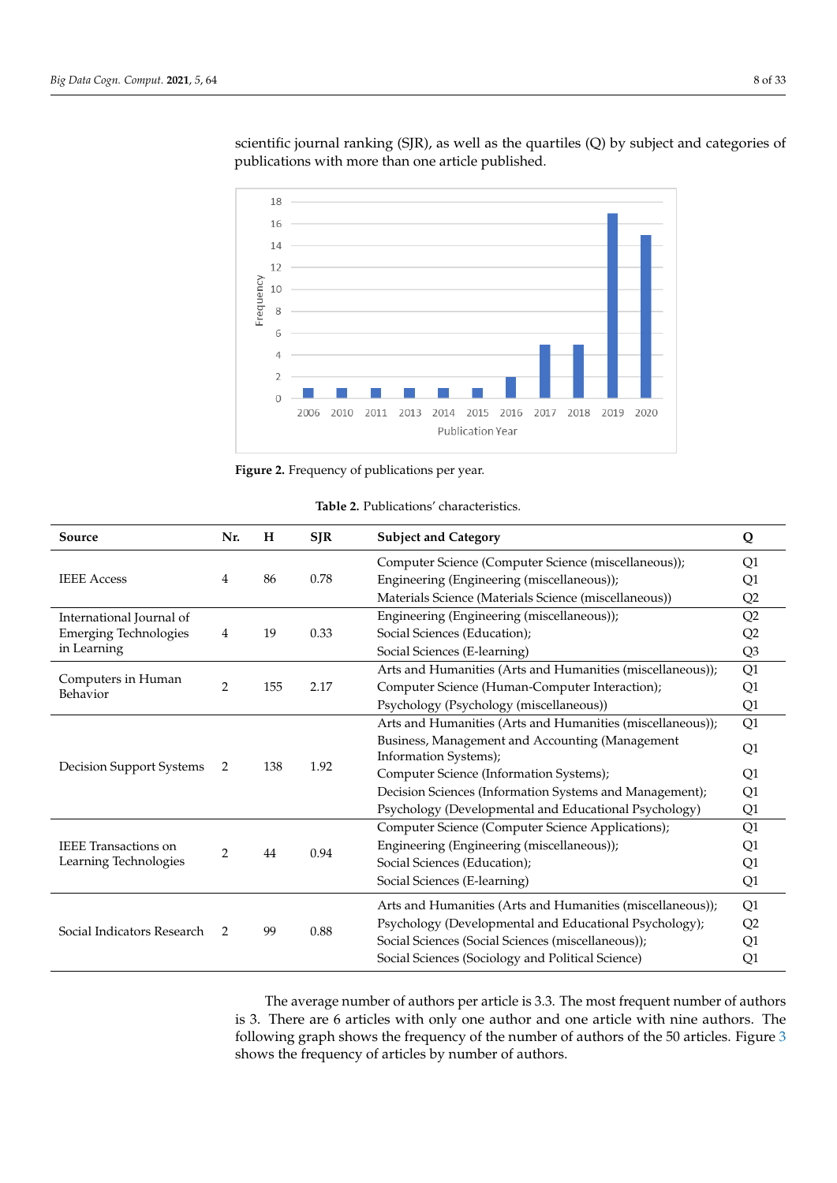<span id="page-7-0"></span>

scientific journal ranking (SJR), as well as the quartiles (Q) by subject and categories of publications with more than one article published.

**Figure 2.** Frequency of publications per year.

<span id="page-7-1"></span>

| Source                         | Nr.            | H               | <b>SJR</b>                                             | <b>Subject and Category</b>                                | Q              |
|--------------------------------|----------------|-----------------|--------------------------------------------------------|------------------------------------------------------------|----------------|
| <b>IEEE</b> Access             |                |                 |                                                        | Computer Science (Computer Science (miscellaneous));       | Q1             |
|                                | 4              | 86              | 0.78                                                   | Engineering (Engineering (miscellaneous));                 | Q1             |
|                                |                |                 |                                                        | Materials Science (Materials Science (miscellaneous))      | Q2             |
| International Journal of       |                |                 |                                                        | Engineering (Engineering (miscellaneous));                 | Q2             |
| <b>Emerging Technologies</b>   | 4              | 19              | 0.33                                                   | Social Sciences (Education);                               | Q2             |
| in Learning                    |                |                 |                                                        | Social Sciences (E-learning)                               | Q <sub>3</sub> |
|                                | $\overline{2}$ |                 |                                                        | Arts and Humanities (Arts and Humanities (miscellaneous)); | Q1             |
| Computers in Human<br>Behavior |                | 155             | 2.17                                                   | Computer Science (Human-Computer Interaction);             | Q1             |
|                                |                |                 |                                                        | Psychology (Psychology (miscellaneous))                    | Q1             |
|                                |                |                 |                                                        | Arts and Humanities (Arts and Humanities (miscellaneous)); | Q1             |
|                                |                |                 |                                                        | Business, Management and Accounting (Management            | Q1             |
|                                | 2              | 138             | 1.92                                                   | Information Systems);                                      |                |
| Decision Support Systems       |                |                 |                                                        | Computer Science (Information Systems);                    | Q1             |
|                                |                |                 |                                                        | Decision Sciences (Information Systems and Management);    | Q1             |
|                                |                |                 |                                                        | Psychology (Developmental and Educational Psychology)      | Q1             |
|                                |                |                 |                                                        | Computer Science (Computer Science Applications);          | Q1             |
| <b>IEEE</b> Transactions on    | $\overline{2}$ | 44              | 0.94                                                   | Engineering (Engineering (miscellaneous));                 | Q1             |
| Learning Technologies          |                |                 |                                                        | Social Sciences (Education);                               | Q1             |
|                                |                |                 |                                                        | Social Sciences (E-learning)                               | Q1             |
|                                |                |                 |                                                        | Arts and Humanities (Arts and Humanities (miscellaneous)); | Q1             |
| Social Indicators Research     |                | 99<br>0.88<br>2 | Psychology (Developmental and Educational Psychology); | Q2                                                         |                |
|                                |                |                 |                                                        | Social Sciences (Social Sciences (miscellaneous));         | Q1             |
|                                |                |                 |                                                        | Social Sciences (Sociology and Political Science)          | Q1             |

The average number of authors per article is 3.3. The most frequent number of authors is 3. There are 6 articles with only one author and one article with nine authors. The following graph shows the frequency of the number of authors of the 50 articles. Figure [3](#page-8-0) shows the frequency of articles by number of authors.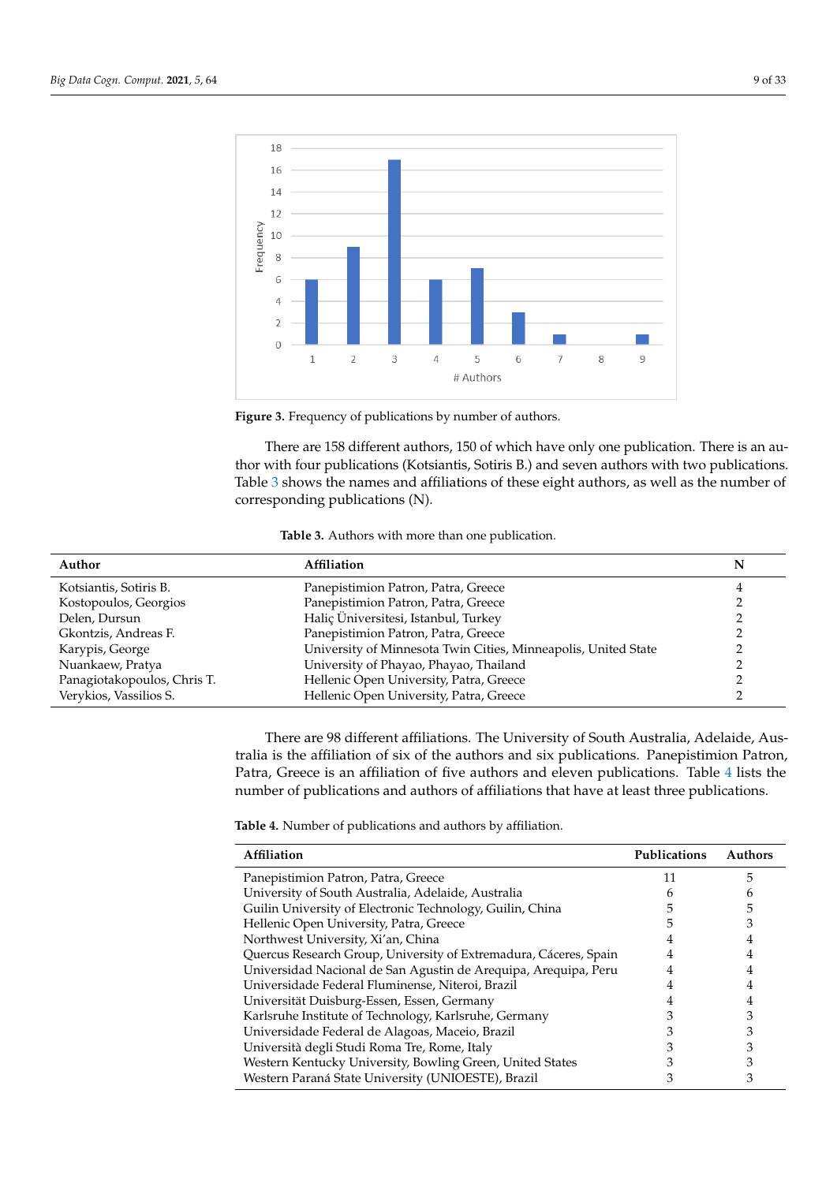<span id="page-8-0"></span>



There are 158 different authors, 150 of which have only one publication. There is an author with four publications (Kotsiantis, Sotiris B.) and seven authors with two publications. Table [3](#page-8-1) shows the names and affiliations of these eight authors, as well as the number of corresponding publications (N).

| Table 3. Authors with more than one publication. |  |
|--------------------------------------------------|--|
|--------------------------------------------------|--|

<span id="page-8-1"></span>

| Author                      | Affiliation                                                    | N |
|-----------------------------|----------------------------------------------------------------|---|
| Kotsiantis, Sotiris B.      | Panepistimion Patron, Patra, Greece                            |   |
| Kostopoulos, Georgios       | Panepistimion Patron, Patra, Greece                            |   |
| Delen, Dursun               | Haliç Üniversitesi, Istanbul, Turkey                           |   |
| Gkontzis, Andreas F.        | Panepistimion Patron, Patra, Greece                            |   |
| Karypis, George             | University of Minnesota Twin Cities, Minneapolis, United State |   |
| Nuankaew, Pratya            | University of Phayao, Phayao, Thailand                         |   |
| Panagiotakopoulos, Chris T. | Hellenic Open University, Patra, Greece                        |   |
| Verykios, Vassilios S.      | Hellenic Open University, Patra, Greece                        |   |

There are 98 different affiliations. The University of South Australia, Adelaide, Australia is the affiliation of six of the authors and six publications. Panepistimion Patron, Patra, Greece is an affiliation of five authors and eleven publications. Table [4](#page-8-2) lists the number of publications and authors of affiliations that have at least three publications.

<span id="page-8-2"></span>**Table 4.** Number of publications and authors by affiliation.

| Affiliation                                                       | <b>Publications</b> | Authors |
|-------------------------------------------------------------------|---------------------|---------|
| Panepistimion Patron, Patra, Greece                               | 11                  | 5       |
| University of South Australia, Adelaide, Australia                |                     |         |
| Guilin University of Electronic Technology, Guilin, China         |                     | 5       |
| Hellenic Open University, Patra, Greece                           |                     |         |
| Northwest University, Xi'an, China                                |                     | 4       |
| Quercus Research Group, University of Extremadura, Cáceres, Spain |                     |         |
| Universidad Nacional de San Agustin de Arequipa, Arequipa, Peru   |                     | 4       |
| Universidade Federal Fluminense, Niteroi, Brazil                  |                     | 4       |
| Universität Duisburg-Essen, Essen, Germany                        |                     |         |
| Karlsruhe Institute of Technology, Karlsruhe, Germany             |                     |         |
| Universidade Federal de Alagoas, Maceio, Brazil                   |                     |         |
| Università degli Studi Roma Tre, Rome, Italy                      |                     |         |
| Western Kentucky University, Bowling Green, United States         |                     |         |
| Western Paraná State University (UNIOESTE), Brazil                |                     |         |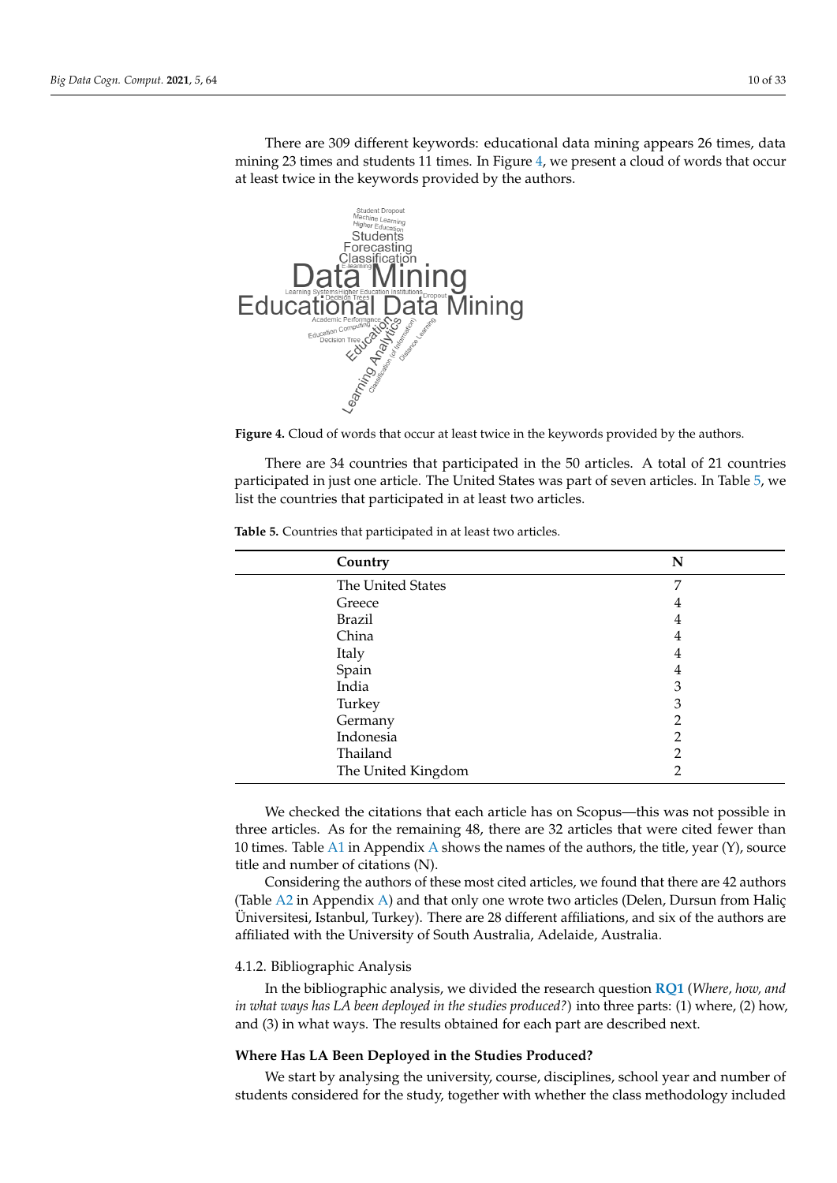There are 309 different keywords: educational data mining appears 26 times, data mining 23 times and students 11 times. In Figure [4,](#page-9-0) we present a cloud of words that occur at least twice in the keywords provided by the authors.

<span id="page-9-0"></span>

**Figure 4.** Cloud of words that occur at least twice in the keywords provided by the authors.

There are 34 countries that participated in the 50 articles. A total of 21 countries participated in just one article. The United States was part of seven articles. In Table [5,](#page-9-1) we list the countries that participated in at least two articles.

| Country            | N |
|--------------------|---|
| The United States  | 7 |
| Greece             | 4 |
| <b>Brazil</b>      | 4 |
| China              | 4 |
| Italy              | 4 |
| Spain              | 4 |
| India              | 3 |
| Turkey             | 3 |
| Germany            | 2 |
| Indonesia          | 2 |
| Thailand           | 2 |
| The United Kingdom | າ |
|                    |   |

<span id="page-9-1"></span>**Table 5.** Countries that participated in at least two articles.

We checked the citations that each article has on Scopus—this was not possible in three articles. As for the remaining 48, there are 32 articles that were cited fewer than 10 times. Table [A1](#page-25-0) in [A](#page-25-1)ppendix A shows the names of the authors, the title, year  $(Y)$ , source title and number of citations (N).

Considering the authors of these most cited articles, we found that there are 42 authors (Table [A2](#page-26-0) in Appendix [A\)](#page-25-1) and that only one wrote two articles (Delen, Dursun from Haliç Üniversitesi, Istanbul, Turkey). There are 28 different affiliations, and six of the authors are affiliated with the University of South Australia, Adelaide, Australia.

# 4.1.2. Bibliographic Analysis

In the bibliographic analysis, we divided the research question **[RQ1](#page-4-1)** (*Where, how, and in what ways has LA been deployed in the studies produced?*) into three parts: (1) where, (2) how, and (3) in what ways. The results obtained for each part are described next.

# **Where Has LA Been Deployed in the Studies Produced?**

We start by analysing the university, course, disciplines, school year and number of students considered for the study, together with whether the class methodology included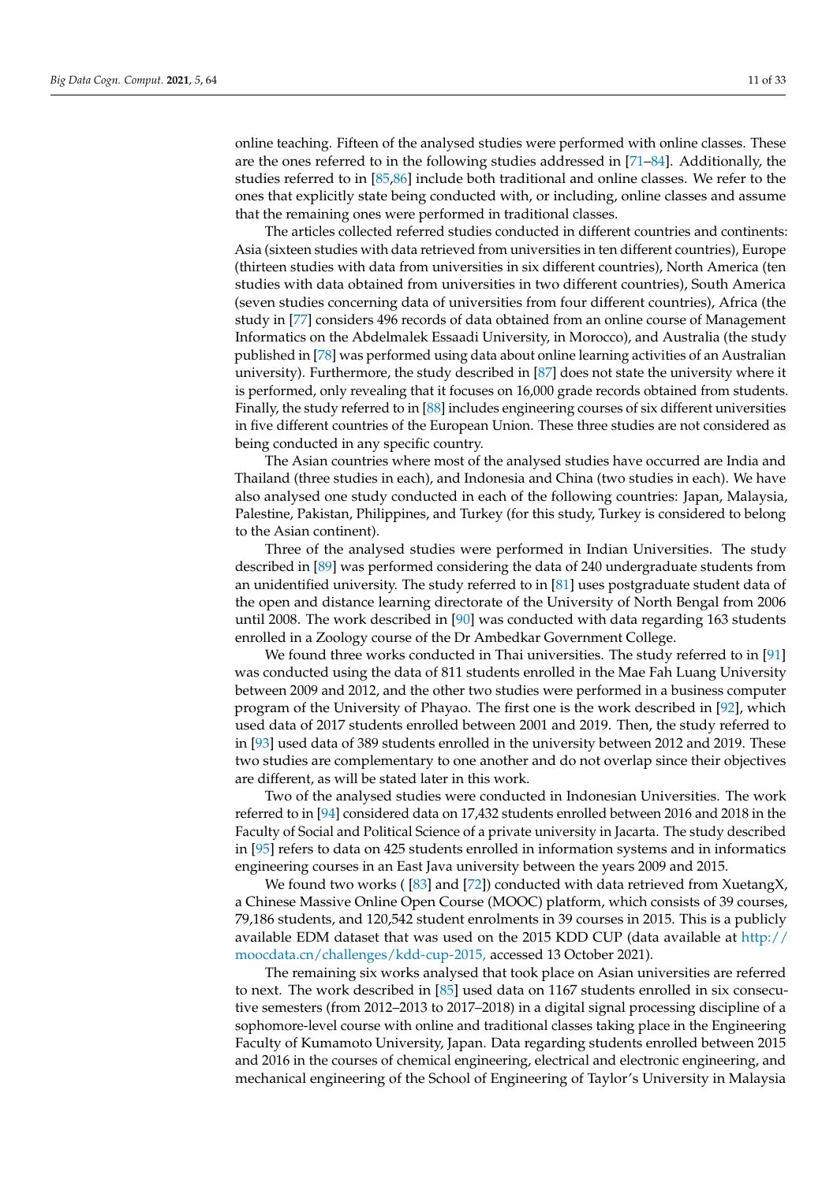online teaching. Fifteen of the analysed studies were performed with online classes. These are the ones referred to in the following studies addressed in [\[71](#page-31-3)[–84\]](#page-31-4). Additionally, the studies referred to in [\[85](#page-31-5)[,86\]](#page-31-6) include both traditional and online classes. We refer to the ones that explicitly state being conducted with, or including, online classes and assume that the remaining ones were performed in traditional classes.

The articles collected referred studies conducted in different countries and continents: Asia (sixteen studies with data retrieved from universities in ten different countries), Europe (thirteen studies with data from universities in six different countries), North America (ten studies with data obtained from universities in two different countries), South America (seven studies concerning data of universities from four different countries), Africa (the study in [\[77\]](#page-31-7) considers 496 records of data obtained from an online course of Management Informatics on the Abdelmalek Essaadi University, in Morocco), and Australia (the study published in [\[78\]](#page-31-8) was performed using data about online learning activities of an Australian university). Furthermore, the study described in [\[87\]](#page-31-9) does not state the university where it is performed, only revealing that it focuses on 16,000 grade records obtained from students. Finally, the study referred to in [\[88\]](#page-31-10) includes engineering courses of six different universities in five different countries of the European Union. These three studies are not considered as being conducted in any specific country.

The Asian countries where most of the analysed studies have occurred are India and Thailand (three studies in each), and Indonesia and China (two studies in each). We have also analysed one study conducted in each of the following countries: Japan, Malaysia, Palestine, Pakistan, Philippines, and Turkey (for this study, Turkey is considered to belong to the Asian continent).

Three of the analysed studies were performed in Indian Universities. The study described in [\[89\]](#page-31-11) was performed considering the data of 240 undergraduate students from an unidentified university. The study referred to in [\[81\]](#page-31-12) uses postgraduate student data of the open and distance learning directorate of the University of North Bengal from 2006 until 2008. The work described in [\[90\]](#page-31-13) was conducted with data regarding 163 students enrolled in a Zoology course of the Dr Ambedkar Government College.

We found three works conducted in Thai universities. The study referred to in [\[91\]](#page-31-14) was conducted using the data of 811 students enrolled in the Mae Fah Luang University between 2009 and 2012, and the other two studies were performed in a business computer program of the University of Phayao. The first one is the work described in [\[92\]](#page-31-15), which used data of 2017 students enrolled between 2001 and 2019. Then, the study referred to in [\[93\]](#page-31-16) used data of 389 students enrolled in the university between 2012 and 2019. These two studies are complementary to one another and do not overlap since their objectives are different, as will be stated later in this work.

Two of the analysed studies were conducted in Indonesian Universities. The work referred to in [\[94\]](#page-31-17) considered data on 17,432 students enrolled between 2016 and 2018 in the Faculty of Social and Political Science of a private university in Jacarta. The study described in [\[95\]](#page-32-0) refers to data on 425 students enrolled in information systems and in informatics engineering courses in an East Java university between the years 2009 and 2015.

We found two works ( $[83]$  and  $[72]$ ) conducted with data retrieved from XuetangX, a Chinese Massive Online Open Course (MOOC) platform, which consists of 39 courses, 79,186 students, and 120,542 student enrolments in 39 courses in 2015. This is a publicly available EDM dataset that was used on the 2015 KDD CUP (data available at [http://](http://moocdata.cn/challenges/kdd-cup-2015,) [moocdata.cn/challenges/kdd-cup-2015,](http://moocdata.cn/challenges/kdd-cup-2015,) accessed 13 October 2021).

The remaining six works analysed that took place on Asian universities are referred to next. The work described in [\[85\]](#page-31-5) used data on 1167 students enrolled in six consecutive semesters (from 2012–2013 to 2017–2018) in a digital signal processing discipline of a sophomore-level course with online and traditional classes taking place in the Engineering Faculty of Kumamoto University, Japan. Data regarding students enrolled between 2015 and 2016 in the courses of chemical engineering, electrical and electronic engineering, and mechanical engineering of the School of Engineering of Taylor's University in Malaysia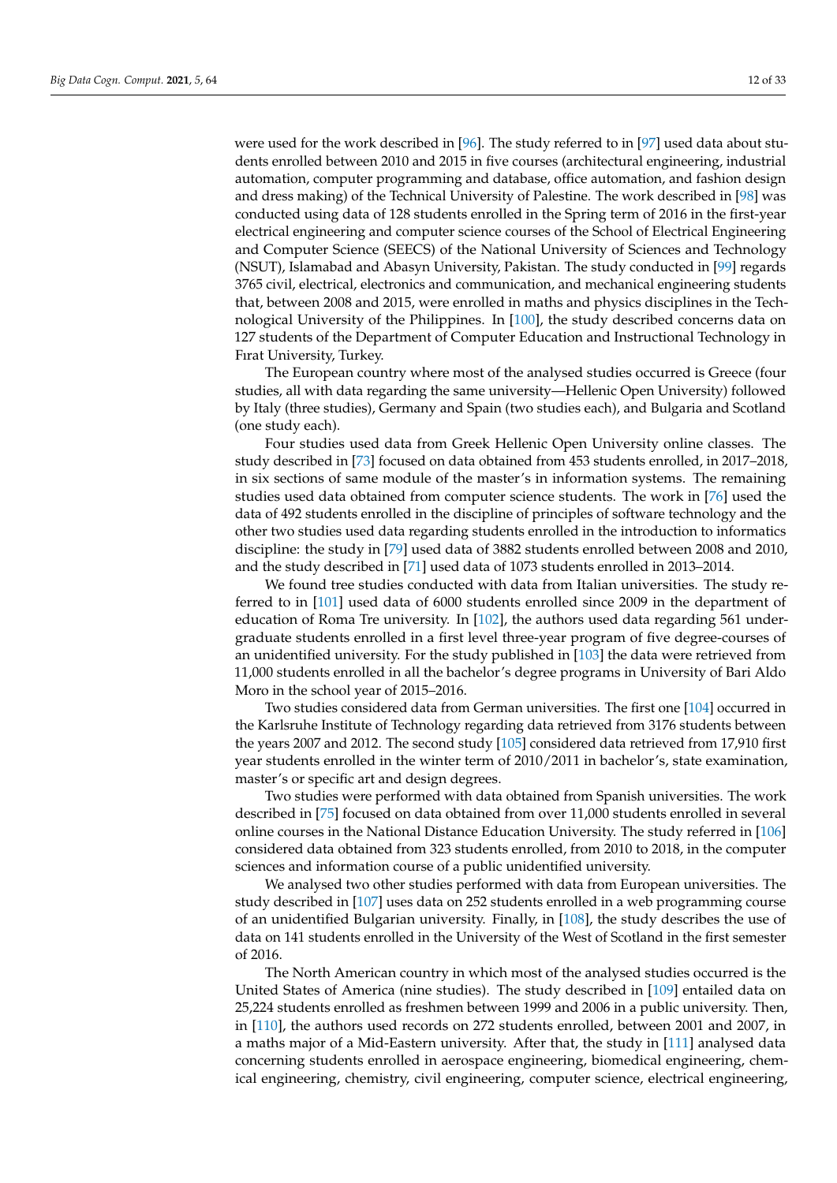were used for the work described in [\[96\]](#page-32-1). The study referred to in [\[97\]](#page-32-2) used data about students enrolled between 2010 and 2015 in five courses (architectural engineering, industrial automation, computer programming and database, office automation, and fashion design and dress making) of the Technical University of Palestine. The work described in [\[98\]](#page-32-3) was conducted using data of 128 students enrolled in the Spring term of 2016 in the first-year electrical engineering and computer science courses of the School of Electrical Engineering and Computer Science (SEECS) of the National University of Sciences and Technology (NSUT), Islamabad and Abasyn University, Pakistan. The study conducted in [\[99\]](#page-32-4) regards 3765 civil, electrical, electronics and communication, and mechanical engineering students that, between 2008 and 2015, were enrolled in maths and physics disciplines in the Technological University of the Philippines. In [\[100\]](#page-32-5), the study described concerns data on 127 students of the Department of Computer Education and Instructional Technology in Fırat University, Turkey.

The European country where most of the analysed studies occurred is Greece (four studies, all with data regarding the same university—Hellenic Open University) followed by Italy (three studies), Germany and Spain (two studies each), and Bulgaria and Scotland (one study each).

Four studies used data from Greek Hellenic Open University online classes. The study described in [\[73\]](#page-31-20) focused on data obtained from 453 students enrolled, in 2017–2018, in six sections of same module of the master's in information systems. The remaining studies used data obtained from computer science students. The work in [\[76\]](#page-31-21) used the data of 492 students enrolled in the discipline of principles of software technology and the other two studies used data regarding students enrolled in the introduction to informatics discipline: the study in [\[79\]](#page-31-22) used data of 3882 students enrolled between 2008 and 2010, and the study described in [\[71\]](#page-31-3) used data of 1073 students enrolled in 2013–2014.

We found tree studies conducted with data from Italian universities. The study referred to in [\[101\]](#page-32-6) used data of 6000 students enrolled since 2009 in the department of education of Roma Tre university. In [\[102\]](#page-32-7), the authors used data regarding 561 undergraduate students enrolled in a first level three-year program of five degree-courses of an unidentified university. For the study published in [\[103\]](#page-32-8) the data were retrieved from 11,000 students enrolled in all the bachelor's degree programs in University of Bari Aldo Moro in the school year of 2015–2016.

Two studies considered data from German universities. The first one [\[104\]](#page-32-9) occurred in the Karlsruhe Institute of Technology regarding data retrieved from 3176 students between the years 2007 and 2012. The second study [\[105\]](#page-32-10) considered data retrieved from 17,910 first year students enrolled in the winter term of 2010/2011 in bachelor's, state examination, master's or specific art and design degrees.

Two studies were performed with data obtained from Spanish universities. The work described in [\[75\]](#page-31-23) focused on data obtained from over 11,000 students enrolled in several online courses in the National Distance Education University. The study referred in [\[106\]](#page-32-11) considered data obtained from 323 students enrolled, from 2010 to 2018, in the computer sciences and information course of a public unidentified university.

We analysed two other studies performed with data from European universities. The study described in [\[107\]](#page-32-12) uses data on 252 students enrolled in a web programming course of an unidentified Bulgarian university. Finally, in [\[108\]](#page-32-13), the study describes the use of data on 141 students enrolled in the University of the West of Scotland in the first semester of 2016.

The North American country in which most of the analysed studies occurred is the United States of America (nine studies). The study described in [\[109\]](#page-32-14) entailed data on 25,224 students enrolled as freshmen between 1999 and 2006 in a public university. Then, in [\[110\]](#page-32-15), the authors used records on 272 students enrolled, between 2001 and 2007, in a maths major of a Mid-Eastern university. After that, the study in [\[111\]](#page-32-16) analysed data concerning students enrolled in aerospace engineering, biomedical engineering, chemical engineering, chemistry, civil engineering, computer science, electrical engineering,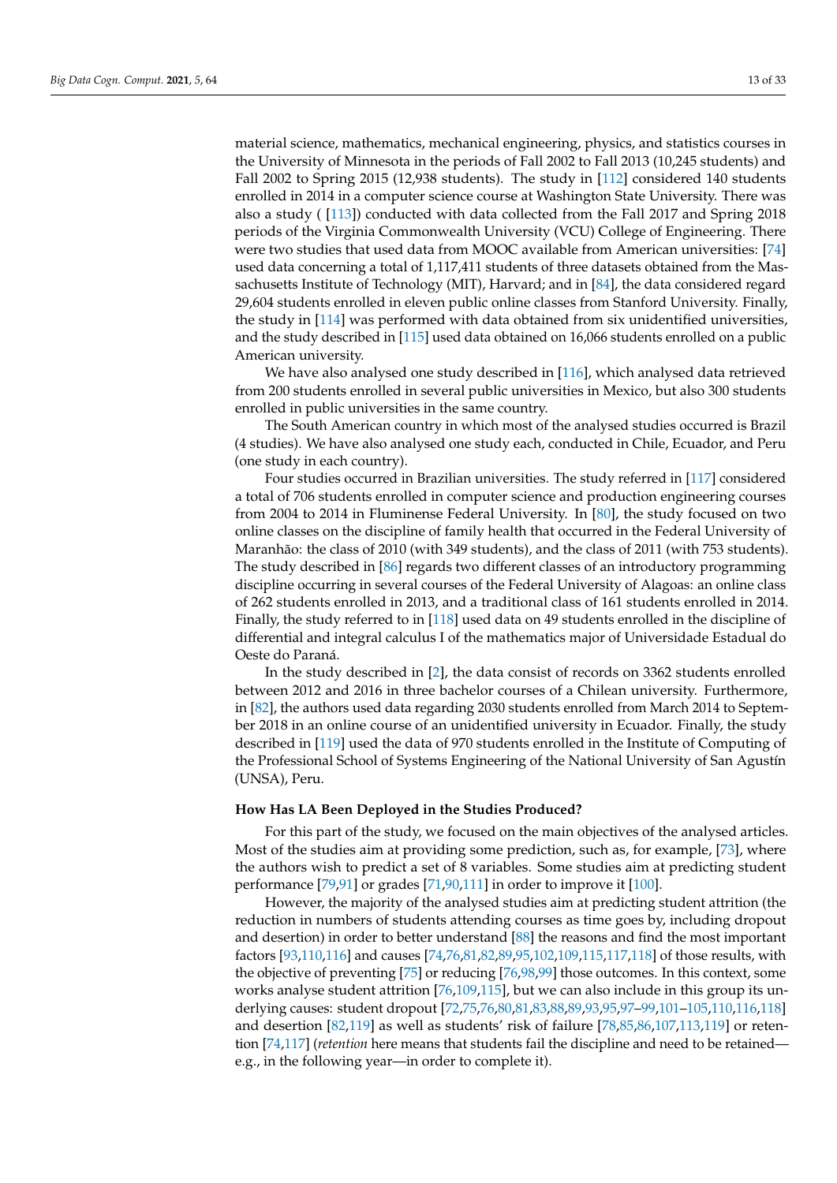material science, mathematics, mechanical engineering, physics, and statistics courses in the University of Minnesota in the periods of Fall 2002 to Fall 2013 (10,245 students) and Fall 2002 to Spring 2015 (12,938 students). The study in [\[112\]](#page-32-17) considered 140 students enrolled in 2014 in a computer science course at Washington State University. There was also a study ( [\[113\]](#page-32-18)) conducted with data collected from the Fall 2017 and Spring 2018 periods of the Virginia Commonwealth University (VCU) College of Engineering. There were two studies that used data from MOOC available from American universities: [\[74\]](#page-31-24) used data concerning a total of 1,117,411 students of three datasets obtained from the Massachusetts Institute of Technology (MIT), Harvard; and in [\[84\]](#page-31-4), the data considered regard 29,604 students enrolled in eleven public online classes from Stanford University. Finally, the study in [\[114\]](#page-32-19) was performed with data obtained from six unidentified universities, and the study described in [\[115\]](#page-32-20) used data obtained on 16,066 students enrolled on a public American university.

We have also analysed one study described in [\[116\]](#page-32-21), which analysed data retrieved from 200 students enrolled in several public universities in Mexico, but also 300 students enrolled in public universities in the same country.

The South American country in which most of the analysed studies occurred is Brazil (4 studies). We have also analysed one study each, conducted in Chile, Ecuador, and Peru (one study in each country).

Four studies occurred in Brazilian universities. The study referred in [\[117\]](#page-32-22) considered a total of 706 students enrolled in computer science and production engineering courses from 2004 to 2014 in Fluminense Federal University. In [\[80\]](#page-31-25), the study focused on two online classes on the discipline of family health that occurred in the Federal University of Maranhão: the class of 2010 (with 349 students), and the class of 2011 (with 753 students). The study described in [\[86\]](#page-31-6) regards two different classes of an introductory programming discipline occurring in several courses of the Federal University of Alagoas: an online class of 262 students enrolled in 2013, and a traditional class of 161 students enrolled in 2014. Finally, the study referred to in [\[118\]](#page-32-23) used data on 49 students enrolled in the discipline of differential and integral calculus I of the mathematics major of Universidade Estadual do Oeste do Paraná.

In the study described in [\[2\]](#page-28-1), the data consist of records on 3362 students enrolled between 2012 and 2016 in three bachelor courses of a Chilean university. Furthermore, in [\[82\]](#page-31-26), the authors used data regarding 2030 students enrolled from March 2014 to September 2018 in an online course of an unidentified university in Ecuador. Finally, the study described in [\[119\]](#page-32-24) used the data of 970 students enrolled in the Institute of Computing of the Professional School of Systems Engineering of the National University of San Agustín (UNSA), Peru.

# **How Has LA Been Deployed in the Studies Produced?**

For this part of the study, we focused on the main objectives of the analysed articles. Most of the studies aim at providing some prediction, such as, for example, [\[73\]](#page-31-20), where the authors wish to predict a set of 8 variables. Some studies aim at predicting student performance [\[79](#page-31-22)[,91\]](#page-31-14) or grades [\[71](#page-31-3)[,90](#page-31-13)[,111\]](#page-32-16) in order to improve it [\[100\]](#page-32-5).

However, the majority of the analysed studies aim at predicting student attrition (the reduction in numbers of students attending courses as time goes by, including dropout and desertion) in order to better understand [\[88\]](#page-31-10) the reasons and find the most important factors [\[93](#page-31-16)[,110,](#page-32-15)[116\]](#page-32-21) and causes [\[74](#page-31-24)[,76](#page-31-21)[,81,](#page-31-12)[82,](#page-31-26)[89,](#page-31-11)[95](#page-32-0)[,102](#page-32-7)[,109,](#page-32-14)[115,](#page-32-20)[117,](#page-32-22)[118\]](#page-32-23) of those results, with the objective of preventing [\[75\]](#page-31-23) or reducing [\[76,](#page-31-21)[98,](#page-32-3)[99\]](#page-32-4) those outcomes. In this context, some works analyse student attrition [\[76](#page-31-21)[,109](#page-32-14)[,115\]](#page-32-20), but we can also include in this group its underlying causes: student dropout [\[72](#page-31-19)[,75](#page-31-23)[,76,](#page-31-21)[80,](#page-31-25)[81,](#page-31-12)[83,](#page-31-18)[88,](#page-31-10)[89](#page-31-11)[,93](#page-31-16)[,95](#page-32-0)[,97](#page-32-2)[–99](#page-32-4)[,101–](#page-32-6)[105,](#page-32-10)[110,](#page-32-15)[116,](#page-32-21)[118\]](#page-32-23) and desertion [\[82](#page-31-26)[,119\]](#page-32-24) as well as students' risk of failure [\[78](#page-31-8)[,85](#page-31-5)[,86](#page-31-6)[,107](#page-32-12)[,113](#page-32-18)[,119\]](#page-32-24) or retention [\[74](#page-31-24)[,117\]](#page-32-22) (*retention* here means that students fail the discipline and need to be retained e.g., in the following year—in order to complete it).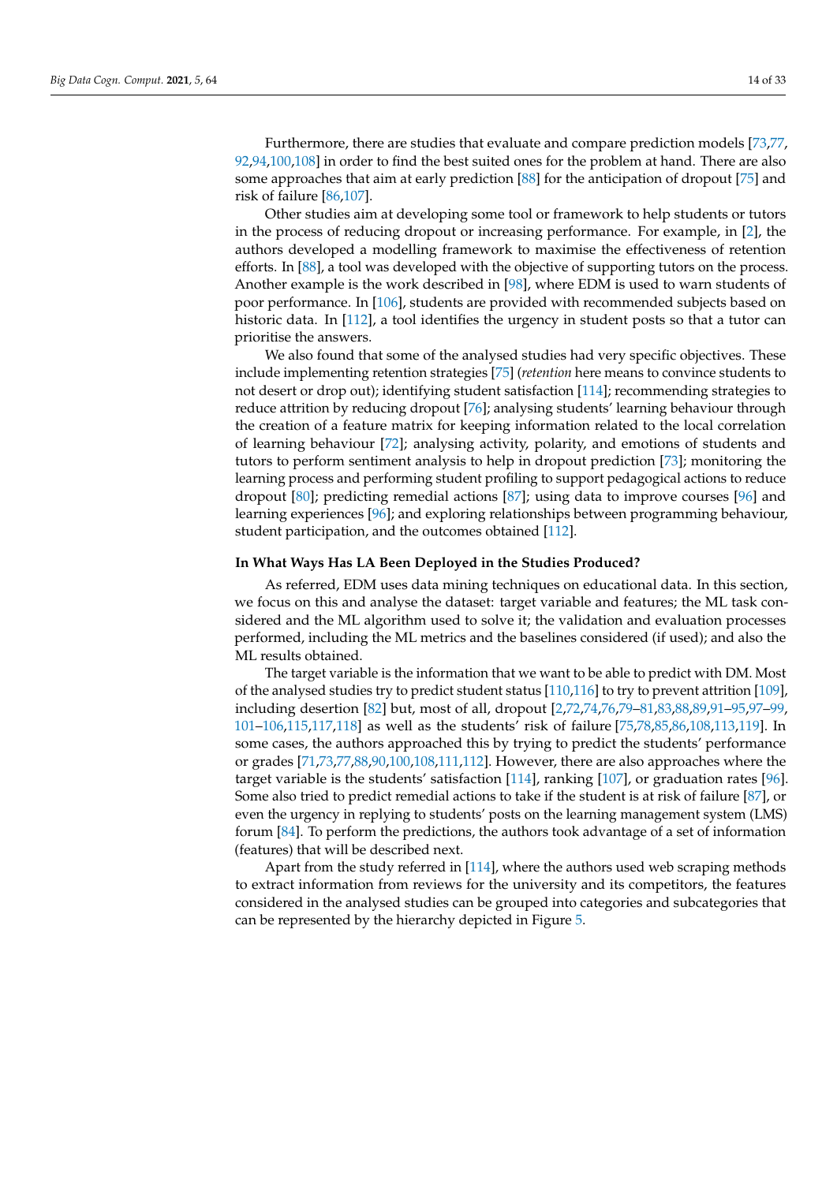Furthermore, there are studies that evaluate and compare prediction models [\[73](#page-31-20)[,77,](#page-31-7) [92,](#page-31-15)[94,](#page-31-17)[100,](#page-32-5)[108\]](#page-32-13) in order to find the best suited ones for the problem at hand. There are also some approaches that aim at early prediction [\[88\]](#page-31-10) for the anticipation of dropout [\[75\]](#page-31-23) and risk of failure [\[86](#page-31-6)[,107\]](#page-32-12).

Other studies aim at developing some tool or framework to help students or tutors in the process of reducing dropout or increasing performance. For example, in [\[2\]](#page-28-1), the authors developed a modelling framework to maximise the effectiveness of retention efforts. In [\[88\]](#page-31-10), a tool was developed with the objective of supporting tutors on the process. Another example is the work described in [\[98\]](#page-32-3), where EDM is used to warn students of poor performance. In [\[106\]](#page-32-11), students are provided with recommended subjects based on historic data. In [\[112\]](#page-32-17), a tool identifies the urgency in student posts so that a tutor can prioritise the answers.

We also found that some of the analysed studies had very specific objectives. These include implementing retention strategies [\[75\]](#page-31-23) (*retention* here means to convince students to not desert or drop out); identifying student satisfaction [\[114\]](#page-32-19); recommending strategies to reduce attrition by reducing dropout [\[76\]](#page-31-21); analysing students' learning behaviour through the creation of a feature matrix for keeping information related to the local correlation of learning behaviour [\[72\]](#page-31-19); analysing activity, polarity, and emotions of students and tutors to perform sentiment analysis to help in dropout prediction [\[73\]](#page-31-20); monitoring the learning process and performing student profiling to support pedagogical actions to reduce dropout [\[80\]](#page-31-25); predicting remedial actions [\[87\]](#page-31-9); using data to improve courses [\[96\]](#page-32-1) and learning experiences [\[96\]](#page-32-1); and exploring relationships between programming behaviour, student participation, and the outcomes obtained [\[112\]](#page-32-17).

# **In What Ways Has LA Been Deployed in the Studies Produced?**

As referred, EDM uses data mining techniques on educational data. In this section, we focus on this and analyse the dataset: target variable and features; the ML task considered and the ML algorithm used to solve it; the validation and evaluation processes performed, including the ML metrics and the baselines considered (if used); and also the ML results obtained.

The target variable is the information that we want to be able to predict with DM. Most of the analysed studies try to predict student status [\[110,](#page-32-15)[116\]](#page-32-21) to try to prevent attrition [\[109\]](#page-32-14), including desertion [\[82\]](#page-31-26) but, most of all, dropout [\[2](#page-28-1)[,72](#page-31-19)[,74](#page-31-24)[,76](#page-31-21)[,79](#page-31-22)[–81](#page-31-12)[,83](#page-31-18)[,88](#page-31-10)[,89](#page-31-11)[,91](#page-31-14)[–95](#page-32-0)[,97–](#page-32-2)[99,](#page-32-4) [101–](#page-32-6)[106](#page-32-11)[,115,](#page-32-20)[117,](#page-32-22)[118\]](#page-32-23) as well as the students' risk of failure [\[75](#page-31-23)[,78,](#page-31-8)[85,](#page-31-5)[86,](#page-31-6)[108,](#page-32-13)[113](#page-32-18)[,119\]](#page-32-24). In some cases, the authors approached this by trying to predict the students' performance or grades [\[71,](#page-31-3)[73,](#page-31-20)[77,](#page-31-7)[88,](#page-31-10)[90](#page-31-13)[,100](#page-32-5)[,108](#page-32-13)[,111](#page-32-16)[,112\]](#page-32-17). However, there are also approaches where the target variable is the students' satisfaction [\[114\]](#page-32-19), ranking [\[107\]](#page-32-12), or graduation rates [\[96\]](#page-32-1). Some also tried to predict remedial actions to take if the student is at risk of failure [\[87\]](#page-31-9), or even the urgency in replying to students' posts on the learning management system (LMS) forum [\[84\]](#page-31-4). To perform the predictions, the authors took advantage of a set of information (features) that will be described next.

Apart from the study referred in [\[114\]](#page-32-19), where the authors used web scraping methods to extract information from reviews for the university and its competitors, the features considered in the analysed studies can be grouped into categories and subcategories that can be represented by the hierarchy depicted in Figure [5.](#page-14-0)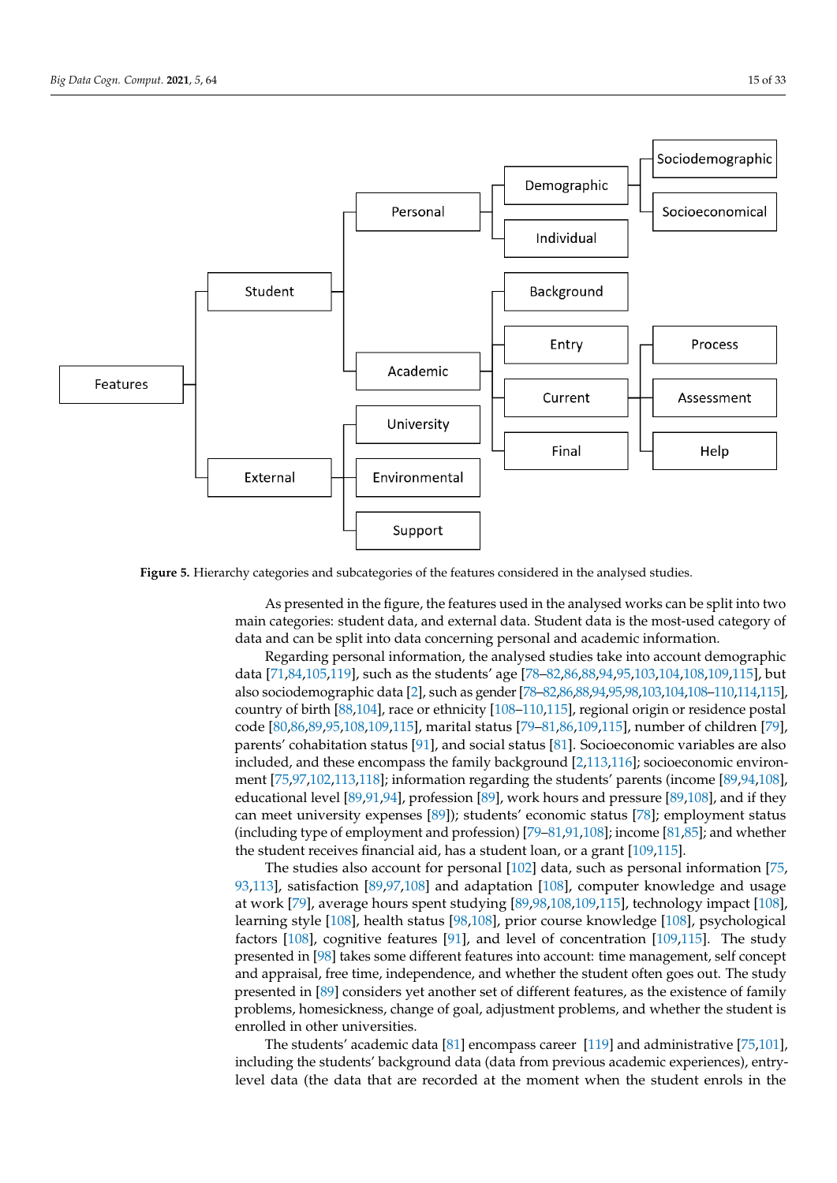<span id="page-14-0"></span>

**Figure 5.** Hierarchy categories and subcategories of the features considered in the analysed studies.

As presented in the figure, the features used in the analysed works can be split into two main categories: student data, and external data. Student data is the most-used category of data and can be split into data concerning personal and academic information.

Regarding personal information, the analysed studies take into account demographic data [\[71,](#page-31-3)[84](#page-31-4)[,105](#page-32-10)[,119\]](#page-32-24), such as the students' age [\[78–](#page-31-8)[82](#page-31-26)[,86](#page-31-6)[,88](#page-31-10)[,94](#page-31-17)[,95](#page-32-0)[,103,](#page-32-8)[104,](#page-32-9)[108,](#page-32-13)[109,](#page-32-14)[115\]](#page-32-20), but also sociodemographic data [\[2\]](#page-28-1), such as gender [\[78–](#page-31-8)[82](#page-31-26)[,86,](#page-31-6)[88](#page-31-10)[,94](#page-31-17)[,95,](#page-32-0)[98](#page-32-3)[,103,](#page-32-8)[104](#page-32-9)[,108](#page-32-13)[–110](#page-32-15)[,114,](#page-32-19)[115\]](#page-32-20), country of birth [\[88](#page-31-10)[,104\]](#page-32-9), race or ethnicity [\[108–](#page-32-13)[110,](#page-32-15)[115\]](#page-32-20), regional origin or residence postal code [\[80](#page-31-25)[,86](#page-31-6)[,89](#page-31-11)[,95](#page-32-0)[,108](#page-32-13)[,109](#page-32-14)[,115\]](#page-32-20), marital status [\[79](#page-31-22)[–81,](#page-31-12)[86,](#page-31-6)[109,](#page-32-14)[115\]](#page-32-20), number of children [\[79\]](#page-31-22), parents' cohabitation status [\[91\]](#page-31-14), and social status [\[81\]](#page-31-12). Socioeconomic variables are also included, and these encompass the family background [\[2](#page-28-1)[,113](#page-32-18)[,116\]](#page-32-21); socioeconomic environment [\[75,](#page-31-23)[97,](#page-32-2)[102,](#page-32-7)[113](#page-32-18)[,118\]](#page-32-23); information regarding the students' parents (income [\[89](#page-31-11)[,94](#page-31-17)[,108\]](#page-32-13), educational level [\[89](#page-31-11)[,91,](#page-31-14)[94\]](#page-31-17), profession [\[89\]](#page-31-11), work hours and pressure [\[89,](#page-31-11)[108\]](#page-32-13), and if they can meet university expenses [\[89\]](#page-31-11)); students' economic status [\[78\]](#page-31-8); employment status (including type of employment and profession) [\[79](#page-31-22)[–81](#page-31-12)[,91](#page-31-14)[,108\]](#page-32-13); income [\[81,](#page-31-12)[85\]](#page-31-5); and whether the student receives financial aid, has a student loan, or a grant [\[109](#page-32-14)[,115\]](#page-32-20).

The studies also account for personal [\[102\]](#page-32-7) data, such as personal information [\[75,](#page-31-23) [93,](#page-31-16)[113\]](#page-32-18), satisfaction [\[89](#page-31-11)[,97,](#page-32-2)[108\]](#page-32-13) and adaptation [\[108\]](#page-32-13), computer knowledge and usage at work [\[79\]](#page-31-22), average hours spent studying [\[89,](#page-31-11)[98,](#page-32-3)[108,](#page-32-13)[109,](#page-32-14)[115\]](#page-32-20), technology impact [\[108\]](#page-32-13), learning style [\[108\]](#page-32-13), health status [\[98,](#page-32-3)[108\]](#page-32-13), prior course knowledge [\[108\]](#page-32-13), psychological factors [\[108\]](#page-32-13), cognitive features [\[91\]](#page-31-14), and level of concentration [\[109,](#page-32-14)[115\]](#page-32-20). The study presented in [\[98\]](#page-32-3) takes some different features into account: time management, self concept and appraisal, free time, independence, and whether the student often goes out. The study presented in [\[89\]](#page-31-11) considers yet another set of different features, as the existence of family problems, homesickness, change of goal, adjustment problems, and whether the student is enrolled in other universities.

The students' academic data [\[81\]](#page-31-12) encompass career [\[119\]](#page-32-24) and administrative [\[75](#page-31-23)[,101\]](#page-32-6), including the students' background data (data from previous academic experiences), entrylevel data (the data that are recorded at the moment when the student enrols in the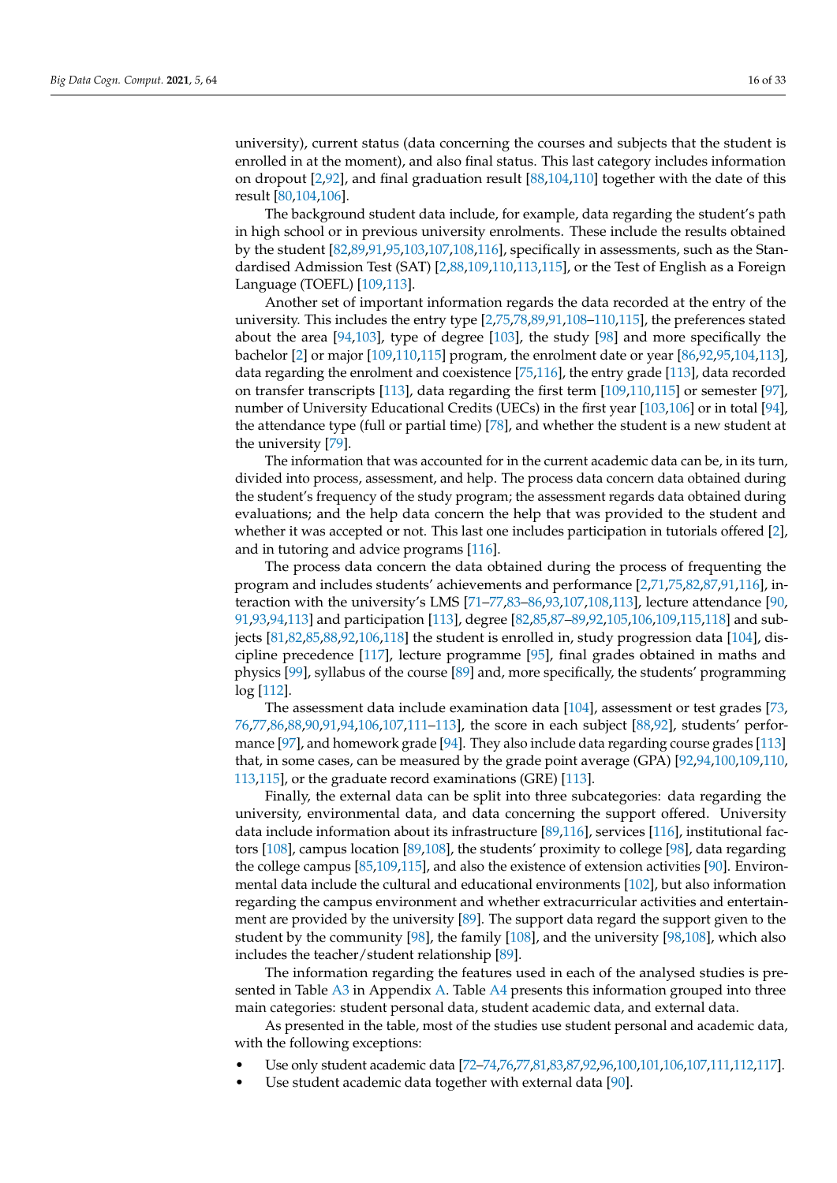university), current status (data concerning the courses and subjects that the student is enrolled in at the moment), and also final status. This last category includes information on dropout [\[2](#page-28-1)[,92\]](#page-31-15), and final graduation result [\[88](#page-31-10)[,104](#page-32-9)[,110\]](#page-32-15) together with the date of this result [\[80](#page-31-25)[,104](#page-32-9)[,106\]](#page-32-11).

The background student data include, for example, data regarding the student's path in high school or in previous university enrolments. These include the results obtained by the student [\[82](#page-31-26)[,89](#page-31-11)[,91](#page-31-14)[,95](#page-32-0)[,103](#page-32-8)[,107](#page-32-12)[,108](#page-32-13)[,116\]](#page-32-21), specifically in assessments, such as the Standardised Admission Test (SAT) [\[2](#page-28-1)[,88,](#page-31-10)[109,](#page-32-14)[110,](#page-32-15)[113,](#page-32-18)[115\]](#page-32-20), or the Test of English as a Foreign Language (TOEFL) [\[109](#page-32-14)[,113\]](#page-32-18).

Another set of important information regards the data recorded at the entry of the university. This includes the entry type [\[2](#page-28-1)[,75](#page-31-23)[,78](#page-31-8)[,89](#page-31-11)[,91](#page-31-14)[,108–](#page-32-13)[110,](#page-32-15)[115\]](#page-32-20), the preferences stated about the area [\[94](#page-31-17)[,103\]](#page-32-8), type of degree [\[103\]](#page-32-8), the study [\[98\]](#page-32-3) and more specifically the bachelor [\[2\]](#page-28-1) or major [\[109](#page-32-14)[,110,](#page-32-15)[115\]](#page-32-20) program, the enrolment date or year [\[86](#page-31-6)[,92](#page-31-15)[,95](#page-32-0)[,104](#page-32-9)[,113\]](#page-32-18), data regarding the enrolment and coexistence [\[75](#page-31-23)[,116\]](#page-32-21), the entry grade [\[113\]](#page-32-18), data recorded on transfer transcripts [\[113\]](#page-32-18), data regarding the first term [\[109,](#page-32-14)[110,](#page-32-15)[115\]](#page-32-20) or semester [\[97\]](#page-32-2), number of University Educational Credits (UECs) in the first year [\[103](#page-32-8)[,106\]](#page-32-11) or in total [\[94\]](#page-31-17), the attendance type (full or partial time) [\[78\]](#page-31-8), and whether the student is a new student at the university [\[79\]](#page-31-22).

The information that was accounted for in the current academic data can be, in its turn, divided into process, assessment, and help. The process data concern data obtained during the student's frequency of the study program; the assessment regards data obtained during evaluations; and the help data concern the help that was provided to the student and whether it was accepted or not. This last one includes participation in tutorials offered [\[2\]](#page-28-1), and in tutoring and advice programs [\[116\]](#page-32-21).

The process data concern the data obtained during the process of frequenting the program and includes students' achievements and performance [\[2,](#page-28-1)[71,](#page-31-3)[75,](#page-31-23)[82,](#page-31-26)[87,](#page-31-9)[91,](#page-31-14)[116\]](#page-32-21), interaction with the university's LMS [\[71](#page-31-3)[–77,](#page-31-7)[83–](#page-31-18)[86,](#page-31-6)[93,](#page-31-16)[107,](#page-32-12)[108,](#page-32-13)[113\]](#page-32-18), lecture attendance [\[90,](#page-31-13) [91,](#page-31-14)[93,](#page-31-16)[94,](#page-31-17)[113\]](#page-32-18) and participation [\[113\]](#page-32-18), degree [\[82](#page-31-26)[,85](#page-31-5)[,87–](#page-31-9)[89,](#page-31-11)[92,](#page-31-15)[105,](#page-32-10)[106,](#page-32-11)[109,](#page-32-14)[115,](#page-32-20)[118\]](#page-32-23) and subjects [\[81,](#page-31-12)[82,](#page-31-26)[85,](#page-31-5)[88,](#page-31-10)[92,](#page-31-15)[106,](#page-32-11)[118\]](#page-32-23) the student is enrolled in, study progression data [\[104\]](#page-32-9), discipline precedence [\[117\]](#page-32-22), lecture programme [\[95\]](#page-32-0), final grades obtained in maths and physics [\[99\]](#page-32-4), syllabus of the course [\[89\]](#page-31-11) and, more specifically, the students' programming log [\[112\]](#page-32-17).

The assessment data include examination data [\[104\]](#page-32-9), assessment or test grades [\[73,](#page-31-20) [76,](#page-31-21)[77](#page-31-7)[,86](#page-31-6)[,88](#page-31-10)[,90](#page-31-13)[,91](#page-31-14)[,94](#page-31-17)[,106](#page-32-11)[,107,](#page-32-12)[111–](#page-32-16)[113\]](#page-32-18), the score in each subject [\[88](#page-31-10)[,92\]](#page-31-15), students' performance [\[97\]](#page-32-2), and homework grade [\[94\]](#page-31-17). They also include data regarding course grades [\[113\]](#page-32-18) that, in some cases, can be measured by the grade point average (GPA) [\[92](#page-31-15)[,94,](#page-31-17)[100,](#page-32-5)[109,](#page-32-14)[110,](#page-32-15) [113,](#page-32-18)[115\]](#page-32-20), or the graduate record examinations (GRE) [\[113\]](#page-32-18).

Finally, the external data can be split into three subcategories: data regarding the university, environmental data, and data concerning the support offered. University data include information about its infrastructure [\[89,](#page-31-11)[116\]](#page-32-21), services [\[116\]](#page-32-21), institutional factors [\[108\]](#page-32-13), campus location [\[89](#page-31-11)[,108\]](#page-32-13), the students' proximity to college [\[98\]](#page-32-3), data regarding the college campus [\[85](#page-31-5)[,109](#page-32-14)[,115\]](#page-32-20), and also the existence of extension activities [\[90\]](#page-31-13). Environmental data include the cultural and educational environments [\[102\]](#page-32-7), but also information regarding the campus environment and whether extracurricular activities and entertainment are provided by the university [\[89\]](#page-31-11). The support data regard the support given to the student by the community [\[98\]](#page-32-3), the family [\[108\]](#page-32-13), and the university [\[98](#page-32-3)[,108\]](#page-32-13), which also includes the teacher/student relationship [\[89\]](#page-31-11).

The information regarding the features used in each of the analysed studies is pre-sented in Table [A3](#page-27-0) in Appendix [A.](#page-25-1) Table [A4](#page-28-12) presents this information grouped into three main categories: student personal data, student academic data, and external data.

As presented in the table, most of the studies use student personal and academic data, with the following exceptions:

- Use only student academic data [\[72–](#page-31-19)[74](#page-31-24)[,76,](#page-31-21)[77](#page-31-7)[,81](#page-31-12)[,83,](#page-31-18)[87,](#page-31-9)[92,](#page-31-15)[96](#page-32-1)[,100](#page-32-5)[,101,](#page-32-6)[106,](#page-32-11)[107](#page-32-12)[,111,](#page-32-16)[112,](#page-32-17)[117\]](#page-32-22).
- Use student academic data together with external data [\[90\]](#page-31-13).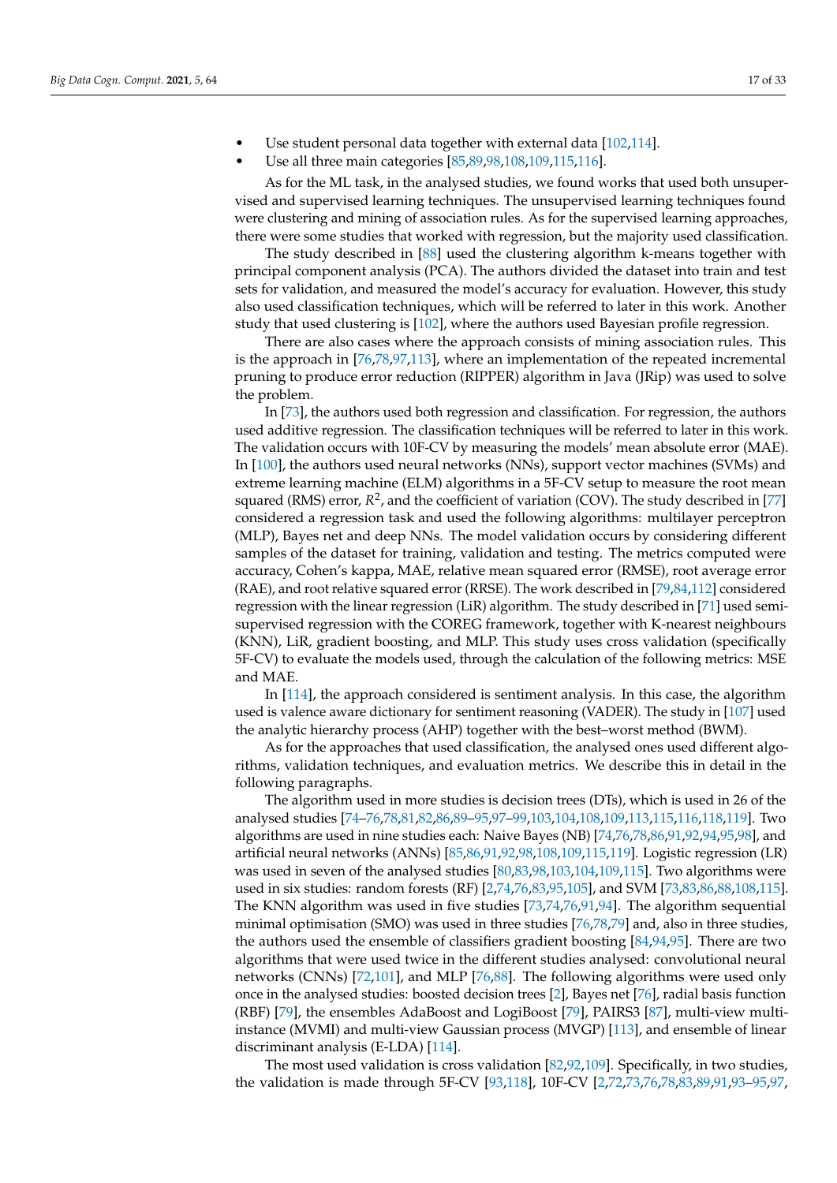- Use student personal data together with external data [\[102](#page-32-7)[,114\]](#page-32-19).
	- Use all three main categories [\[85,](#page-31-5)[89,](#page-31-11)[98,](#page-32-3)[108,](#page-32-13)[109](#page-32-14)[,115](#page-32-20)[,116\]](#page-32-21).

As for the ML task, in the analysed studies, we found works that used both unsupervised and supervised learning techniques. The unsupervised learning techniques found were clustering and mining of association rules. As for the supervised learning approaches, there were some studies that worked with regression, but the majority used classification.

The study described in [\[88\]](#page-31-10) used the clustering algorithm k-means together with principal component analysis (PCA). The authors divided the dataset into train and test sets for validation, and measured the model's accuracy for evaluation. However, this study also used classification techniques, which will be referred to later in this work. Another study that used clustering is [\[102\]](#page-32-7), where the authors used Bayesian profile regression.

There are also cases where the approach consists of mining association rules. This is the approach in [\[76,](#page-31-21)[78,](#page-31-8)[97,](#page-32-2)[113\]](#page-32-18), where an implementation of the repeated incremental pruning to produce error reduction (RIPPER) algorithm in Java (JRip) was used to solve the problem.

In [\[73\]](#page-31-20), the authors used both regression and classification. For regression, the authors used additive regression. The classification techniques will be referred to later in this work. The validation occurs with 10F-CV by measuring the models' mean absolute error (MAE). In [\[100\]](#page-32-5), the authors used neural networks (NNs), support vector machines (SVMs) and extreme learning machine (ELM) algorithms in a 5F-CV setup to measure the root mean squared (RMS) error,  $R^2$ , and the coefficient of variation (COV). The study described in [\[77\]](#page-31-7) considered a regression task and used the following algorithms: multilayer perceptron (MLP), Bayes net and deep NNs. The model validation occurs by considering different samples of the dataset for training, validation and testing. The metrics computed were accuracy, Cohen's kappa, MAE, relative mean squared error (RMSE), root average error (RAE), and root relative squared error (RRSE). The work described in  $[79,84,112]$  $[79,84,112]$  $[79,84,112]$  considered regression with the linear regression (LiR) algorithm. The study described in [\[71\]](#page-31-3) used semisupervised regression with the COREG framework, together with K-nearest neighbours (KNN), LiR, gradient boosting, and MLP. This study uses cross validation (specifically 5F-CV) to evaluate the models used, through the calculation of the following metrics: MSE and MAE.

In [\[114\]](#page-32-19), the approach considered is sentiment analysis. In this case, the algorithm used is valence aware dictionary for sentiment reasoning (VADER). The study in [\[107\]](#page-32-12) used the analytic hierarchy process (AHP) together with the best–worst method (BWM).

As for the approaches that used classification, the analysed ones used different algorithms, validation techniques, and evaluation metrics. We describe this in detail in the following paragraphs.

The algorithm used in more studies is decision trees (DTs), which is used in 26 of the analysed studies [\[74–](#page-31-24)[76,](#page-31-21)[78](#page-31-8)[,81](#page-31-12)[,82](#page-31-26)[,86,](#page-31-6)[89–](#page-31-11)[95,](#page-32-0)[97–](#page-32-2)[99](#page-32-4)[,103](#page-32-8)[,104,](#page-32-9)[108,](#page-32-13)[109,](#page-32-14)[113](#page-32-18)[,115](#page-32-20)[,116](#page-32-21)[,118,](#page-32-23)[119\]](#page-32-24). Two algorithms are used in nine studies each: Naive Bayes (NB) [\[74,](#page-31-24)[76](#page-31-21)[,78](#page-31-8)[,86](#page-31-6)[,91,](#page-31-14)[92,](#page-31-15)[94](#page-31-17)[,95](#page-32-0)[,98\]](#page-32-3), and artificial neural networks (ANNs) [\[85](#page-31-5)[,86](#page-31-6)[,91,](#page-31-14)[92,](#page-31-15)[98,](#page-32-3)[108](#page-32-13)[,109](#page-32-14)[,115](#page-32-20)[,119\]](#page-32-24). Logistic regression (LR) was used in seven of the analysed studies [\[80,](#page-31-25)[83,](#page-31-18)[98,](#page-32-3)[103](#page-32-8)[,104](#page-32-9)[,109](#page-32-14)[,115\]](#page-32-20). Two algorithms were used in six studies: random forests (RF) [\[2,](#page-28-1)[74,](#page-31-24)[76](#page-31-21)[,83](#page-31-18)[,95](#page-32-0)[,105\]](#page-32-10), and SVM [\[73,](#page-31-20)[83,](#page-31-18)[86](#page-31-6)[,88](#page-31-10)[,108](#page-32-13)[,115\]](#page-32-20). The KNN algorithm was used in five studies [\[73](#page-31-20)[,74](#page-31-24)[,76](#page-31-21)[,91](#page-31-14)[,94\]](#page-31-17). The algorithm sequential minimal optimisation (SMO) was used in three studies [\[76](#page-31-21)[,78,](#page-31-8)[79\]](#page-31-22) and, also in three studies, the authors used the ensemble of classifiers gradient boosting [\[84](#page-31-4)[,94](#page-31-17)[,95\]](#page-32-0). There are two algorithms that were used twice in the different studies analysed: convolutional neural networks (CNNs) [\[72](#page-31-19)[,101\]](#page-32-6), and MLP [\[76](#page-31-21)[,88\]](#page-31-10). The following algorithms were used only once in the analysed studies: boosted decision trees [\[2\]](#page-28-1), Bayes net [\[76\]](#page-31-21), radial basis function (RBF) [\[79\]](#page-31-22), the ensembles AdaBoost and LogiBoost [\[79\]](#page-31-22), PAIRS3 [\[87\]](#page-31-9), multi-view multiinstance (MVMI) and multi-view Gaussian process (MVGP) [\[113\]](#page-32-18), and ensemble of linear discriminant analysis (E-LDA) [\[114\]](#page-32-19).

The most used validation is cross validation [\[82](#page-31-26)[,92](#page-31-15)[,109\]](#page-32-14). Specifically, in two studies, the validation is made through 5F-CV [\[93,](#page-31-16)[118\]](#page-32-23), 10F-CV [\[2](#page-28-1)[,72](#page-31-19)[,73](#page-31-20)[,76](#page-31-21)[,78](#page-31-8)[,83](#page-31-18)[,89](#page-31-11)[,91](#page-31-14)[,93–](#page-31-16)[95](#page-32-0)[,97,](#page-32-2)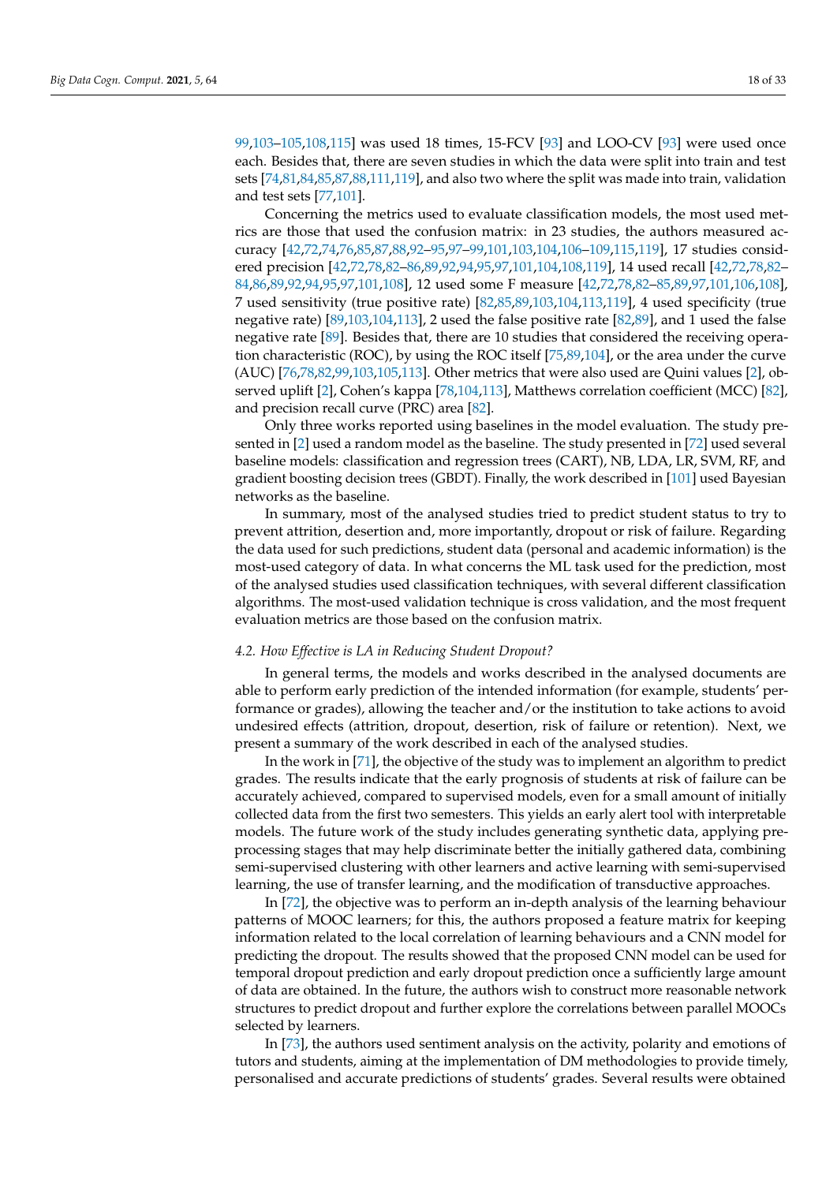[99,](#page-32-4)[103–](#page-32-8)[105](#page-32-10)[,108,](#page-32-13)[115\]](#page-32-20) was used 18 times, 15-FCV [\[93\]](#page-31-16) and LOO-CV [\[93\]](#page-31-16) were used once each. Besides that, there are seven studies in which the data were split into train and test sets [\[74,](#page-31-24)[81,](#page-31-12)[84,](#page-31-4)[85](#page-31-5)[,87](#page-31-9)[,88,](#page-31-10)[111,](#page-32-16)[119\]](#page-32-24), and also two where the split was made into train, validation and test sets [\[77](#page-31-7)[,101\]](#page-32-6).

Concerning the metrics used to evaluate classification models, the most used metrics are those that used the confusion matrix: in 23 studies, the authors measured accuracy [\[42,](#page-30-23)[72,](#page-31-19)[74,](#page-31-24)[76,](#page-31-21)[85,](#page-31-5)[87,](#page-31-9)[88,](#page-31-10)[92–](#page-31-15)[95,](#page-32-0)[97](#page-32-2)[–99,](#page-32-4)[101,](#page-32-6)[103,](#page-32-8)[104,](#page-32-9)[106](#page-32-11)[–109,](#page-32-14)[115,](#page-32-20)[119\]](#page-32-24), 17 studies considered precision [\[42](#page-30-23)[,72](#page-31-19)[,78](#page-31-8)[,82–](#page-31-26)[86](#page-31-6)[,89,](#page-31-11)[92](#page-31-15)[,94,](#page-31-17)[95](#page-32-0)[,97,](#page-32-2)[101](#page-32-6)[,104](#page-32-9)[,108](#page-32-13)[,119\]](#page-32-24), 14 used recall [\[42,](#page-30-23)[72](#page-31-19)[,78,](#page-31-8)[82–](#page-31-26) [84,](#page-31-4)[86](#page-31-6)[,89](#page-31-11)[,92](#page-31-15)[,94](#page-31-17)[,95](#page-32-0)[,97](#page-32-2)[,101](#page-32-6)[,108\]](#page-32-13), 12 used some F measure [\[42,](#page-30-23)[72,](#page-31-19)[78,](#page-31-8)[82](#page-31-26)[–85,](#page-31-5)[89,](#page-31-11)[97,](#page-32-2)[101,](#page-32-6)[106,](#page-32-11)[108\]](#page-32-13), 7 used sensitivity (true positive rate) [\[82](#page-31-26)[,85](#page-31-5)[,89](#page-31-11)[,103](#page-32-8)[,104](#page-32-9)[,113](#page-32-18)[,119\]](#page-32-24), 4 used specificity (true negative rate) [\[89](#page-31-11)[,103](#page-32-8)[,104](#page-32-9)[,113\]](#page-32-18), 2 used the false positive rate [\[82](#page-31-26)[,89\]](#page-31-11), and 1 used the false negative rate [\[89\]](#page-31-11). Besides that, there are 10 studies that considered the receiving operation characteristic (ROC), by using the ROC itself [\[75,](#page-31-23)[89,](#page-31-11)[104\]](#page-32-9), or the area under the curve (AUC) [\[76,](#page-31-21)[78,](#page-31-8)[82,](#page-31-26)[99](#page-32-4)[,103](#page-32-8)[,105,](#page-32-10)[113\]](#page-32-18). Other metrics that were also used are Quini values [\[2\]](#page-28-1), observed uplift [\[2\]](#page-28-1), Cohen's kappa [\[78,](#page-31-8)[104,](#page-32-9)[113\]](#page-32-18), Matthews correlation coefficient (MCC) [\[82\]](#page-31-26), and precision recall curve (PRC) area [\[82\]](#page-31-26).

Only three works reported using baselines in the model evaluation. The study presented in [\[2\]](#page-28-1) used a random model as the baseline. The study presented in [\[72\]](#page-31-19) used several baseline models: classification and regression trees (CART), NB, LDA, LR, SVM, RF, and gradient boosting decision trees (GBDT). Finally, the work described in [\[101\]](#page-32-6) used Bayesian networks as the baseline.

In summary, most of the analysed studies tried to predict student status to try to prevent attrition, desertion and, more importantly, dropout or risk of failure. Regarding the data used for such predictions, student data (personal and academic information) is the most-used category of data. In what concerns the ML task used for the prediction, most of the analysed studies used classification techniques, with several different classification algorithms. The most-used validation technique is cross validation, and the most frequent evaluation metrics are those based on the confusion matrix.

# *4.2. How Effective is LA in Reducing Student Dropout?*

In general terms, the models and works described in the analysed documents are able to perform early prediction of the intended information (for example, students' performance or grades), allowing the teacher and/or the institution to take actions to avoid undesired effects (attrition, dropout, desertion, risk of failure or retention). Next, we present a summary of the work described in each of the analysed studies.

In the work in [\[71\]](#page-31-3), the objective of the study was to implement an algorithm to predict grades. The results indicate that the early prognosis of students at risk of failure can be accurately achieved, compared to supervised models, even for a small amount of initially collected data from the first two semesters. This yields an early alert tool with interpretable models. The future work of the study includes generating synthetic data, applying preprocessing stages that may help discriminate better the initially gathered data, combining semi-supervised clustering with other learners and active learning with semi-supervised learning, the use of transfer learning, and the modification of transductive approaches.

In [\[72\]](#page-31-19), the objective was to perform an in-depth analysis of the learning behaviour patterns of MOOC learners; for this, the authors proposed a feature matrix for keeping information related to the local correlation of learning behaviours and a CNN model for predicting the dropout. The results showed that the proposed CNN model can be used for temporal dropout prediction and early dropout prediction once a sufficiently large amount of data are obtained. In the future, the authors wish to construct more reasonable network structures to predict dropout and further explore the correlations between parallel MOOCs selected by learners.

In [\[73\]](#page-31-20), the authors used sentiment analysis on the activity, polarity and emotions of tutors and students, aiming at the implementation of DM methodologies to provide timely, personalised and accurate predictions of students' grades. Several results were obtained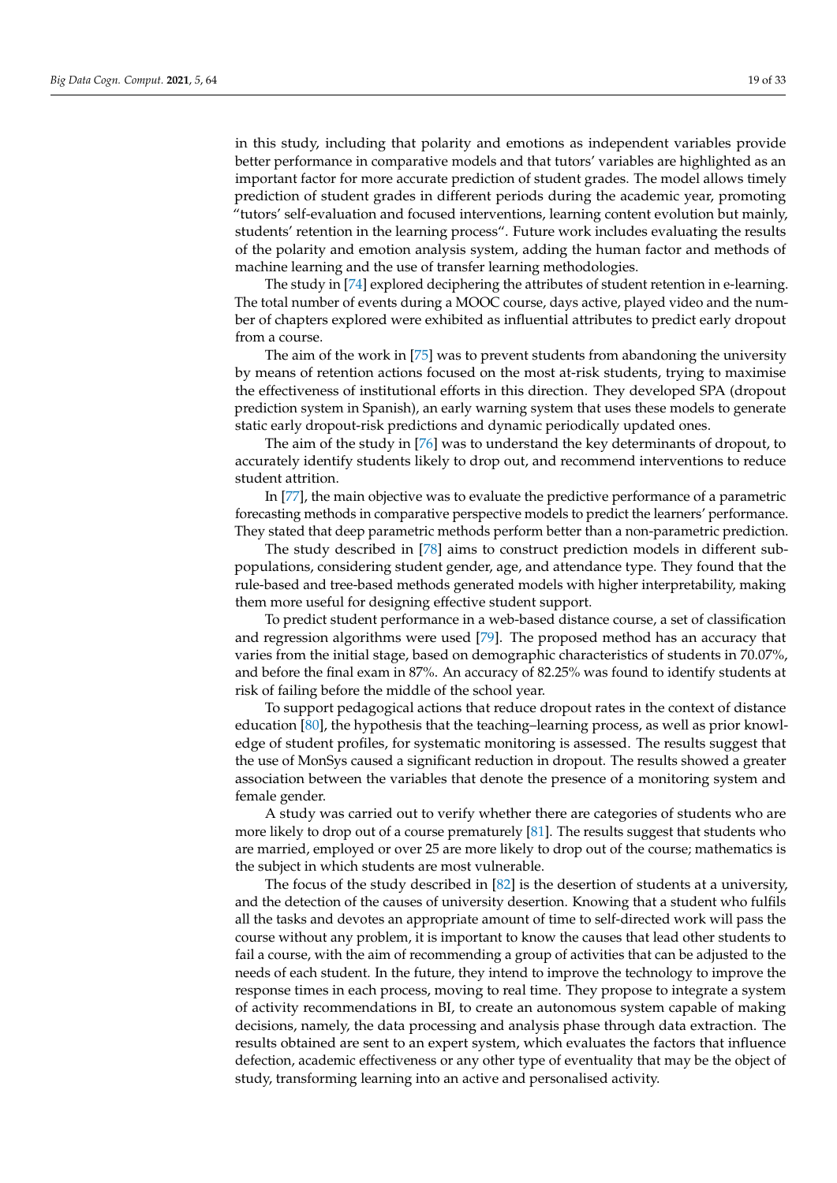in this study, including that polarity and emotions as independent variables provide better performance in comparative models and that tutors' variables are highlighted as an important factor for more accurate prediction of student grades. The model allows timely prediction of student grades in different periods during the academic year, promoting "tutors' self-evaluation and focused interventions, learning content evolution but mainly, students' retention in the learning process". Future work includes evaluating the results of the polarity and emotion analysis system, adding the human factor and methods of machine learning and the use of transfer learning methodologies.

The study in [\[74\]](#page-31-24) explored deciphering the attributes of student retention in e-learning. The total number of events during a MOOC course, days active, played video and the number of chapters explored were exhibited as influential attributes to predict early dropout from a course.

The aim of the work in [\[75\]](#page-31-23) was to prevent students from abandoning the university by means of retention actions focused on the most at-risk students, trying to maximise the effectiveness of institutional efforts in this direction. They developed SPA (dropout prediction system in Spanish), an early warning system that uses these models to generate static early dropout-risk predictions and dynamic periodically updated ones.

The aim of the study in [\[76\]](#page-31-21) was to understand the key determinants of dropout, to accurately identify students likely to drop out, and recommend interventions to reduce student attrition.

In [\[77\]](#page-31-7), the main objective was to evaluate the predictive performance of a parametric forecasting methods in comparative perspective models to predict the learners' performance. They stated that deep parametric methods perform better than a non-parametric prediction.

The study described in [\[78\]](#page-31-8) aims to construct prediction models in different subpopulations, considering student gender, age, and attendance type. They found that the rule-based and tree-based methods generated models with higher interpretability, making them more useful for designing effective student support.

To predict student performance in a web-based distance course, a set of classification and regression algorithms were used [\[79\]](#page-31-22). The proposed method has an accuracy that varies from the initial stage, based on demographic characteristics of students in 70.07%, and before the final exam in 87%. An accuracy of 82.25% was found to identify students at risk of failing before the middle of the school year.

To support pedagogical actions that reduce dropout rates in the context of distance education [\[80\]](#page-31-25), the hypothesis that the teaching–learning process, as well as prior knowledge of student profiles, for systematic monitoring is assessed. The results suggest that the use of MonSys caused a significant reduction in dropout. The results showed a greater association between the variables that denote the presence of a monitoring system and female gender.

A study was carried out to verify whether there are categories of students who are more likely to drop out of a course prematurely [\[81\]](#page-31-12). The results suggest that students who are married, employed or over 25 are more likely to drop out of the course; mathematics is the subject in which students are most vulnerable.

The focus of the study described in [\[82\]](#page-31-26) is the desertion of students at a university, and the detection of the causes of university desertion. Knowing that a student who fulfils all the tasks and devotes an appropriate amount of time to self-directed work will pass the course without any problem, it is important to know the causes that lead other students to fail a course, with the aim of recommending a group of activities that can be adjusted to the needs of each student. In the future, they intend to improve the technology to improve the response times in each process, moving to real time. They propose to integrate a system of activity recommendations in BI, to create an autonomous system capable of making decisions, namely, the data processing and analysis phase through data extraction. The results obtained are sent to an expert system, which evaluates the factors that influence defection, academic effectiveness or any other type of eventuality that may be the object of study, transforming learning into an active and personalised activity.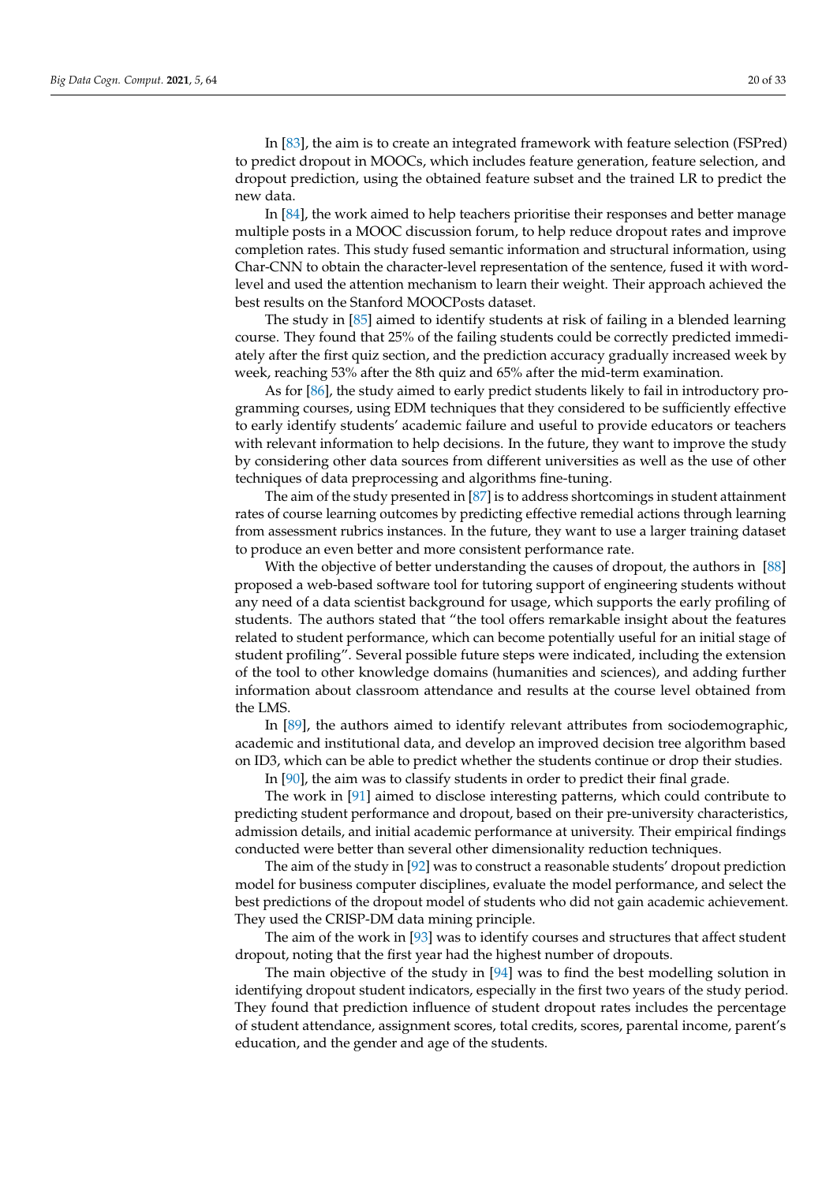In [\[83\]](#page-31-18), the aim is to create an integrated framework with feature selection (FSPred) to predict dropout in MOOCs, which includes feature generation, feature selection, and dropout prediction, using the obtained feature subset and the trained LR to predict the new data.

In [\[84\]](#page-31-4), the work aimed to help teachers prioritise their responses and better manage multiple posts in a MOOC discussion forum, to help reduce dropout rates and improve completion rates. This study fused semantic information and structural information, using Char-CNN to obtain the character-level representation of the sentence, fused it with wordlevel and used the attention mechanism to learn their weight. Their approach achieved the best results on the Stanford MOOCPosts dataset.

The study in [\[85\]](#page-31-5) aimed to identify students at risk of failing in a blended learning course. They found that 25% of the failing students could be correctly predicted immediately after the first quiz section, and the prediction accuracy gradually increased week by week, reaching 53% after the 8th quiz and 65% after the mid-term examination.

As for [\[86\]](#page-31-6), the study aimed to early predict students likely to fail in introductory programming courses, using EDM techniques that they considered to be sufficiently effective to early identify students' academic failure and useful to provide educators or teachers with relevant information to help decisions. In the future, they want to improve the study by considering other data sources from different universities as well as the use of other techniques of data preprocessing and algorithms fine-tuning.

The aim of the study presented in [\[87\]](#page-31-9) is to address shortcomings in student attainment rates of course learning outcomes by predicting effective remedial actions through learning from assessment rubrics instances. In the future, they want to use a larger training dataset to produce an even better and more consistent performance rate.

With the objective of better understanding the causes of dropout, the authors in [\[88\]](#page-31-10) proposed a web-based software tool for tutoring support of engineering students without any need of a data scientist background for usage, which supports the early profiling of students. The authors stated that "the tool offers remarkable insight about the features related to student performance, which can become potentially useful for an initial stage of student profiling". Several possible future steps were indicated, including the extension of the tool to other knowledge domains (humanities and sciences), and adding further information about classroom attendance and results at the course level obtained from the LMS.

In [\[89\]](#page-31-11), the authors aimed to identify relevant attributes from sociodemographic, academic and institutional data, and develop an improved decision tree algorithm based on ID3, which can be able to predict whether the students continue or drop their studies. In [\[90\]](#page-31-13), the aim was to classify students in order to predict their final grade.

The work in [\[91\]](#page-31-14) aimed to disclose interesting patterns, which could contribute to predicting student performance and dropout, based on their pre-university characteristics, admission details, and initial academic performance at university. Their empirical findings conducted were better than several other dimensionality reduction techniques.

The aim of the study in [\[92\]](#page-31-15) was to construct a reasonable students' dropout prediction model for business computer disciplines, evaluate the model performance, and select the best predictions of the dropout model of students who did not gain academic achievement. They used the CRISP-DM data mining principle.

The aim of the work in [\[93\]](#page-31-16) was to identify courses and structures that affect student dropout, noting that the first year had the highest number of dropouts.

The main objective of the study in [\[94\]](#page-31-17) was to find the best modelling solution in identifying dropout student indicators, especially in the first two years of the study period. They found that prediction influence of student dropout rates includes the percentage of student attendance, assignment scores, total credits, scores, parental income, parent's education, and the gender and age of the students.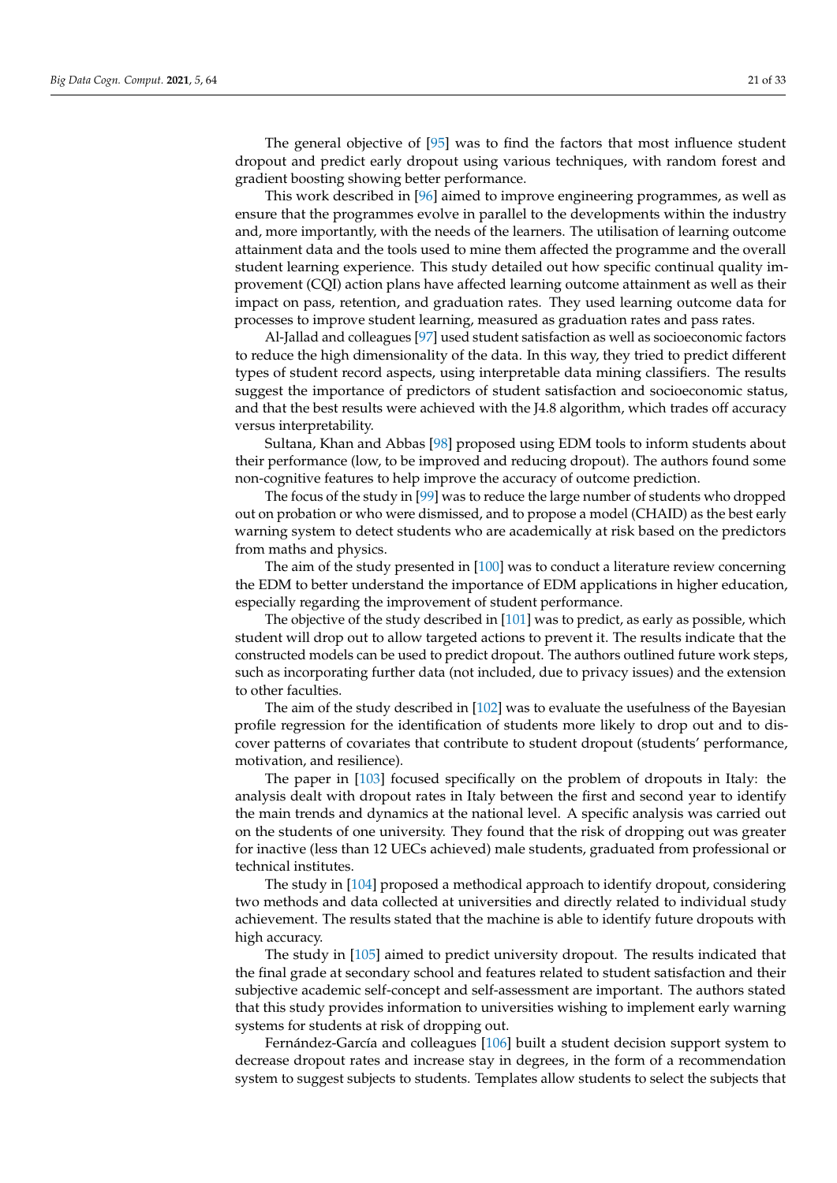The general objective of [\[95\]](#page-32-0) was to find the factors that most influence student dropout and predict early dropout using various techniques, with random forest and gradient boosting showing better performance.

This work described in [\[96\]](#page-32-1) aimed to improve engineering programmes, as well as ensure that the programmes evolve in parallel to the developments within the industry and, more importantly, with the needs of the learners. The utilisation of learning outcome attainment data and the tools used to mine them affected the programme and the overall student learning experience. This study detailed out how specific continual quality improvement (CQI) action plans have affected learning outcome attainment as well as their impact on pass, retention, and graduation rates. They used learning outcome data for processes to improve student learning, measured as graduation rates and pass rates.

Al-Jallad and colleagues [\[97\]](#page-32-2) used student satisfaction as well as socioeconomic factors to reduce the high dimensionality of the data. In this way, they tried to predict different types of student record aspects, using interpretable data mining classifiers. The results suggest the importance of predictors of student satisfaction and socioeconomic status, and that the best results were achieved with the J4.8 algorithm, which trades off accuracy versus interpretability.

Sultana, Khan and Abbas [\[98\]](#page-32-3) proposed using EDM tools to inform students about their performance (low, to be improved and reducing dropout). The authors found some non-cognitive features to help improve the accuracy of outcome prediction.

The focus of the study in [\[99\]](#page-32-4) was to reduce the large number of students who dropped out on probation or who were dismissed, and to propose a model (CHAID) as the best early warning system to detect students who are academically at risk based on the predictors from maths and physics.

The aim of the study presented in [\[100\]](#page-32-5) was to conduct a literature review concerning the EDM to better understand the importance of EDM applications in higher education, especially regarding the improvement of student performance.

The objective of the study described in [\[101\]](#page-32-6) was to predict, as early as possible, which student will drop out to allow targeted actions to prevent it. The results indicate that the constructed models can be used to predict dropout. The authors outlined future work steps, such as incorporating further data (not included, due to privacy issues) and the extension to other faculties.

The aim of the study described in [\[102\]](#page-32-7) was to evaluate the usefulness of the Bayesian profile regression for the identification of students more likely to drop out and to discover patterns of covariates that contribute to student dropout (students' performance, motivation, and resilience).

The paper in [\[103\]](#page-32-8) focused specifically on the problem of dropouts in Italy: the analysis dealt with dropout rates in Italy between the first and second year to identify the main trends and dynamics at the national level. A specific analysis was carried out on the students of one university. They found that the risk of dropping out was greater for inactive (less than 12 UECs achieved) male students, graduated from professional or technical institutes.

The study in [\[104\]](#page-32-9) proposed a methodical approach to identify dropout, considering two methods and data collected at universities and directly related to individual study achievement. The results stated that the machine is able to identify future dropouts with high accuracy.

The study in [\[105\]](#page-32-10) aimed to predict university dropout. The results indicated that the final grade at secondary school and features related to student satisfaction and their subjective academic self-concept and self-assessment are important. The authors stated that this study provides information to universities wishing to implement early warning systems for students at risk of dropping out.

Fernández-García and colleagues [\[106\]](#page-32-11) built a student decision support system to decrease dropout rates and increase stay in degrees, in the form of a recommendation system to suggest subjects to students. Templates allow students to select the subjects that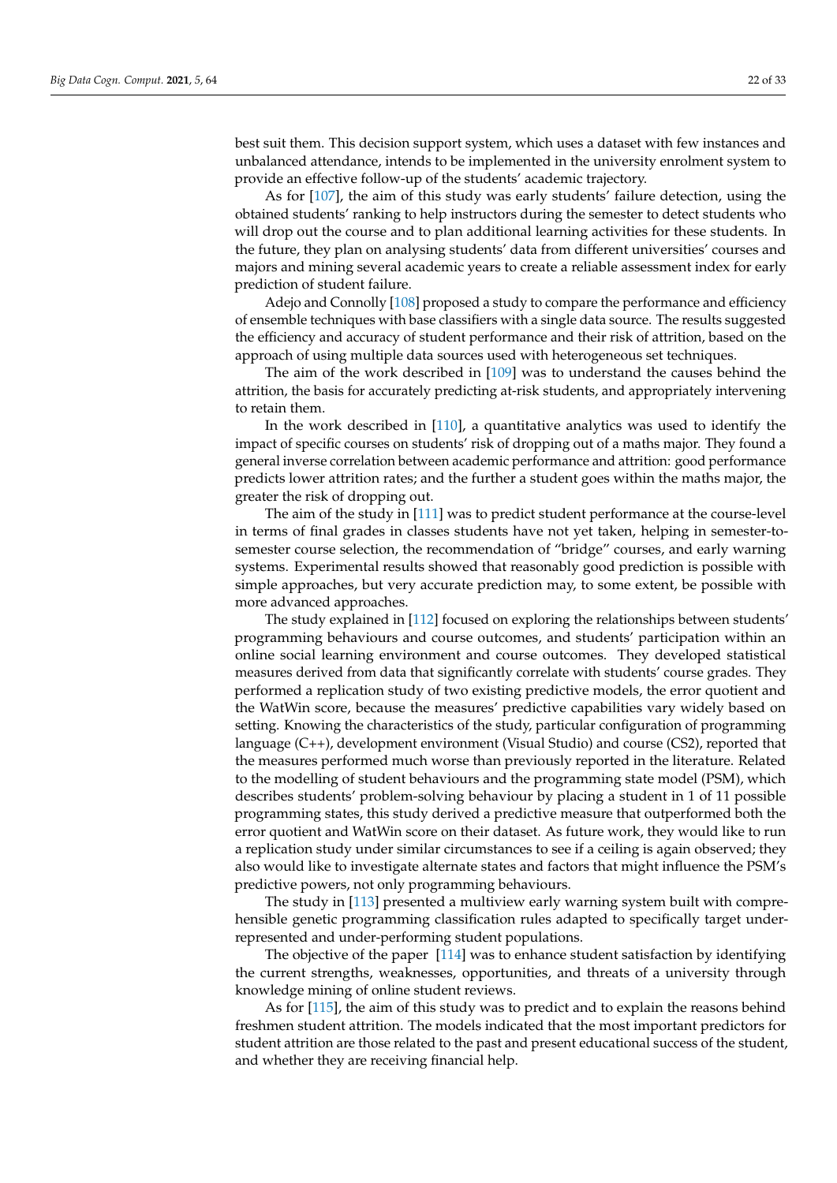best suit them. This decision support system, which uses a dataset with few instances and unbalanced attendance, intends to be implemented in the university enrolment system to provide an effective follow-up of the students' academic trajectory.

As for [\[107\]](#page-32-12), the aim of this study was early students' failure detection, using the obtained students' ranking to help instructors during the semester to detect students who will drop out the course and to plan additional learning activities for these students. In the future, they plan on analysing students' data from different universities' courses and majors and mining several academic years to create a reliable assessment index for early prediction of student failure.

Adejo and Connolly [\[108\]](#page-32-13) proposed a study to compare the performance and efficiency of ensemble techniques with base classifiers with a single data source. The results suggested the efficiency and accuracy of student performance and their risk of attrition, based on the approach of using multiple data sources used with heterogeneous set techniques.

The aim of the work described in [\[109\]](#page-32-14) was to understand the causes behind the attrition, the basis for accurately predicting at-risk students, and appropriately intervening to retain them.

In the work described in [\[110\]](#page-32-15), a quantitative analytics was used to identify the impact of specific courses on students' risk of dropping out of a maths major. They found a general inverse correlation between academic performance and attrition: good performance predicts lower attrition rates; and the further a student goes within the maths major, the greater the risk of dropping out.

The aim of the study in [\[111\]](#page-32-16) was to predict student performance at the course-level in terms of final grades in classes students have not yet taken, helping in semester-tosemester course selection, the recommendation of "bridge" courses, and early warning systems. Experimental results showed that reasonably good prediction is possible with simple approaches, but very accurate prediction may, to some extent, be possible with more advanced approaches.

The study explained in [\[112\]](#page-32-17) focused on exploring the relationships between students' programming behaviours and course outcomes, and students' participation within an online social learning environment and course outcomes. They developed statistical measures derived from data that significantly correlate with students' course grades. They performed a replication study of two existing predictive models, the error quotient and the WatWin score, because the measures' predictive capabilities vary widely based on setting. Knowing the characteristics of the study, particular configuration of programming language (C++), development environment (Visual Studio) and course (CS2), reported that the measures performed much worse than previously reported in the literature. Related to the modelling of student behaviours and the programming state model (PSM), which describes students' problem-solving behaviour by placing a student in 1 of 11 possible programming states, this study derived a predictive measure that outperformed both the error quotient and WatWin score on their dataset. As future work, they would like to run a replication study under similar circumstances to see if a ceiling is again observed; they also would like to investigate alternate states and factors that might influence the PSM's predictive powers, not only programming behaviours.

The study in [\[113\]](#page-32-18) presented a multiview early warning system built with comprehensible genetic programming classification rules adapted to specifically target underrepresented and under-performing student populations.

The objective of the paper [\[114\]](#page-32-19) was to enhance student satisfaction by identifying the current strengths, weaknesses, opportunities, and threats of a university through knowledge mining of online student reviews.

As for [\[115\]](#page-32-20), the aim of this study was to predict and to explain the reasons behind freshmen student attrition. The models indicated that the most important predictors for student attrition are those related to the past and present educational success of the student, and whether they are receiving financial help.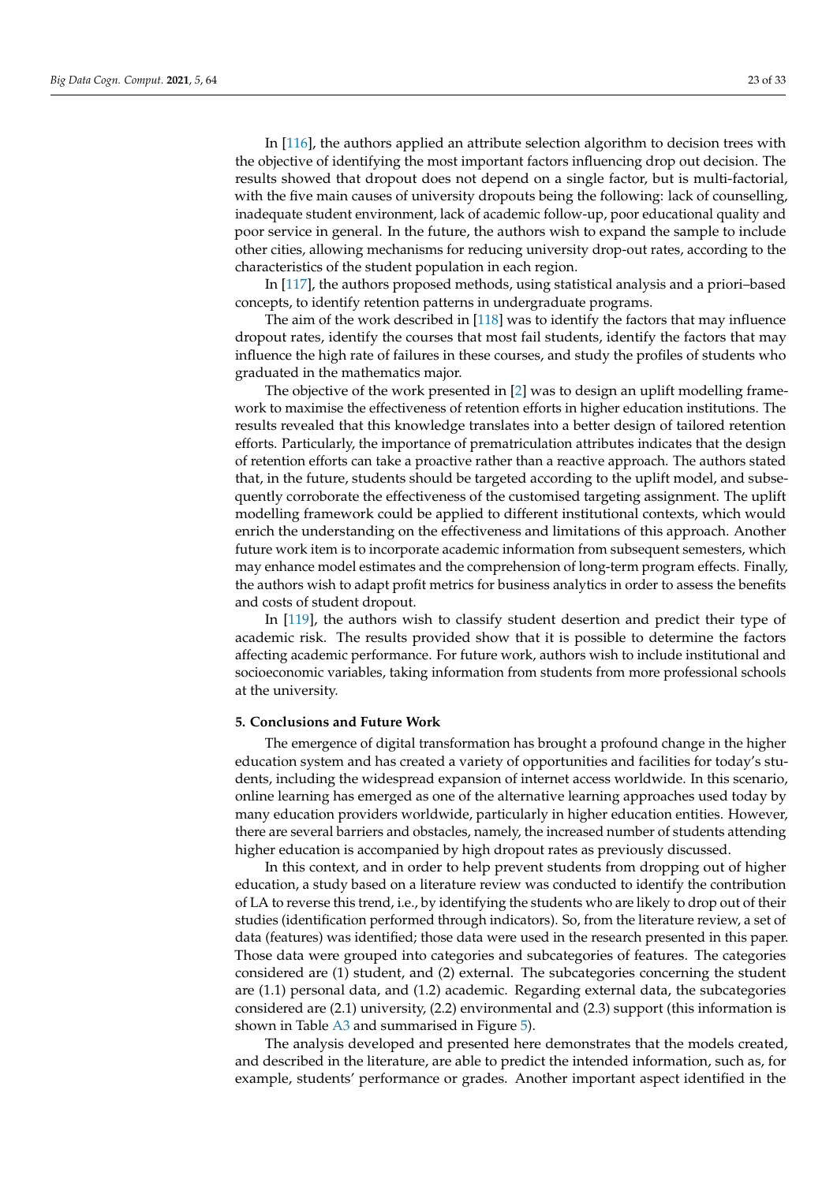In [\[116\]](#page-32-21), the authors applied an attribute selection algorithm to decision trees with the objective of identifying the most important factors influencing drop out decision. The results showed that dropout does not depend on a single factor, but is multi-factorial, with the five main causes of university dropouts being the following: lack of counselling, inadequate student environment, lack of academic follow-up, poor educational quality and poor service in general. In the future, the authors wish to expand the sample to include other cities, allowing mechanisms for reducing university drop-out rates, according to the characteristics of the student population in each region.

In [\[117\]](#page-32-22), the authors proposed methods, using statistical analysis and a priori–based concepts, to identify retention patterns in undergraduate programs.

The aim of the work described in [\[118\]](#page-32-23) was to identify the factors that may influence dropout rates, identify the courses that most fail students, identify the factors that may influence the high rate of failures in these courses, and study the profiles of students who graduated in the mathematics major.

The objective of the work presented in [\[2\]](#page-28-1) was to design an uplift modelling framework to maximise the effectiveness of retention efforts in higher education institutions. The results revealed that this knowledge translates into a better design of tailored retention efforts. Particularly, the importance of prematriculation attributes indicates that the design of retention efforts can take a proactive rather than a reactive approach. The authors stated that, in the future, students should be targeted according to the uplift model, and subsequently corroborate the effectiveness of the customised targeting assignment. The uplift modelling framework could be applied to different institutional contexts, which would enrich the understanding on the effectiveness and limitations of this approach. Another future work item is to incorporate academic information from subsequent semesters, which may enhance model estimates and the comprehension of long-term program effects. Finally, the authors wish to adapt profit metrics for business analytics in order to assess the benefits and costs of student dropout.

In [\[119\]](#page-32-24), the authors wish to classify student desertion and predict their type of academic risk. The results provided show that it is possible to determine the factors affecting academic performance. For future work, authors wish to include institutional and socioeconomic variables, taking information from students from more professional schools at the university.

### <span id="page-22-0"></span>**5. Conclusions and Future Work**

The emergence of digital transformation has brought a profound change in the higher education system and has created a variety of opportunities and facilities for today's students, including the widespread expansion of internet access worldwide. In this scenario, online learning has emerged as one of the alternative learning approaches used today by many education providers worldwide, particularly in higher education entities. However, there are several barriers and obstacles, namely, the increased number of students attending higher education is accompanied by high dropout rates as previously discussed.

In this context, and in order to help prevent students from dropping out of higher education, a study based on a literature review was conducted to identify the contribution of LA to reverse this trend, i.e., by identifying the students who are likely to drop out of their studies (identification performed through indicators). So, from the literature review, a set of data (features) was identified; those data were used in the research presented in this paper. Those data were grouped into categories and subcategories of features. The categories considered are (1) student, and (2) external. The subcategories concerning the student are (1.1) personal data, and (1.2) academic. Regarding external data, the subcategories considered are (2.1) university, (2.2) environmental and (2.3) support (this information is shown in Table [A3](#page-27-0) and summarised in Figure [5\)](#page-14-0).

The analysis developed and presented here demonstrates that the models created, and described in the literature, are able to predict the intended information, such as, for example, students' performance or grades. Another important aspect identified in the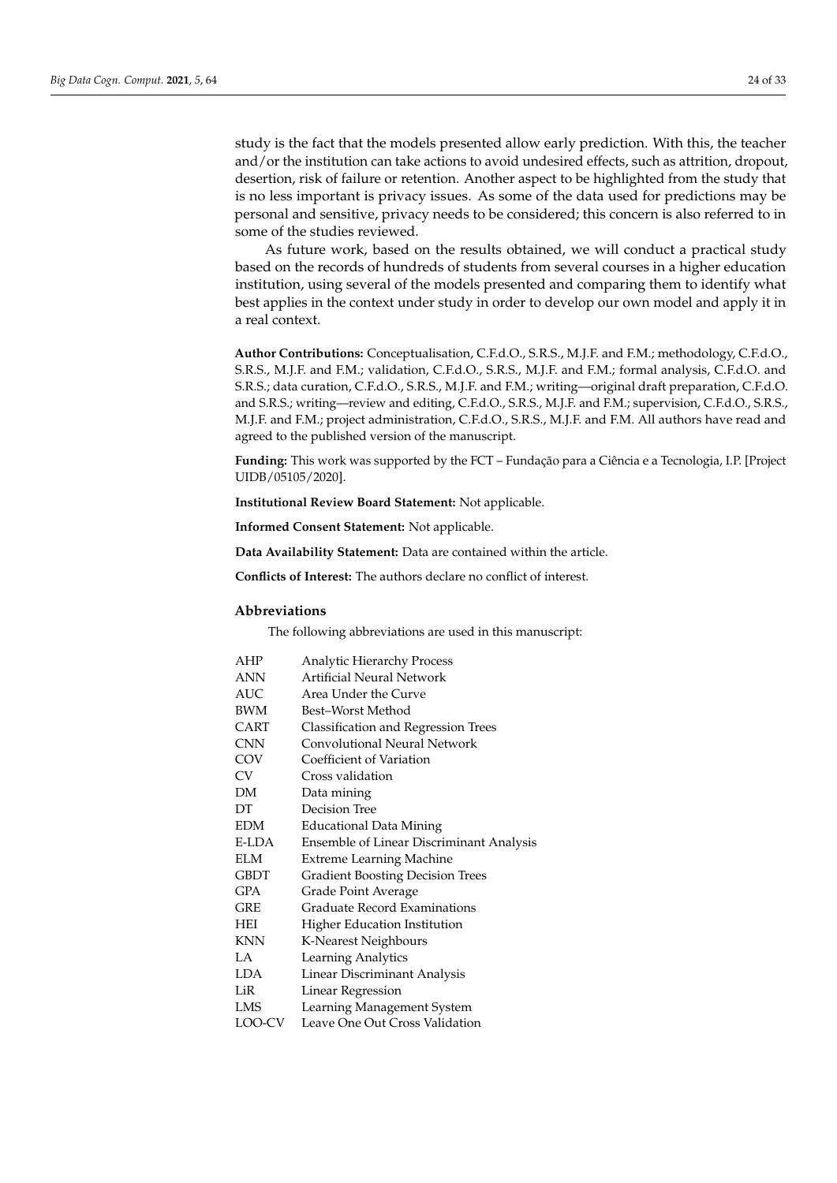study is the fact that the models presented allow early prediction. With this, the teacher and/or the institution can take actions to avoid undesired effects, such as attrition, dropout, desertion, risk of failure or retention. Another aspect to be highlighted from the study that is no less important is privacy issues. As some of the data used for predictions may be personal and sensitive, privacy needs to be considered; this concern is also referred to in some of the studies reviewed.

As future work, based on the results obtained, we will conduct a practical study based on the records of hundreds of students from several courses in a higher education institution, using several of the models presented and comparing them to identify what best applies in the context under study in order to develop our own model and apply it in a real context.

**Author Contributions:** Conceptualisation, C.F.d.O., S.R.S., M.J.F. and F.M.; methodology, C.F.d.O., S.R.S., M.J.F. and F.M.; validation, C.F.d.O., S.R.S., M.J.F. and F.M.; formal analysis, C.F.d.O. and S.R.S.; data curation, C.F.d.O., S.R.S., M.J.F. and F.M.; writing—original draft preparation, C.F.d.O. and S.R.S.; writing—review and editing, C.F.d.O., S.R.S., M.J.F. and F.M.; supervision, C.F.d.O., S.R.S., M.J.F. and F.M.; project administration, C.F.d.O., S.R.S., M.J.F. and F.M. All authors have read and agreed to the published version of the manuscript.

**Funding:** This work was supported by the FCT – Fundação para a Ciência e a Tecnologia, I.P. [Project UIDB/05105/2020].

**Institutional Review Board Statement:** Not applicable.

**Informed Consent Statement:** Not applicable.

**Data Availability Statement:** Data are contained within the article.

**Conflicts of Interest:** The authors declare no conflict of interest.

## **Abbreviations**

The following abbreviations are used in this manuscript:

| AHP         | <b>Analytic Hierarchy Process</b>        |
|-------------|------------------------------------------|
| <b>ANN</b>  | Artificial Neural Network                |
| <b>AUC</b>  | Area Under the Curve                     |
| <b>BWM</b>  | Best–Worst Method                        |
| CART        | Classification and Regression Trees      |
| <b>CNN</b>  | Convolutional Neural Network             |
| COV         | Coefficient of Variation                 |
| CV          | Cross validation                         |
| DM.         | Data mining                              |
| DT          | Decision Tree                            |
| <b>EDM</b>  | <b>Educational Data Mining</b>           |
| E-LDA       | Ensemble of Linear Discriminant Analysis |
| <b>ELM</b>  | Extreme Learning Machine                 |
| <b>GBDT</b> | <b>Gradient Boosting Decision Trees</b>  |
| <b>GPA</b>  | Grade Point Average                      |
| <b>GRE</b>  | Graduate Record Examinations             |
| <b>HEI</b>  | Higher Education Institution             |
| <b>KNN</b>  | K-Nearest Neighbours                     |
| LA.         | Learning Analytics                       |
| <b>LDA</b>  | Linear Discriminant Analysis             |
| LiR         | Linear Regression                        |
| LMS         | Learning Management System               |
| LOO-CV      | Leave One Out Cross Validation           |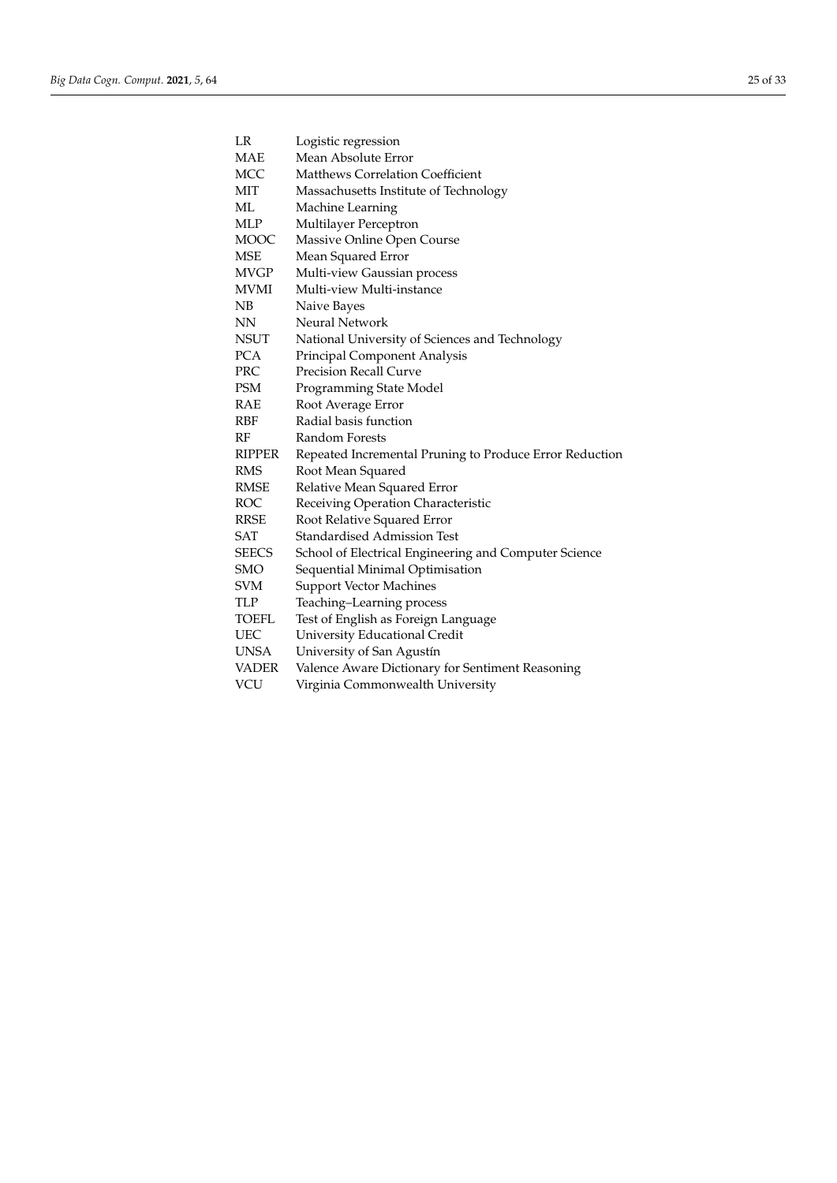| LR            | Logistic regression                                     |
|---------------|---------------------------------------------------------|
| <b>MAE</b>    | Mean Absolute Error                                     |
| <b>MCC</b>    | Matthews Correlation Coefficient                        |
| MIT           | Massachusetts Institute of Technology                   |
| МL            | Machine Learning                                        |
| <b>MLP</b>    | Multilayer Perceptron                                   |
| <b>MOOC</b>   | Massive Online Open Course                              |
| <b>MSE</b>    | Mean Squared Error                                      |
| <b>MVGP</b>   | Multi-view Gaussian process                             |
| MVMI          | Multi-view Multi-instance                               |
| NB            | Naive Bayes                                             |
| <b>NN</b>     | <b>Neural Network</b>                                   |
| <b>NSUT</b>   | National University of Sciences and Technology          |
| <b>PCA</b>    | Principal Component Analysis                            |
| PRC           | <b>Precision Recall Curve</b>                           |
| <b>PSM</b>    | Programming State Model                                 |
| RAE           | Root Average Error                                      |
| <b>RBF</b>    | Radial basis function                                   |
| RF            | Random Forests                                          |
| <b>RIPPER</b> | Repeated Incremental Pruning to Produce Error Reduction |
| <b>RMS</b>    | Root Mean Squared                                       |
| <b>RMSE</b>   | Relative Mean Squared Error                             |
| <b>ROC</b>    | Receiving Operation Characteristic                      |
| <b>RRSE</b>   | Root Relative Squared Error                             |
| <b>SAT</b>    | <b>Standardised Admission Test</b>                      |
| <b>SEECS</b>  | School of Electrical Engineering and Computer Science   |
| <b>SMO</b>    | Sequential Minimal Optimisation                         |
| <b>SVM</b>    | <b>Support Vector Machines</b>                          |
| TLP           | Teaching-Learning process                               |
| TOEFL         | Test of English as Foreign Language                     |
| <b>UEC</b>    | University Educational Credit                           |
| <b>UNSA</b>   | University of San Agustín                               |
| <b>VADER</b>  | Valence Aware Dictionary for Sentiment Reasoning        |
| VCU           | Virginia Commonwealth University                        |
|               |                                                         |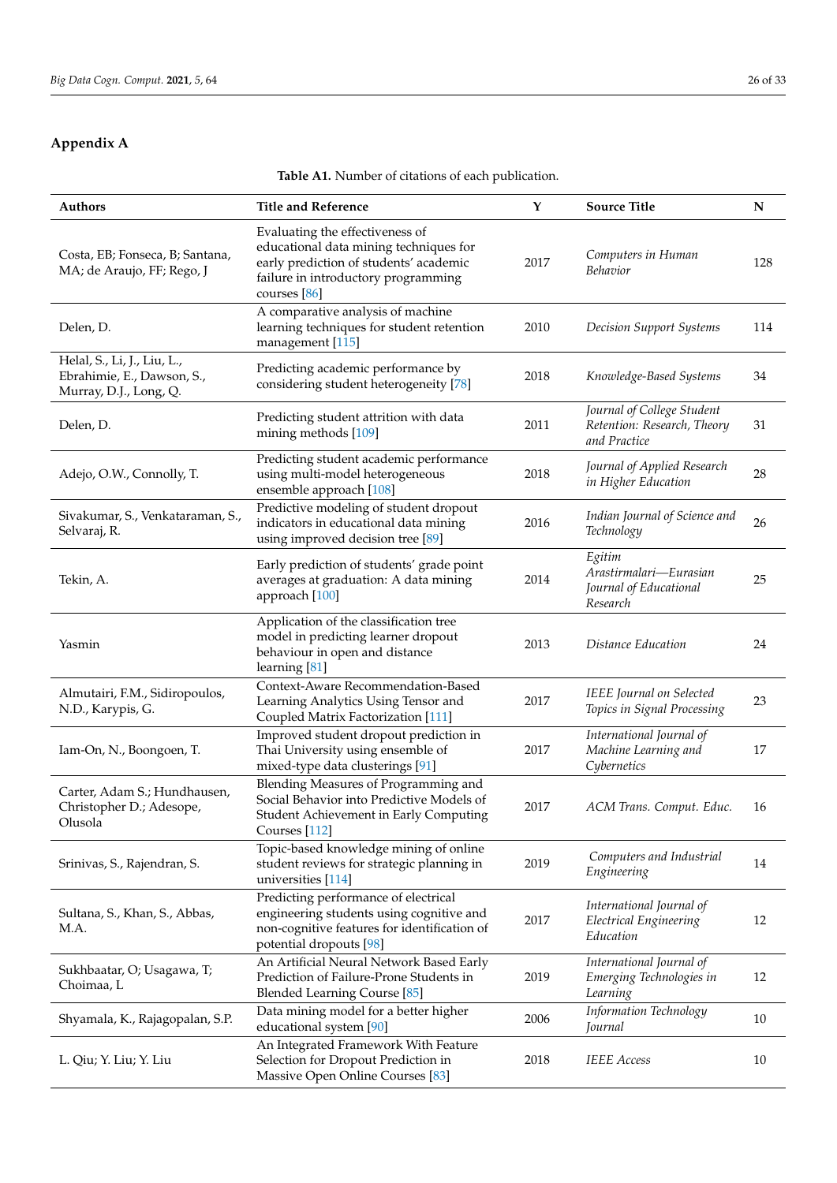# <span id="page-25-1"></span><span id="page-25-0"></span>**Appendix A**

**Table A1.** Number of citations of each publication.

| <b>Authors</b>                                                                      | <b>Title and Reference</b>                                                                                                                                                   | Y    | <b>Source Title</b>                                                       | N   |
|-------------------------------------------------------------------------------------|------------------------------------------------------------------------------------------------------------------------------------------------------------------------------|------|---------------------------------------------------------------------------|-----|
| Costa, EB; Fonseca, B; Santana,<br>MA; de Araujo, FF; Rego, J                       | Evaluating the effectiveness of<br>educational data mining techniques for<br>early prediction of students' academic<br>failure in introductory programming<br>courses $[86]$ | 2017 | Computers in Human<br>Behavior                                            | 128 |
| Delen, D.                                                                           | A comparative analysis of machine<br>learning techniques for student retention<br>management [115]                                                                           | 2010 | Decision Support Systems                                                  | 114 |
| Helal, S., Li, J., Liu, L.,<br>Ebrahimie, E., Dawson, S.,<br>Murray, D.J., Long, Q. | Predicting academic performance by<br>considering student heterogeneity [78]                                                                                                 | 2018 | Knowledge-Based Systems                                                   | 34  |
| Delen, D.                                                                           | Predicting student attrition with data<br>mining methods [109]                                                                                                               | 2011 | Journal of College Student<br>Retention: Research, Theory<br>and Practice | 31  |
| Adejo, O.W., Connolly, T.                                                           | Predicting student academic performance<br>using multi-model heterogeneous<br>ensemble approach [108]                                                                        | 2018 | Journal of Applied Research<br>in Higher Education                        | 28  |
| Sivakumar, S., Venkataraman, S.,<br>Selvaraj, R.                                    | Predictive modeling of student dropout<br>indicators in educational data mining<br>using improved decision tree [89]                                                         | 2016 | Indian Journal of Science and<br>Technology                               | 26  |
| Tekin, A.                                                                           | Early prediction of students' grade point<br>averages at graduation: A data mining<br>approach [100]                                                                         | 2014 | Egitim<br>Arastirmalari-Eurasian<br>Journal of Educational<br>Research    | 25  |
| Yasmin                                                                              | Application of the classification tree<br>model in predicting learner dropout<br>behaviour in open and distance<br>learning [81]                                             | 2013 | Distance Education                                                        | 24  |
| Almutairi, F.M., Sidiropoulos,<br>N.D., Karypis, G.                                 | Context-Aware Recommendation-Based<br>Learning Analytics Using Tensor and<br>Coupled Matrix Factorization [111]                                                              | 2017 | IEEE Journal on Selected<br>Topics in Signal Processing                   | 23  |
| Iam-On, N., Boongoen, T.                                                            | Improved student dropout prediction in<br>Thai University using ensemble of<br>mixed-type data clusterings [91]                                                              | 2017 | International Journal of<br>Machine Learning and<br>Cybernetics           | 17  |
| Carter, Adam S.; Hundhausen,<br>Christopher D.; Adesope,<br>Olusola                 | Blending Measures of Programming and<br>Social Behavior into Predictive Models of<br>Student Achievement in Early Computing<br>Courses [112]                                 | 2017 | ACM Trans. Comput. Educ.                                                  | 16  |
| Srinivas, S., Rajendran, S.                                                         | Topic-based knowledge mining of online<br>student reviews for strategic planning in<br>universities [114]                                                                    | 2019 | Computers and Industrial<br>Engineering                                   | 14  |
| Sultana, S., Khan, S., Abbas,<br>M.A.                                               | Predicting performance of electrical<br>engineering students using cognitive and<br>non-cognitive features for identification of<br>potential dropouts [98]                  | 2017 | International Journal of<br>Electrical Engineering<br>Education           | 12  |
| Sukhbaatar, O; Usagawa, T;<br>Choimaa, L                                            | An Artificial Neural Network Based Early<br>Prediction of Failure-Prone Students in<br><b>Blended Learning Course [85]</b>                                                   | 2019 | International Journal of<br>Emerging Technologies in<br>Learning          | 12  |
| Shyamala, K., Rajagopalan, S.P.                                                     | Data mining model for a better higher<br>educational system [90]                                                                                                             | 2006 | Information Technology<br>Journal                                         | 10  |
| L. Qiu; Y. Liu; Y. Liu                                                              | An Integrated Framework With Feature<br>Selection for Dropout Prediction in<br>Massive Open Online Courses [83]                                                              | 2018 | <b>IEEE</b> Access                                                        | 10  |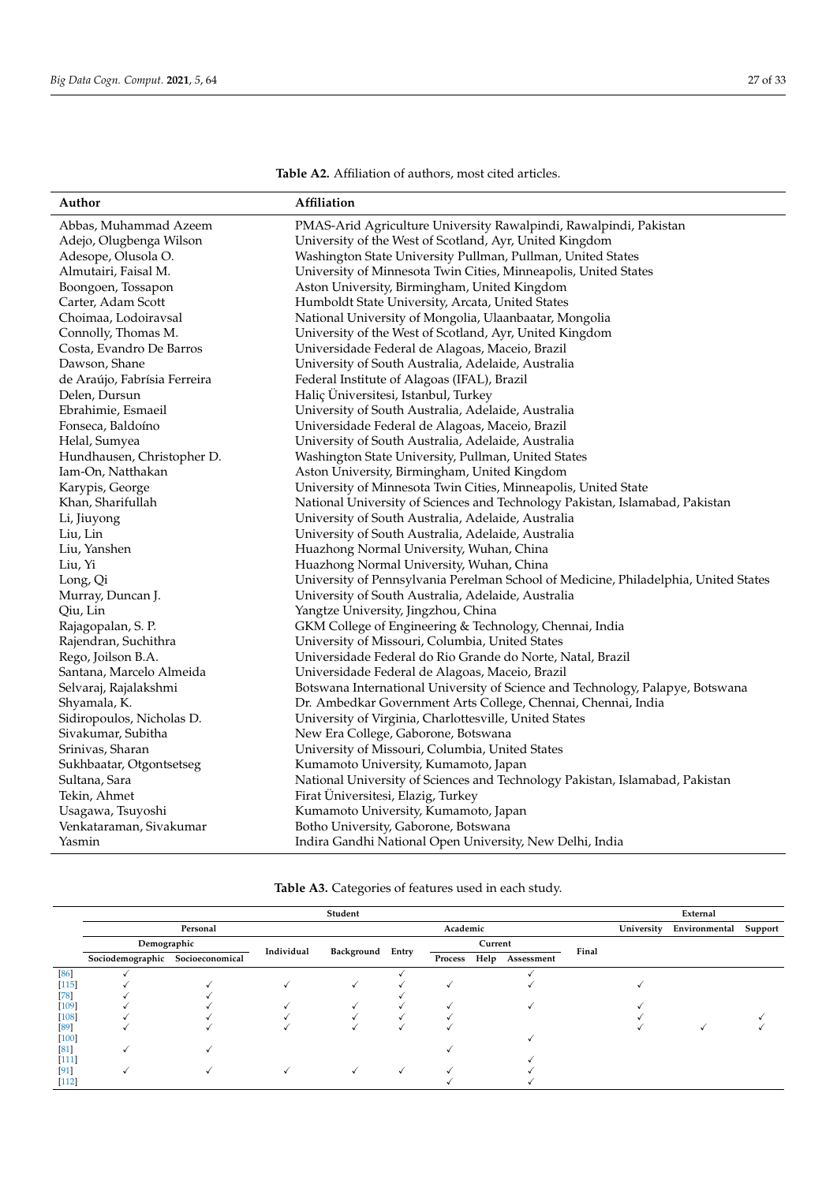**Table A2.** Affiliation of authors, most cited articles.

| Affiliation |
|-------------|
|             |
|             |
|             |

<span id="page-26-0"></span>

| Author                       | <b>Affiliation</b>                                                                  |
|------------------------------|-------------------------------------------------------------------------------------|
| Abbas, Muhammad Azeem        | PMAS-Arid Agriculture University Rawalpindi, Rawalpindi, Pakistan                   |
| Adejo, Olugbenga Wilson      | University of the West of Scotland, Ayr, United Kingdom                             |
| Adesope, Olusola O.          | Washington State University Pullman, Pullman, United States                         |
| Almutairi, Faisal M.         | University of Minnesota Twin Cities, Minneapolis, United States                     |
| Boongoen, Tossapon           | Aston University, Birmingham, United Kingdom                                        |
| Carter, Adam Scott           | Humboldt State University, Arcata, United States                                    |
| Choimaa, Lodoiravsal         | National University of Mongolia, Ulaanbaatar, Mongolia                              |
| Connolly, Thomas M.          | University of the West of Scotland, Ayr, United Kingdom                             |
| Costa, Evandro De Barros     | Universidade Federal de Alagoas, Maceio, Brazil                                     |
| Dawson, Shane                | University of South Australia, Adelaide, Australia                                  |
| de Araújo, Fabrísia Ferreira | Federal Institute of Alagoas (IFAL), Brazil                                         |
| Delen, Dursun                | Haliç Üniversitesi, Istanbul, Turkey                                                |
| Ebrahimie, Esmaeil           | University of South Australia, Adelaide, Australia                                  |
| Fonseca, Baldoíno            | Universidade Federal de Alagoas, Maceio, Brazil                                     |
| Helal, Sumyea                | University of South Australia, Adelaide, Australia                                  |
| Hundhausen, Christopher D.   | Washington State University, Pullman, United States                                 |
| Iam-On, Natthakan            | Aston University, Birmingham, United Kingdom                                        |
| Karypis, George              | University of Minnesota Twin Cities, Minneapolis, United State                      |
| Khan, Sharifullah            | National University of Sciences and Technology Pakistan, Islamabad, Pakistan        |
| Li, Jiuyong                  | University of South Australia, Adelaide, Australia                                  |
| Liu, Lin                     | University of South Australia, Adelaide, Australia                                  |
| Liu, Yanshen                 | Huazhong Normal University, Wuhan, China                                            |
| Liu, Yi                      | Huazhong Normal University, Wuhan, China                                            |
| Long, Qi                     | University of Pennsylvania Perelman School of Medicine, Philadelphia, United States |
| Murray, Duncan J.            | University of South Australia, Adelaide, Australia                                  |
| Qiu, Lin                     | Yangtze University, Jingzhou, China                                                 |
| Rajagopalan, S. P.           | GKM College of Engineering & Technology, Chennai, India                             |
| Rajendran, Suchithra         | University of Missouri, Columbia, United States                                     |
| Rego, Joilson B.A.           | Universidade Federal do Rio Grande do Norte, Natal, Brazil                          |
| Santana, Marcelo Almeida     | Universidade Federal de Alagoas, Maceio, Brazil                                     |
| Selvaraj, Rajalakshmi        | Botswana International University of Science and Technology, Palapye, Botswana      |
| Shyamala, K.                 | Dr. Ambedkar Government Arts College, Chennai, Chennai, India                       |
| Sidiropoulos, Nicholas D.    | University of Virginia, Charlottesville, United States                              |
| Sivakumar, Subitha           | New Era College, Gaborone, Botswana                                                 |
| Srinivas, Sharan             | University of Missouri, Columbia, United States                                     |
| Sukhbaatar, Otgontsetseg     | Kumamoto University, Kumamoto, Japan                                                |
| Sultana, Sara                | National University of Sciences and Technology Pakistan, Islamabad, Pakistan        |
| Tekin, Ahmet                 | Firat Üniversitesi, Elazig, Turkey                                                  |
| Usagawa, Tsuyoshi            | Kumamoto University, Kumamoto, Japan                                                |
| Venkataraman, Sivakumar      | Botho University, Gaborone, Botswana                                                |
| Yasmin                       | Indira Gandhi National Open University, New Delhi, India                            |

**Table A3.** Categories of features used in each study.

|         |                                  |          |            | Student          |          |      |            |       |            | External      |         |
|---------|----------------------------------|----------|------------|------------------|----------|------|------------|-------|------------|---------------|---------|
|         |                                  | Personal |            |                  | Academic |      |            |       | University | Environmental | Support |
|         | Demographic                      |          | Individual |                  | Current  |      |            |       |            |               |         |
|         | Sociodemographic Socioeconomical |          |            | Background Entry | Process  | Help | Assessment | Final |            |               |         |
| $[86]$  |                                  |          |            |                  |          |      |            |       |            |               |         |
| $[115]$ |                                  |          |            |                  |          |      |            |       |            |               |         |
| $[78]$  |                                  |          |            |                  |          |      |            |       |            |               |         |
| $[109]$ |                                  |          |            |                  |          |      |            |       |            |               |         |
| $[108]$ |                                  |          |            |                  |          |      |            |       |            |               |         |
| [89]    |                                  |          |            |                  |          |      |            |       |            |               |         |
| $[100]$ |                                  |          |            |                  |          |      |            |       |            |               |         |
| [81]    |                                  |          |            |                  |          |      |            |       |            |               |         |
| $[111]$ |                                  |          |            |                  |          |      |            |       |            |               |         |
| $[91]$  |                                  |          |            |                  |          |      |            |       |            |               |         |
| $[112]$ |                                  |          |            |                  |          |      |            |       |            |               |         |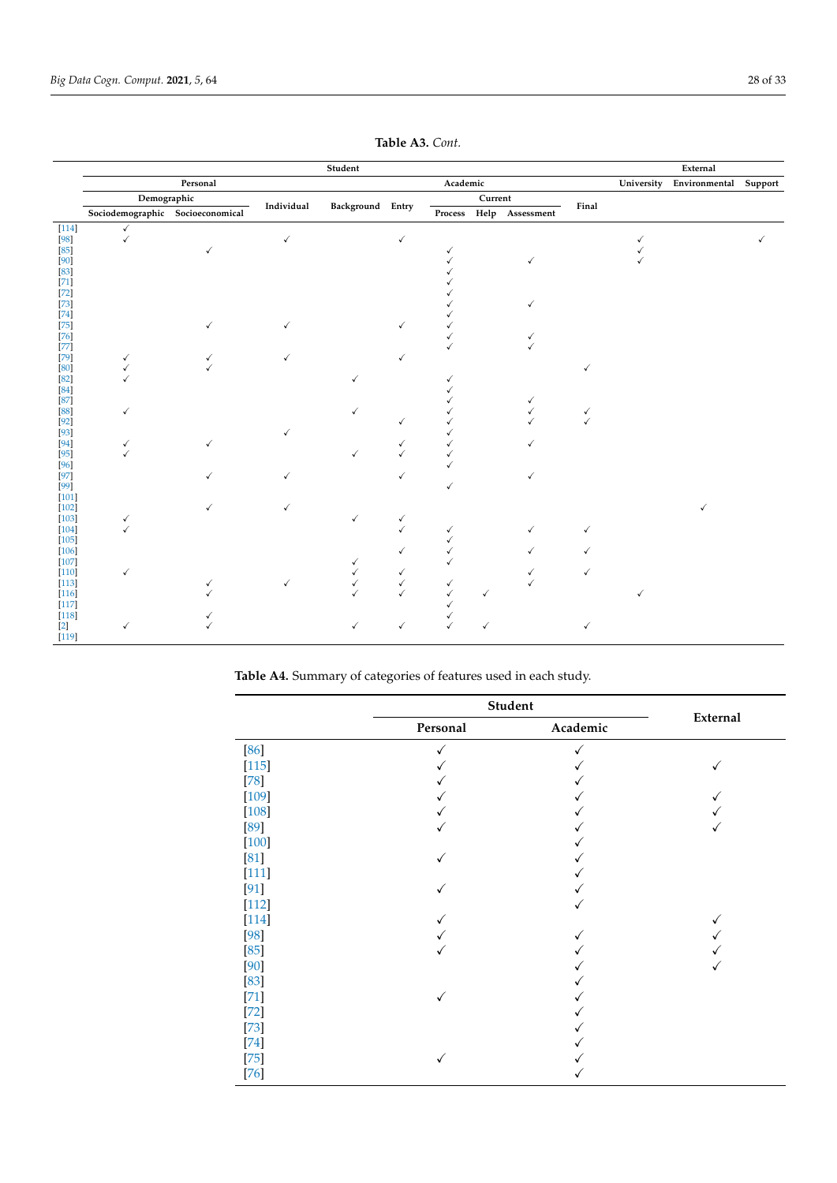<span id="page-27-0"></span>

|                    |                                  |          |            | Student          |              |          |         |                         |       |            | External              |  |
|--------------------|----------------------------------|----------|------------|------------------|--------------|----------|---------|-------------------------|-------|------------|-----------------------|--|
|                    |                                  | Personal |            |                  |              | Academic |         |                         |       | University | Environmental Support |  |
|                    | Demographic                      |          |            |                  |              |          | Current |                         |       |            |                       |  |
|                    | Sociodemographic Socioeconomical |          | Individual | Background Entry |              |          |         | Process Help Assessment | Final |            |                       |  |
| $[114]$            | $\checkmark$                     |          |            |                  |              |          |         |                         |       |            |                       |  |
| $[98]$             | $\checkmark$                     |          | ✓          |                  | $\checkmark$ |          |         |                         |       |            |                       |  |
| $[85]$             |                                  | √        |            |                  |              | √        |         |                         |       |            |                       |  |
| $[90]$             |                                  |          |            |                  |              |          |         | ✓                       |       |            |                       |  |
| $[83]$             |                                  |          |            |                  |              |          |         |                         |       |            |                       |  |
| $[71]$             |                                  |          |            |                  |              |          |         |                         |       |            |                       |  |
| $[72]$             |                                  |          |            |                  |              |          |         |                         |       |            |                       |  |
| $[73]$<br>$[74]$   |                                  |          |            |                  |              |          |         | ✓                       |       |            |                       |  |
| $[75]$             |                                  |          |            |                  |              |          |         |                         |       |            |                       |  |
| $[76]$             |                                  |          |            |                  |              |          |         | ✓                       |       |            |                       |  |
| $[77]$             |                                  |          |            |                  |              |          |         |                         |       |            |                       |  |
| $[79]$             | ✓                                |          |            |                  |              |          |         |                         |       |            |                       |  |
| [80]               |                                  |          |            |                  |              |          |         |                         |       |            |                       |  |
| $[82]$             |                                  |          |            | ✓                |              |          |         |                         |       |            |                       |  |
| $[84]$             |                                  |          |            |                  |              |          |         |                         |       |            |                       |  |
| $[87]$             |                                  |          |            |                  |              |          |         | ✓                       |       |            |                       |  |
| [88]               | ✓                                |          |            |                  |              |          |         | ✓                       |       |            |                       |  |
| $[92]$             |                                  |          |            |                  |              |          |         |                         |       |            |                       |  |
| $[93]$             |                                  |          |            |                  |              |          |         |                         |       |            |                       |  |
| $[94]$             |                                  |          |            |                  |              |          |         | ✓                       |       |            |                       |  |
| $[95]$             |                                  |          |            | ✓                |              |          |         |                         |       |            |                       |  |
| $[96]$             |                                  |          |            |                  |              |          |         |                         |       |            |                       |  |
| $[97]$             |                                  |          |            |                  |              |          |         | ✓                       |       |            |                       |  |
| $[99]$             |                                  |          |            |                  |              |          |         |                         |       |            |                       |  |
| $[101]$<br>$[102]$ |                                  |          |            |                  |              |          |         |                         |       |            |                       |  |
| $[103]$            |                                  |          |            | ✓                |              |          |         |                         |       |            |                       |  |
| $[104]$            | ✓<br>✓                           |          |            |                  |              | √        |         | ✓                       |       |            |                       |  |
| $[105]$            |                                  |          |            |                  |              |          |         |                         |       |            |                       |  |
| $[106]$            |                                  |          |            |                  |              |          |         | ✓                       |       |            |                       |  |
| $[107]$            |                                  |          |            |                  |              |          |         |                         |       |            |                       |  |
| $[110]$            | ✓                                |          |            |                  |              |          |         |                         |       |            |                       |  |
| $[113]$            |                                  |          | ✓          | $\checkmark$     | √            |          |         |                         |       |            |                       |  |
| $[116]$            |                                  |          |            |                  |              |          | ✓       |                         |       |            |                       |  |
| $[117]$            |                                  |          |            |                  |              |          |         |                         |       |            |                       |  |
| $[118]$            |                                  |          |            |                  |              |          |         |                         |       |            |                       |  |
| $[2]$              | √                                |          |            |                  |              |          |         |                         |       |            |                       |  |
| $[119]$            |                                  |          |            |                  |              |          |         |                         |       |            |                       |  |

**Table A3.** *Cont.*

**Table A4.** Summary of categories of features used in each study.

|         | Student  |          |          |
|---------|----------|----------|----------|
|         | Personal | Academic | External |
| $[86]$  |          |          |          |
| $[115]$ |          |          |          |
| $[78]$  |          |          |          |
| $[109]$ |          |          |          |
| $[108]$ |          |          |          |
| [89]    |          |          |          |
| $[100]$ |          |          |          |
| $[81]$  |          |          |          |
| $[111]$ |          |          |          |
| $[91]$  |          |          |          |
| $[112]$ |          |          |          |
| $[114]$ |          |          |          |
| [98]    |          |          |          |
| $[85]$  |          |          |          |
| [90]    |          |          |          |
| $[83]$  |          |          |          |
| $[71]$  | ✓        |          |          |
| $[72]$  |          |          |          |
| $[73]$  |          |          |          |
| $[74]$  |          |          |          |
| $[75]$  | √        |          |          |
| $[76]$  |          |          |          |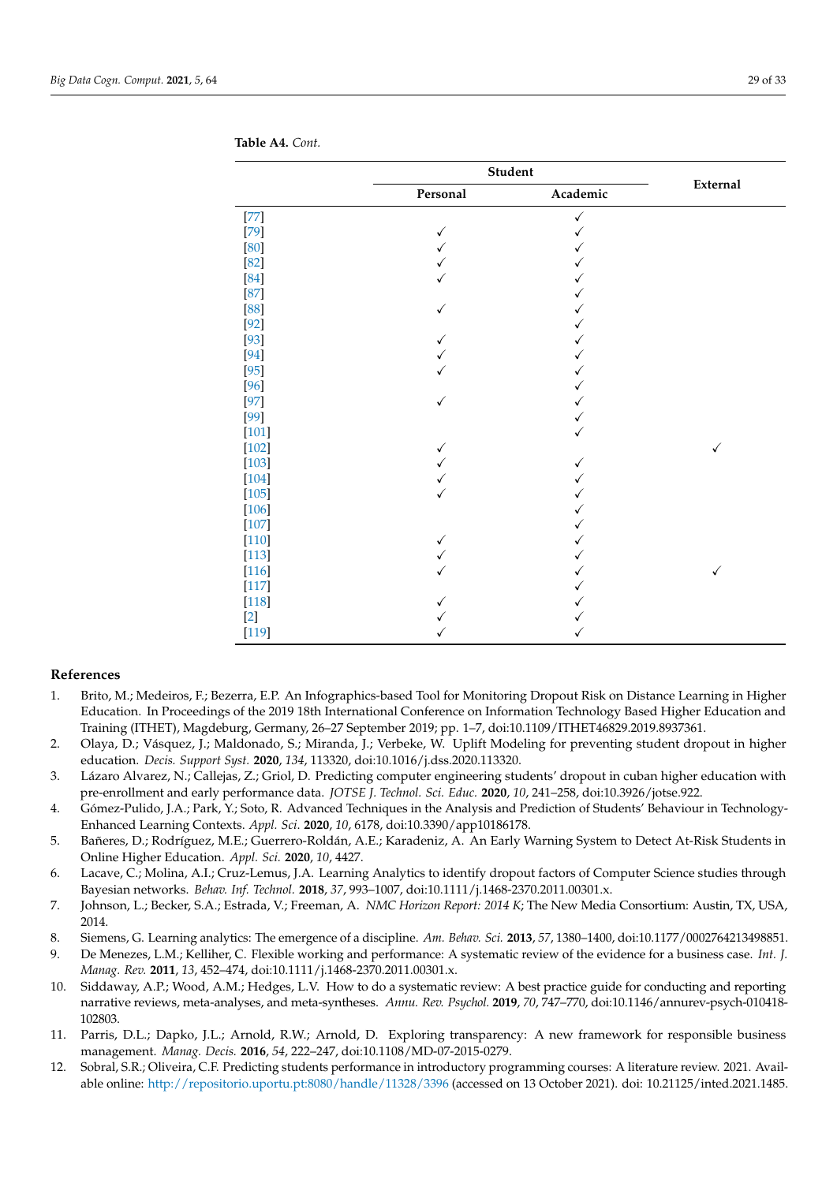|         | Student  |              |          |  |  |
|---------|----------|--------------|----------|--|--|
|         | Personal | Academic     | External |  |  |
| $[77]$  |          | $\checkmark$ |          |  |  |
| $[79]$  | ✓        |              |          |  |  |
| [80]    |          |              |          |  |  |
| $[82]$  |          |              |          |  |  |
| $[84]$  |          |              |          |  |  |
| $[87]$  |          |              |          |  |  |
| [88]    | ✓        |              |          |  |  |
| $[92]$  |          |              |          |  |  |
| $[93]$  |          |              |          |  |  |
| $[94]$  |          |              |          |  |  |
| $[95]$  |          |              |          |  |  |
| $[96]$  |          |              |          |  |  |
| $[97]$  | √        |              |          |  |  |
| $[99]$  |          |              |          |  |  |
| $[101]$ |          |              |          |  |  |
| $[102]$ | ✓        |              | ✓        |  |  |
| $[103]$ |          | ✓            |          |  |  |
| $[104]$ |          |              |          |  |  |
| $[105]$ |          |              |          |  |  |
| $[106]$ |          |              |          |  |  |
| $[107]$ |          |              |          |  |  |
| $[110]$ | ✓        |              |          |  |  |
| $[113]$ |          |              |          |  |  |
| $[116]$ |          |              | ✓        |  |  |
| $[117]$ |          |              |          |  |  |
| $[118]$ |          |              |          |  |  |
| $[2]$   |          |              |          |  |  |
| $[119]$ |          | ✓            |          |  |  |

<span id="page-28-12"></span>**Table A4.** *Cont.*

### **References**

- <span id="page-28-0"></span>1. Brito, M.; Medeiros, F.; Bezerra, E.P. An Infographics-based Tool for Monitoring Dropout Risk on Distance Learning in Higher Education. In Proceedings of the 2019 18th International Conference on Information Technology Based Higher Education and Training (ITHET), Magdeburg, Germany, 26–27 September 2019; pp. 1–7, doi:10.1109/ITHET46829.2019.8937361.
- <span id="page-28-1"></span>2. Olaya, D.; Vásquez, J.; Maldonado, S.; Miranda, J.; Verbeke, W. Uplift Modeling for preventing student dropout in higher education. *Decis. Support Syst.* **2020**, *134*, 113320, doi:10.1016/j.dss.2020.113320.
- <span id="page-28-2"></span>3. Lázaro Alvarez, N.; Callejas, Z.; Griol, D. Predicting computer engineering students' dropout in cuban higher education with pre-enrollment and early performance data. *JOTSE J. Technol. Sci. Educ.* **2020**, *10*, 241–258, doi:10.3926/jotse.922.
- <span id="page-28-3"></span>4. Gómez-Pulido, J.A.; Park, Y.; Soto, R. Advanced Techniques in the Analysis and Prediction of Students' Behaviour in Technology-Enhanced Learning Contexts. *Appl. Sci*. **2020**, *10*, 6178, doi:10.3390/app10186178.
- <span id="page-28-4"></span>5. Bañeres, D.; Rodríguez, M.E.; Guerrero-Roldán, A.E.; Karadeniz, A. An Early Warning System to Detect At-Risk Students in Online Higher Education. *Appl. Sci.* **2020**, *10*, 4427.
- <span id="page-28-5"></span>6. Lacave, C.; Molina, A.I.; Cruz-Lemus, J.A. Learning Analytics to identify dropout factors of Computer Science studies through Bayesian networks. *Behav. Inf. Technol.* **2018**, *37*, 993–1007, doi:10.1111/j.1468-2370.2011.00301.x.
- <span id="page-28-6"></span>7. Johnson, L.; Becker, S.A.; Estrada, V.; Freeman, A. *NMC Horizon Report: 2014 K*; The New Media Consortium: Austin, TX, USA, 2014.
- <span id="page-28-7"></span>8. Siemens, G. Learning analytics: The emergence of a discipline. *Am. Behav. Sci.* **2013**, *57*, 1380–1400, doi:10.1177/0002764213498851.

<span id="page-28-8"></span>9. De Menezes, L.M.; Kelliher, C. Flexible working and performance: A systematic review of the evidence for a business case. *Int. J. Manag. Rev.* **2011**, *13*, 452–474, doi:10.1111/j.1468-2370.2011.00301.x.

- <span id="page-28-9"></span>10. Siddaway, A.P.; Wood, A.M.; Hedges, L.V. How to do a systematic review: A best practice guide for conducting and reporting narrative reviews, meta-analyses, and meta-syntheses. *Annu. Rev. Psychol.* **2019**, *70*, 747–770, doi:10.1146/annurev-psych-010418- 102803.
- <span id="page-28-10"></span>11. Parris, D.L.; Dapko, J.L.; Arnold, R.W.; Arnold, D. Exploring transparency: A new framework for responsible business management. *Manag. Decis.* **2016**, *54*, 222–247, doi:10.1108/MD-07-2015-0279.
- <span id="page-28-11"></span>12. Sobral, S.R.; Oliveira, C.F. Predicting students performance in introductory programming courses: A literature review. 2021. Available online: <http://repositorio.uportu.pt:8080/handle/11328/3396> (accessed on 13 October 2021). doi: 10.21125/inted.2021.1485.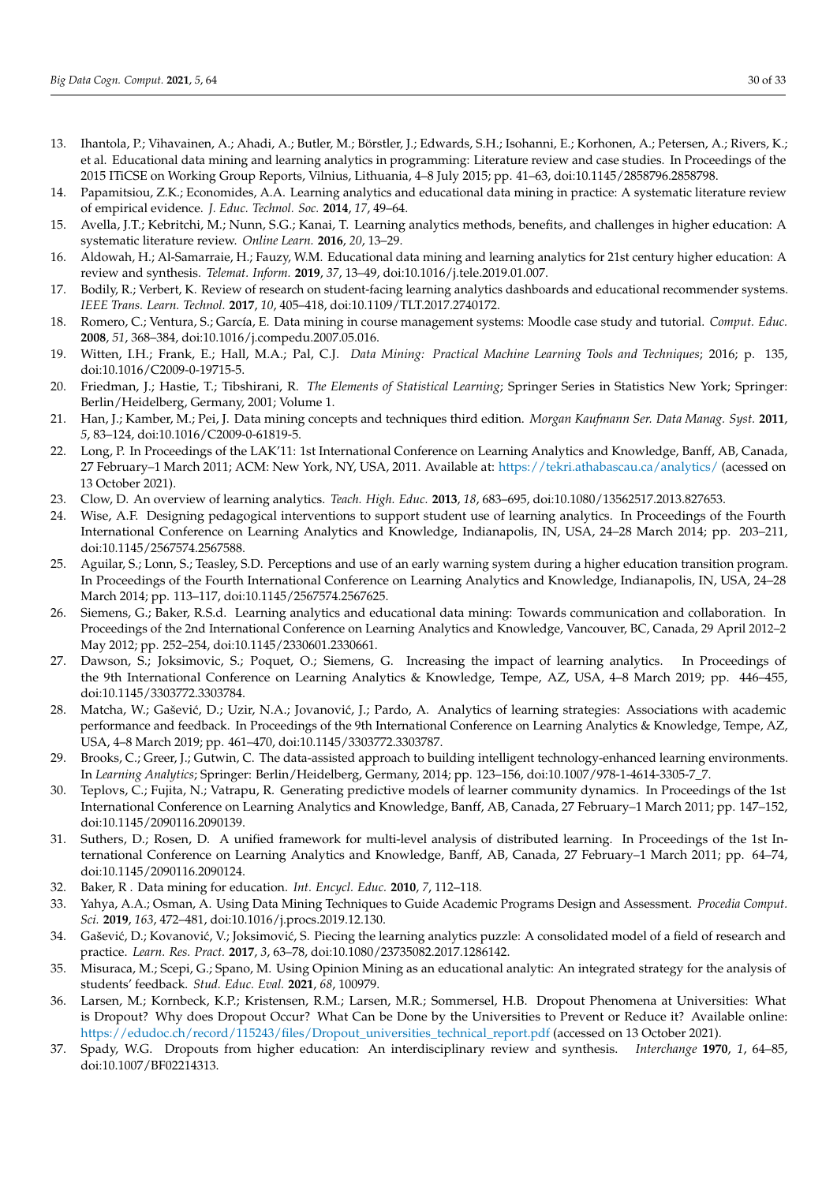- <span id="page-29-0"></span>13. Ihantola, P.; Vihavainen, A.; Ahadi, A.; Butler, M.; Börstler, J.; Edwards, S.H.; Isohanni, E.; Korhonen, A.; Petersen, A.; Rivers, K.; et al. Educational data mining and learning analytics in programming: Literature review and case studies. In Proceedings of the 2015 ITiCSE on Working Group Reports, Vilnius, Lithuania, 4–8 July 2015; pp. 41–63, doi:10.1145/2858796.2858798.
- <span id="page-29-1"></span>14. Papamitsiou, Z.K.; Economides, A.A. Learning analytics and educational data mining in practice: A systematic literature review of empirical evidence. *J. Educ. Technol. Soc.* **2014**, *17*, 49–64.
- <span id="page-29-2"></span>15. Avella, J.T.; Kebritchi, M.; Nunn, S.G.; Kanai, T. Learning analytics methods, benefits, and challenges in higher education: A systematic literature review. *Online Learn.* **2016**, *20*, 13–29.
- <span id="page-29-3"></span>16. Aldowah, H.; Al-Samarraie, H.; Fauzy, W.M. Educational data mining and learning analytics for 21st century higher education: A review and synthesis. *Telemat. Inform.* **2019**, *37*, 13–49, doi:10.1016/j.tele.2019.01.007.
- <span id="page-29-4"></span>17. Bodily, R.; Verbert, K. Review of research on student-facing learning analytics dashboards and educational recommender systems. *IEEE Trans. Learn. Technol.* **2017**, *10*, 405–418, doi:10.1109/TLT.2017.2740172.
- <span id="page-29-5"></span>18. Romero, C.; Ventura, S.; García, E. Data mining in course management systems: Moodle case study and tutorial. *Comput. Educ.* **2008**, *51*, 368–384, doi:10.1016/j.compedu.2007.05.016.
- <span id="page-29-6"></span>19. Witten, I.H.; Frank, E.; Hall, M.A.; Pal, C.J. *Data Mining: Practical Machine Learning Tools and Techniques*; 2016; p. 135, doi:10.1016/C2009-0-19715-5.
- <span id="page-29-7"></span>20. Friedman, J.; Hastie, T.; Tibshirani, R. *The Elements of Statistical Learning*; Springer Series in Statistics New York; Springer: Berlin/Heidelberg, Germany, 2001; Volume 1.
- <span id="page-29-8"></span>21. Han, J.; Kamber, M.; Pei, J. Data mining concepts and techniques third edition. *Morgan Kaufmann Ser. Data Manag. Syst.* **2011**, *5*, 83–124, doi:10.1016/C2009-0-61819-5.
- <span id="page-29-9"></span>22. Long, P. In Proceedings of the LAK'11: 1st International Conference on Learning Analytics and Knowledge, Banff, AB, Canada, 27 February–1 March 2011; ACM: New York, NY, USA, 2011. Available at: <https://tekri.athabascau.ca/analytics/> (acessed on 13 October 2021).
- <span id="page-29-10"></span>23. Clow, D. An overview of learning analytics. *Teach. High. Educ.* **2013**, *18*, 683–695, doi:10.1080/13562517.2013.827653.
- <span id="page-29-11"></span>24. Wise, A.F. Designing pedagogical interventions to support student use of learning analytics. In Proceedings of the Fourth International Conference on Learning Analytics and Knowledge, Indianapolis, IN, USA, 24–28 March 2014; pp. 203–211, doi:10.1145/2567574.2567588.
- <span id="page-29-12"></span>25. Aguilar, S.; Lonn, S.; Teasley, S.D. Perceptions and use of an early warning system during a higher education transition program. In Proceedings of the Fourth International Conference on Learning Analytics and Knowledge, Indianapolis, IN, USA, 24–28 March 2014; pp. 113–117, doi:10.1145/2567574.2567625.
- <span id="page-29-13"></span>26. Siemens, G.; Baker, R.S.d. Learning analytics and educational data mining: Towards communication and collaboration. In Proceedings of the 2nd International Conference on Learning Analytics and Knowledge, Vancouver, BC, Canada, 29 April 2012–2 May 2012; pp. 252–254, doi:10.1145/2330601.2330661.
- <span id="page-29-14"></span>27. Dawson, S.; Joksimovic, S.; Poquet, O.; Siemens, G. Increasing the impact of learning analytics. In Proceedings of the 9th International Conference on Learning Analytics & Knowledge, Tempe, AZ, USA, 4–8 March 2019; pp. 446–455, doi:10.1145/3303772.3303784.
- <span id="page-29-15"></span>28. Matcha, W.; Gašević, D.; Uzir, N.A.; Jovanović, J.; Pardo, A. Analytics of learning strategies: Associations with academic performance and feedback. In Proceedings of the 9th International Conference on Learning Analytics & Knowledge, Tempe, AZ, USA, 4–8 March 2019; pp. 461–470, doi:10.1145/3303772.3303787.
- <span id="page-29-16"></span>29. Brooks, C.; Greer, J.; Gutwin, C. The data-assisted approach to building intelligent technology-enhanced learning environments. In *Learning Analytics*; Springer: Berlin/Heidelberg, Germany, 2014; pp. 123–156, doi:10.1007/978-1-4614-3305-7\_7.
- <span id="page-29-17"></span>30. Teplovs, C.; Fujita, N.; Vatrapu, R. Generating predictive models of learner community dynamics. In Proceedings of the 1st International Conference on Learning Analytics and Knowledge, Banff, AB, Canada, 27 February–1 March 2011; pp. 147–152, doi:10.1145/2090116.2090139.
- <span id="page-29-18"></span>31. Suthers, D.; Rosen, D. A unified framework for multi-level analysis of distributed learning. In Proceedings of the 1st International Conference on Learning Analytics and Knowledge, Banff, AB, Canada, 27 February–1 March 2011; pp. 64–74, doi:10.1145/2090116.2090124.
- <span id="page-29-19"></span>32. Baker, R . Data mining for education. *Int. Encycl. Educ.* **2010**, *7*, 112–118.
- <span id="page-29-20"></span>33. Yahya, A.A.; Osman, A. Using Data Mining Techniques to Guide Academic Programs Design and Assessment. *Procedia Comput. Sci.* **2019**, *163*, 472–481, doi:10.1016/j.procs.2019.12.130.
- <span id="page-29-21"></span>34. Gašević, D.; Kovanović, V.; Joksimović, S. Piecing the learning analytics puzzle: A consolidated model of a field of research and practice. *Learn. Res. Pract.* **2017**, *3*, 63–78, doi:10.1080/23735082.2017.1286142.
- <span id="page-29-22"></span>35. Misuraca, M.; Scepi, G.; Spano, M. Using Opinion Mining as an educational analytic: An integrated strategy for the analysis of students' feedback. *Stud. Educ. Eval.* **2021**, *68*, 100979.
- <span id="page-29-23"></span>36. Larsen, M.; Kornbeck, K.P.; Kristensen, R.M.; Larsen, M.R.; Sommersel, H.B. Dropout Phenomena at Universities: What is Dropout? Why does Dropout Occur? What Can be Done by the Universities to Prevent or Reduce it? Available online: [https://edudoc.ch/record/115243/files/Dropout\\_universities\\_technical\\_report.pdf](https://edudoc.ch/record/115243/files/Dropout_universities_technical_report.pdf) (accessed on 13 October 2021).
- <span id="page-29-24"></span>37. Spady, W.G. Dropouts from higher education: An interdisciplinary review and synthesis. *Interchange* **1970**, *1*, 64–85, doi:10.1007/BF02214313.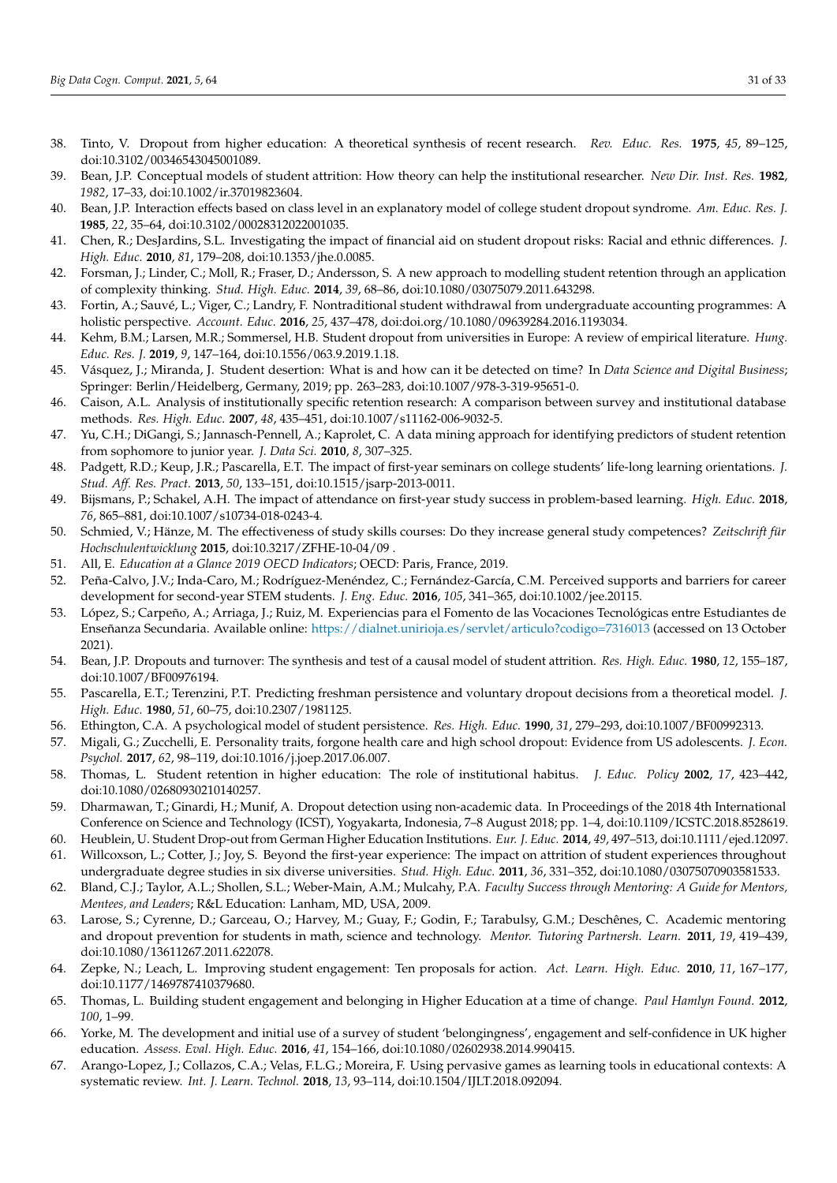- <span id="page-30-11"></span>38. Tinto, V. Dropout from higher education: A theoretical synthesis of recent research. *Rev. Educ. Res.* **1975**, *45*, 89–125, doi:10.3102/00346543045001089.
- 39. Bean, J.P. Conceptual models of student attrition: How theory can help the institutional researcher. *New Dir. Inst. Res.* **1982**, *1982*, 17–33, doi:10.1002/ir.37019823604.
- <span id="page-30-0"></span>40. Bean, J.P. Interaction effects based on class level in an explanatory model of college student dropout syndrome. *Am. Educ. Res. J.* **1985**, *22*, 35–64, doi:10.3102/00028312022001035.
- <span id="page-30-1"></span>41. Chen, R.; DesJardins, S.L. Investigating the impact of financial aid on student dropout risks: Racial and ethnic differences. *J. High. Educ.* **2010**, *81*, 179–208, doi:10.1353/jhe.0.0085.
- <span id="page-30-23"></span>42. Forsman, J.; Linder, C.; Moll, R.; Fraser, D.; Andersson, S. A new approach to modelling student retention through an application of complexity thinking. *Stud. High. Educ.* **2014**, *39*, 68–86, doi:10.1080/03075079.2011.643298.
- 43. Fortin, A.; Sauvé, L.; Viger, C.; Landry, F. Nontraditional student withdrawal from undergraduate accounting programmes: A holistic perspective. *Account. Educ.* **2016**, *25*, 437–478, doi:doi.org/10.1080/09639284.2016.1193034.
- 44. Kehm, B.M.; Larsen, M.R.; Sommersel, H.B. Student dropout from universities in Europe: A review of empirical literature. *Hung. Educ. Res. J.* **2019**, *9*, 147–164, doi:10.1556/063.9.2019.1.18.
- <span id="page-30-2"></span>45. Vásquez, J.; Miranda, J. Student desertion: What is and how can it be detected on time? In *Data Science and Digital Business*; Springer: Berlin/Heidelberg, Germany, 2019; pp. 263–283, doi:10.1007/978-3-319-95651-0.
- <span id="page-30-3"></span>46. Caison, A.L. Analysis of institutionally specific retention research: A comparison between survey and institutional database methods. *Res. High. Educ.* **2007**, *48*, 435–451, doi:10.1007/s11162-006-9032-5.
- <span id="page-30-4"></span>47. Yu, C.H.; DiGangi, S.; Jannasch-Pennell, A.; Kaprolet, C. A data mining approach for identifying predictors of student retention from sophomore to junior year. *J. Data Sci.* **2010**, *8*, 307–325.
- <span id="page-30-5"></span>48. Padgett, R.D.; Keup, J.R.; Pascarella, E.T. The impact of first-year seminars on college students' life-long learning orientations. *J. Stud. Aff. Res. Pract.* **2013**, *50*, 133–151, doi:10.1515/jsarp-2013-0011.
- <span id="page-30-6"></span>49. Bijsmans, P.; Schakel, A.H. The impact of attendance on first-year study success in problem-based learning. *High. Educ.* **2018**, *76*, 865–881, doi:10.1007/s10734-018-0243-4.
- <span id="page-30-7"></span>50. Schmied, V.; Hänze, M. The effectiveness of study skills courses: Do they increase general study competences? *Zeitschrift für Hochschulentwicklung* **2015**, doi:10.3217/ZFHE-10-04/09 .
- <span id="page-30-8"></span>51. All, E. *Education at a Glance 2019 OECD Indicators*; OECD: Paris, France, 2019.
- <span id="page-30-9"></span>52. Peña-Calvo, J.V.; Inda-Caro, M.; Rodríguez-Menéndez, C.; Fernández-García, C.M. Perceived supports and barriers for career development for second-year STEM students. *J. Eng. Educ.* **2016**, *105*, 341–365, doi:10.1002/jee.20115.
- <span id="page-30-10"></span>53. López, S.; Carpeño, A.; Arriaga, J.; Ruiz, M. Experiencias para el Fomento de las Vocaciones Tecnológicas entre Estudiantes de Enseñanza Secundaria. Available online: <https://dialnet.unirioja.es/servlet/articulo?codigo=7316013> (accessed on 13 October 2021).
- <span id="page-30-12"></span>54. Bean, J.P. Dropouts and turnover: The synthesis and test of a causal model of student attrition. *Res. High. Educ.* **1980**, *12*, 155–187, doi:10.1007/BF00976194.
- 55. Pascarella, E.T.; Terenzini, P.T. Predicting freshman persistence and voluntary dropout decisions from a theoretical model. *J. High. Educ.* **1980**, *51*, 60–75, doi:10.2307/1981125.
- 56. Ethington, C.A. A psychological model of student persistence. *Res. High. Educ.* **1990**, *31*, 279–293, doi:10.1007/BF00992313.
- <span id="page-30-13"></span>57. Migali, G.; Zucchelli, E. Personality traits, forgone health care and high school dropout: Evidence from US adolescents. *J. Econ. Psychol.* **2017**, *62*, 98–119, doi:10.1016/j.joep.2017.06.007.
- <span id="page-30-14"></span>58. Thomas, L. Student retention in higher education: The role of institutional habitus. *J. Educ. Policy* **2002**, *17*, 423–442, doi:10.1080/02680930210140257.
- <span id="page-30-15"></span>59. Dharmawan, T.; Ginardi, H.; Munif, A. Dropout detection using non-academic data. In Proceedings of the 2018 4th International Conference on Science and Technology (ICST), Yogyakarta, Indonesia, 7–8 August 2018; pp. 1–4, doi:10.1109/ICSTC.2018.8528619.
- <span id="page-30-16"></span>60. Heublein, U. Student Drop-out from German Higher Education Institutions. *Eur. J. Educ.* **2014**, *49*, 497–513, doi:10.1111/ejed.12097.
- <span id="page-30-17"></span>61. Willcoxson, L.; Cotter, J.; Joy, S. Beyond the first-year experience: The impact on attrition of student experiences throughout undergraduate degree studies in six diverse universities. *Stud. High. Educ.* **2011**, *36*, 331–352, doi:10.1080/03075070903581533.
- <span id="page-30-18"></span>62. Bland, C.J.; Taylor, A.L.; Shollen, S.L.; Weber-Main, A.M.; Mulcahy, P.A. *Faculty Success through Mentoring: A Guide for Mentors, Mentees, and Leaders*; R&L Education: Lanham, MD, USA, 2009.
- <span id="page-30-19"></span>63. Larose, S.; Cyrenne, D.; Garceau, O.; Harvey, M.; Guay, F.; Godin, F.; Tarabulsy, G.M.; Deschênes, C. Academic mentoring and dropout prevention for students in math, science and technology. *Mentor. Tutoring Partnersh. Learn.* **2011**, *19*, 419–439, doi:10.1080/13611267.2011.622078.
- <span id="page-30-20"></span>64. Zepke, N.; Leach, L. Improving student engagement: Ten proposals for action. *Act. Learn. High. Educ.* **2010**, *11*, 167–177, doi:10.1177/1469787410379680.
- 65. Thomas, L. Building student engagement and belonging in Higher Education at a time of change. *Paul Hamlyn Found.* **2012**, *100*, 1–99.
- <span id="page-30-21"></span>66. Yorke, M. The development and initial use of a survey of student 'belongingness', engagement and self-confidence in UK higher education. *Assess. Eval. High. Educ.* **2016**, *41*, 154–166, doi:10.1080/02602938.2014.990415.
- <span id="page-30-22"></span>67. Arango-Lopez, J.; Collazos, C.A.; Velas, F.L.G.; Moreira, F. Using pervasive games as learning tools in educational contexts: A systematic review. *Int. J. Learn. Technol.* **2018**, *13*, 93–114, doi:10.1504/IJLT.2018.092094.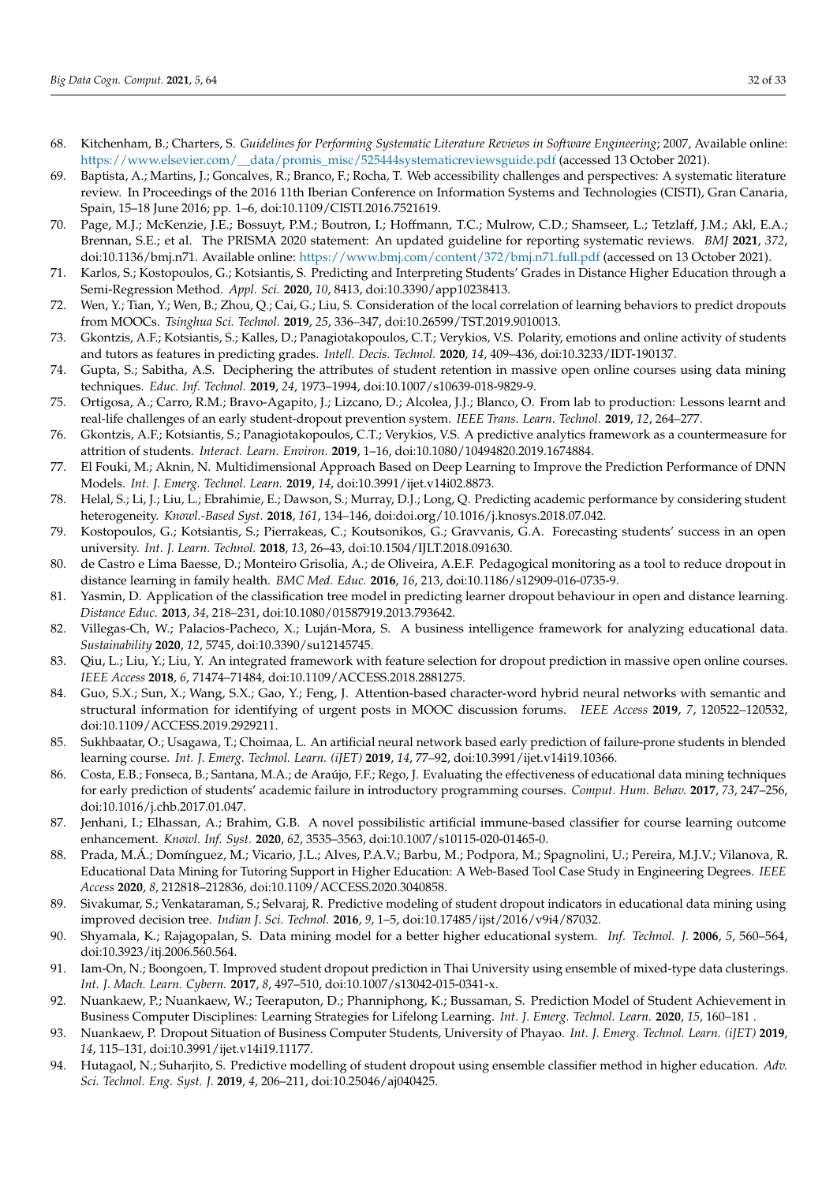- <span id="page-31-0"></span>68. Kitchenham, B.; Charters, S. *Guidelines for Performing Systematic Literature Reviews in Software Engineering*; 2007, Available online: [https://www.elsevier.com/\\_\\_data/promis\\_misc/525444systematicreviewsguide.pdf](https://www.elsevier.com/__data/promis_misc/525444systematicreviewsguide.pdf) (accessed 13 October 2021).
- <span id="page-31-1"></span>69. Baptista, A.; Martins, J.; Goncalves, R.; Branco, F.; Rocha, T. Web accessibility challenges and perspectives: A systematic literature review. In Proceedings of the 2016 11th Iberian Conference on Information Systems and Technologies (CISTI), Gran Canaria, Spain, 15–18 June 2016; pp. 1–6, doi:10.1109/CISTI.2016.7521619.
- <span id="page-31-2"></span>70. Page, M.J.; McKenzie, J.E.; Bossuyt, P.M.; Boutron, I.; Hoffmann, T.C.; Mulrow, C.D.; Shamseer, L.; Tetzlaff, J.M.; Akl, E.A.; Brennan, S.E.; et al. The PRISMA 2020 statement: An updated guideline for reporting systematic reviews. *BMJ* **2021**, *372*, doi:10.1136/bmj.n71. Available online: [https://www.bmj.com/content/372/bmj.n71.full.pdf](http://xxx.lanl.gov/abs/https://www.bmj.com/content/372/bmj.n71.full.pdf) (accessed on 13 October 2021).
- <span id="page-31-3"></span>71. Karlos, S.; Kostopoulos, G.; Kotsiantis, S. Predicting and Interpreting Students' Grades in Distance Higher Education through a Semi-Regression Method. *Appl. Sci.* **2020**, *10*, 8413, doi:10.3390/app10238413.
- <span id="page-31-19"></span>72. Wen, Y.; Tian, Y.; Wen, B.; Zhou, Q.; Cai, G.; Liu, S. Consideration of the local correlation of learning behaviors to predict dropouts from MOOCs. *Tsinghua Sci. Technol.* **2019**, *25*, 336–347, doi:10.26599/TST.2019.9010013.
- <span id="page-31-20"></span>73. Gkontzis, A.F.; Kotsiantis, S.; Kalles, D.; Panagiotakopoulos, C.T.; Verykios, V.S. Polarity, emotions and online activity of students and tutors as features in predicting grades. *Intell. Decis. Technol.* **2020**, *14*, 409–436, doi:10.3233/IDT-190137.
- <span id="page-31-24"></span>74. Gupta, S.; Sabitha, A.S. Deciphering the attributes of student retention in massive open online courses using data mining techniques. *Educ. Inf. Technol.* **2019**, *24*, 1973–1994, doi:10.1007/s10639-018-9829-9.
- <span id="page-31-23"></span>75. Ortigosa, A.; Carro, R.M.; Bravo-Agapito, J.; Lizcano, D.; Alcolea, J.J.; Blanco, O. From lab to production: Lessons learnt and real-life challenges of an early student-dropout prevention system. *IEEE Trans. Learn. Technol.* **2019**, *12*, 264–277.
- <span id="page-31-21"></span>76. Gkontzis, A.F.; Kotsiantis, S.; Panagiotakopoulos, C.T.; Verykios, V.S. A predictive analytics framework as a countermeasure for attrition of students. *Interact. Learn. Environ.* **2019**, 1–16, doi:10.1080/10494820.2019.1674884.
- <span id="page-31-7"></span>77. El Fouki, M.; Aknin, N. Multidimensional Approach Based on Deep Learning to Improve the Prediction Performance of DNN Models. *Int. J. Emerg. Technol. Learn.* **2019**, *14*, doi:10.3991/ijet.v14i02.8873.
- <span id="page-31-8"></span>78. Helal, S.; Li, J.; Liu, L.; Ebrahimie, E.; Dawson, S.; Murray, D.J.; Long, Q. Predicting academic performance by considering student heterogeneity. *Knowl.-Based Syst.* **2018**, *161*, 134–146, doi:doi.org/10.1016/j.knosys.2018.07.042.
- <span id="page-31-22"></span>79. Kostopoulos, G.; Kotsiantis, S.; Pierrakeas, C.; Koutsonikos, G.; Gravvanis, G.A. Forecasting students' success in an open university. *Int. J. Learn. Technol.* **2018**, *13*, 26–43, doi:10.1504/IJLT.2018.091630.
- <span id="page-31-25"></span>80. de Castro e Lima Baesse, D.; Monteiro Grisolia, A.; de Oliveira, A.E.F. Pedagogical monitoring as a tool to reduce dropout in distance learning in family health. *BMC Med. Educ.* **2016**, *16*, 213, doi:10.1186/s12909-016-0735-9.
- <span id="page-31-12"></span>81. Yasmin, D. Application of the classification tree model in predicting learner dropout behaviour in open and distance learning. *Distance Educ.* **2013**, *34*, 218–231, doi:10.1080/01587919.2013.793642.
- <span id="page-31-26"></span>82. Villegas-Ch, W.; Palacios-Pacheco, X.; Luján-Mora, S. A business intelligence framework for analyzing educational data. *Sustainability* **2020**, *12*, 5745, doi:10.3390/su12145745.
- <span id="page-31-18"></span>83. Qiu, L.; Liu, Y.; Liu, Y. An integrated framework with feature selection for dropout prediction in massive open online courses. *IEEE Access* **2018**, *6*, 71474–71484, doi:10.1109/ACCESS.2018.2881275.
- <span id="page-31-4"></span>84. Guo, S.X.; Sun, X.; Wang, S.X.; Gao, Y.; Feng, J. Attention-based character-word hybrid neural networks with semantic and structural information for identifying of urgent posts in MOOC discussion forums. *IEEE Access* **2019**, *7*, 120522–120532, doi:10.1109/ACCESS.2019.2929211.
- <span id="page-31-5"></span>85. Sukhbaatar, O.; Usagawa, T.; Choimaa, L. An artificial neural network based early prediction of failure-prone students in blended learning course. *Int. J. Emerg. Technol. Learn. (iJET)* **2019**, *14*, 77–92, doi:10.3991/ijet.v14i19.10366.
- <span id="page-31-6"></span>86. Costa, E.B.; Fonseca, B.; Santana, M.A.; de Araújo, F.F.; Rego, J. Evaluating the effectiveness of educational data mining techniques for early prediction of students' academic failure in introductory programming courses. *Comput. Hum. Behav.* **2017**, *73*, 247–256, doi:10.1016/j.chb.2017.01.047.
- <span id="page-31-9"></span>87. Jenhani, I.; Elhassan, A.; Brahim, G.B. A novel possibilistic artificial immune-based classifier for course learning outcome enhancement. *Knowl. Inf. Syst.* **2020**, *62*, 3535–3563, doi:10.1007/s10115-020-01465-0.
- <span id="page-31-10"></span>88. Prada, M.Á.; Domínguez, M.; Vicario, J.L.; Alves, P.A.V.; Barbu, M.; Podpora, M.; Spagnolini, U.; Pereira, M.J.V.; Vilanova, R. Educational Data Mining for Tutoring Support in Higher Education: A Web-Based Tool Case Study in Engineering Degrees. *IEEE Access* **2020**, *8*, 212818–212836, doi:10.1109/ACCESS.2020.3040858.
- <span id="page-31-11"></span>89. Sivakumar, S.; Venkataraman, S.; Selvaraj, R. Predictive modeling of student dropout indicators in educational data mining using improved decision tree. *Indian J. Sci. Technol.* **2016**, *9*, 1–5, doi:10.17485/ijst/2016/v9i4/87032.
- <span id="page-31-13"></span>90. Shyamala, K.; Rajagopalan, S. Data mining model for a better higher educational system. *Inf. Technol. J.* **2006**, *5*, 560–564, doi:10.3923/itj.2006.560.564.
- <span id="page-31-14"></span>91. Iam-On, N.; Boongoen, T. Improved student dropout prediction in Thai University using ensemble of mixed-type data clusterings. *Int. J. Mach. Learn. Cybern.* **2017**, *8*, 497–510, doi:10.1007/s13042-015-0341-x.
- <span id="page-31-15"></span>92. Nuankaew, P.; Nuankaew, W.; Teeraputon, D.; Phanniphong, K.; Bussaman, S. Prediction Model of Student Achievement in Business Computer Disciplines: Learning Strategies for Lifelong Learning. *Int. J. Emerg. Technol. Learn.* **2020**, *15*, 160–181 .
- <span id="page-31-16"></span>93. Nuankaew, P. Dropout Situation of Business Computer Students, University of Phayao. *Int. J. Emerg. Technol. Learn. (iJET)* **2019**, *14*, 115–131, doi:10.3991/ijet.v14i19.11177.
- <span id="page-31-17"></span>94. Hutagaol, N.; Suharjito, S. Predictive modelling of student dropout using ensemble classifier method in higher education. *Adv. Sci. Technol. Eng. Syst. J.* **2019**, *4*, 206–211, doi:10.25046/aj040425.